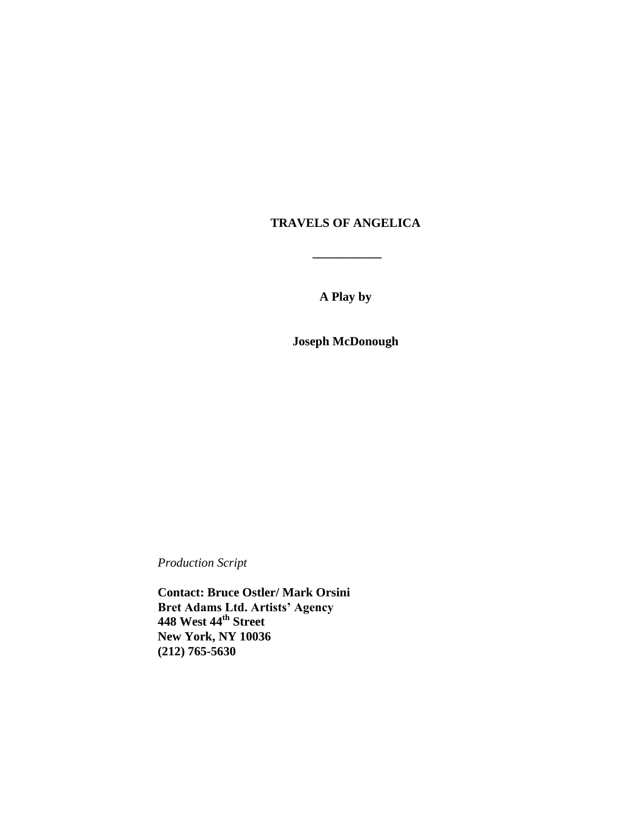# **TRAVELS OF ANGELICA**

**\_\_\_\_\_\_\_\_\_\_\_**

**A Play by**

**Joseph McDonough**

*Production Script*

**Contact: Bruce Ostler/ Mark Orsini Bret Adams Ltd. Artists' Agency 448 West 44th Street New York, NY 10036 (212) 765-5630**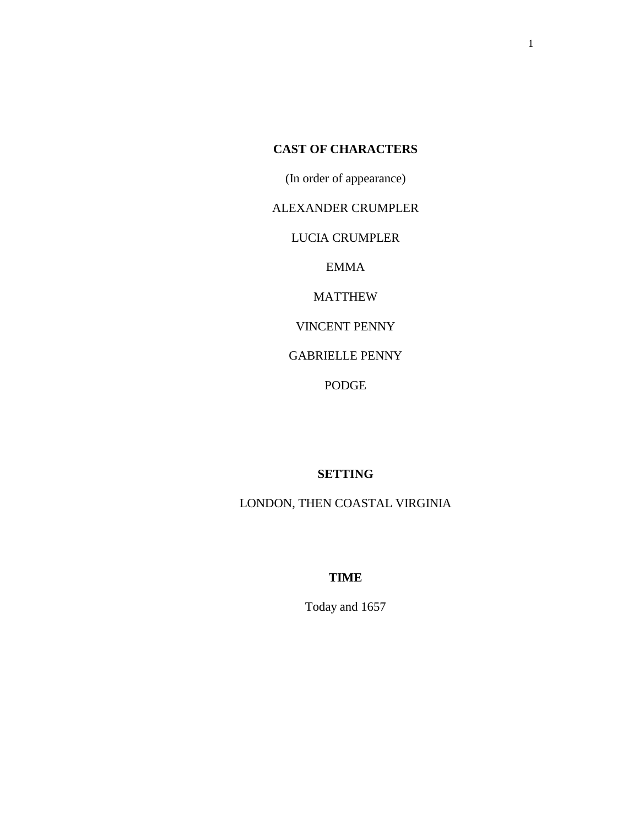# **CAST OF CHARACTERS**

(In order of appearance)

ALEXANDER CRUMPLER

LUCIA CRUMPLER

EMMA

MATTHEW

VINCENT PENNY

GABRIELLE PENNY

PODGE

# **SETTING**

LONDON, THEN COASTAL VIRGINIA

# **TIME**

Today and 1657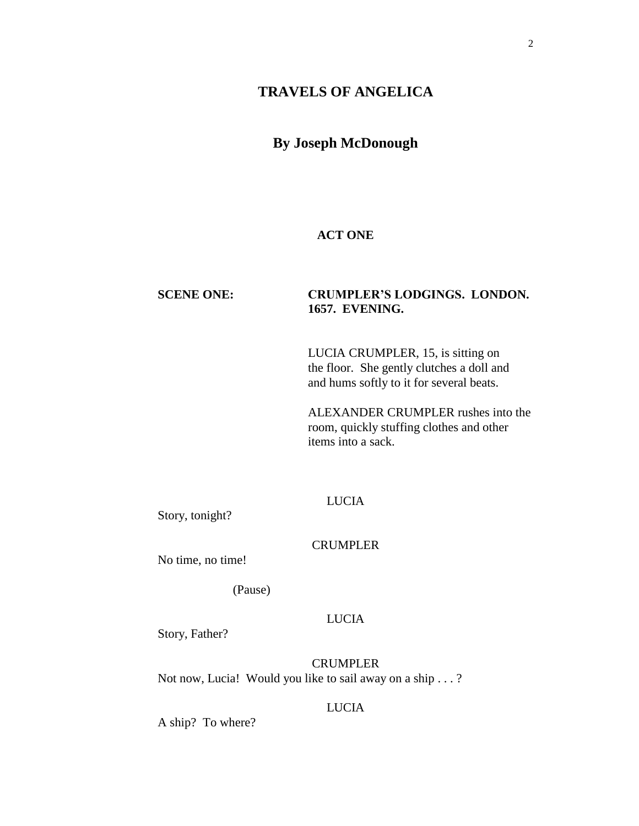# **TRAVELS OF ANGELICA**

# **By Joseph McDonough**

# **ACT ONE**

# **SCENE ONE: CRUMPLER'S LODGINGS. LONDON. 1657. EVENING.**

LUCIA CRUMPLER, 15, is sitting on the floor. She gently clutches a doll and and hums softly to it for several beats.

ALEXANDER CRUMPLER rushes into the room, quickly stuffing clothes and other items into a sack.

# LUCIA

Story, tonight?

# **CRUMPLER**

No time, no time!

(Pause)

# LUCIA

Story, Father?

**CRUMPLER** Not now, Lucia! Would you like to sail away on a ship . . . ?

# LUCIA

A ship? To where?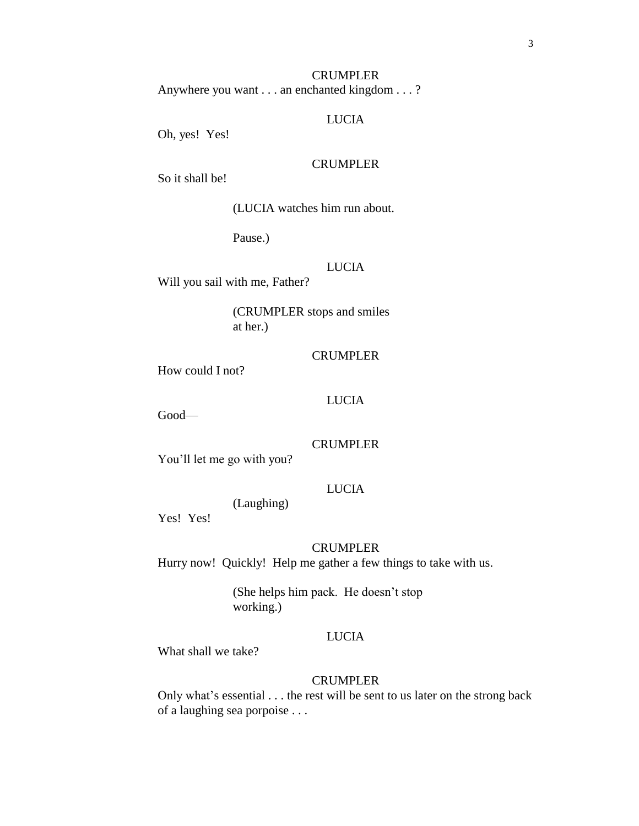# **CRUMPLER** Anywhere you want . . . an enchanted kingdom . . . ?

#### LUCIA

Oh, yes! Yes!

# CRUMPLER

So it shall be!

(LUCIA watches him run about.

Pause.)

# LUCIA

Will you sail with me, Father?

(CRUMPLER stops and smiles at her.)

# **CRUMPLER**

How could I not?

## LUCIA

Good—

# CRUMPLER

You'll let me go with you?

# LUCIA

(Laughing)

Yes! Yes!

#### CRUMPLER

Hurry now! Quickly! Help me gather a few things to take with us.

(She helps him pack. He doesn't stop working.)

# LUCIA

What shall we take?

#### CRUMPLER

Only what's essential . . . the rest will be sent to us later on the strong back of a laughing sea porpoise . . .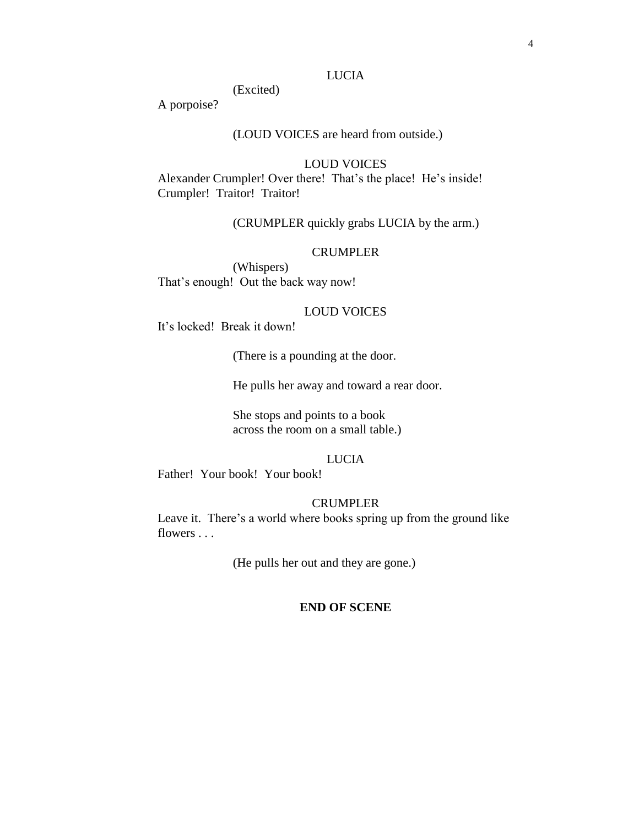# LUCIA

(Excited)

A porpoise?

# (LOUD VOICES are heard from outside.)

# LOUD VOICES

Alexander Crumpler! Over there! That's the place! He's inside! Crumpler! Traitor! Traitor!

(CRUMPLER quickly grabs LUCIA by the arm.)

# **CRUMPLER**

(Whispers) That's enough! Out the back way now!

# LOUD VOICES

It's locked! Break it down!

(There is a pounding at the door.

He pulls her away and toward a rear door.

She stops and points to a book across the room on a small table.)

# LUCIA

Father! Your book! Your book!

# **CRUMPLER**

Leave it. There's a world where books spring up from the ground like flowers . . .

(He pulls her out and they are gone.)

# **END OF SCENE**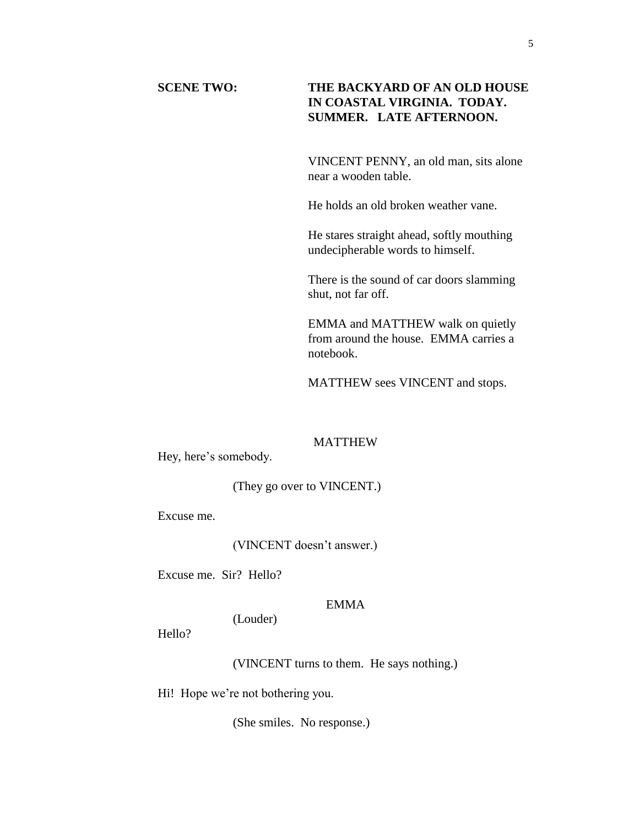# **SCENE TWO: THE BACKYARD OF AN OLD HOUSE IN COASTAL VIRGINIA. TODAY. SUMMER. LATE AFTERNOON.**

VINCENT PENNY, an old man, sits alone near a wooden table.

He holds an old broken weather vane.

He stares straight ahead, softly mouthing undecipherable words to himself.

There is the sound of car doors slamming shut, not far off.

EMMA and MATTHEW walk on quietly from around the house. EMMA carries a notebook.

MATTHEW sees VINCENT and stops.

# MATTHEW

Hey, here's somebody.

# (They go over to VINCENT.)

Excuse me.

(VINCENT doesn't answer.)

Excuse me. Sir? Hello?

# EMMA

(Louder)

Hello?

(VINCENT turns to them. He says nothing.)

Hi! Hope we're not bothering you.

(She smiles. No response.)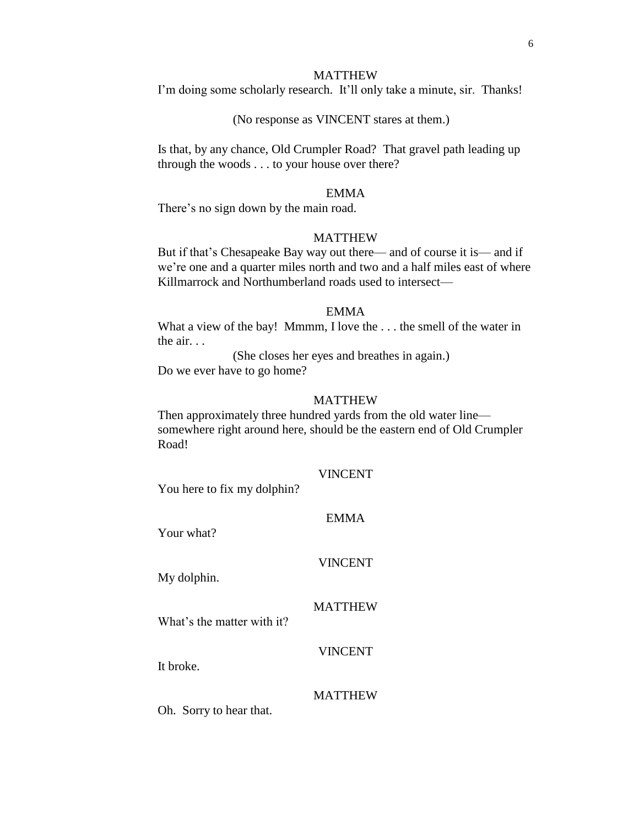#### MATTHEW

I'm doing some scholarly research. It'll only take a minute, sir. Thanks!

## (No response as VINCENT stares at them.)

Is that, by any chance, Old Crumpler Road? That gravel path leading up through the woods . . . to your house over there?

#### EMMA

There's no sign down by the main road.

#### MATTHEW

But if that's Chesapeake Bay way out there— and of course it is— and if we're one and a quarter miles north and two and a half miles east of where Killmarrock and Northumberland roads used to intersect—

## EMMA

What a view of the bay! Mmmm, I love the ... the smell of the water in the air. . .

(She closes her eyes and breathes in again.) Do we ever have to go home?

#### MATTHEW

Then approximately three hundred yards from the old water line somewhere right around here, should be the eastern end of Old Crumpler Road!

#### VINCENT

EMMA

You here to fix my dolphin?

| <b>ENIMA</b>   |
|----------------|
| <b>VINCENT</b> |

# MATTHEW

What's the matter with it?

VINCENT

It broke.

Your what?

My dolphin.

#### MATTHEW

Oh. Sorry to hear that.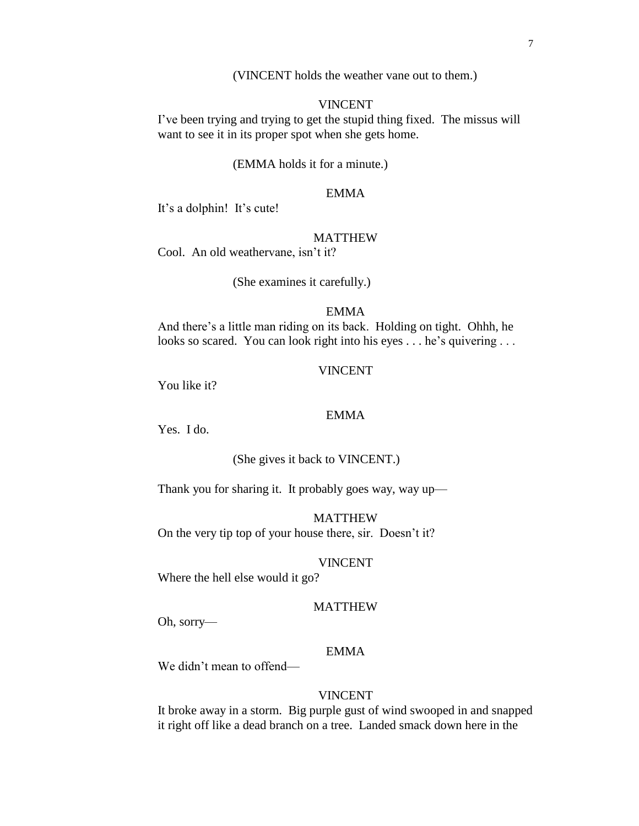(VINCENT holds the weather vane out to them.)

# VINCENT

I've been trying and trying to get the stupid thing fixed. The missus will want to see it in its proper spot when she gets home.

#### (EMMA holds it for a minute.)

# EMMA

It's a dolphin! It's cute!

#### MATTHEW

Cool. An old weathervane, isn't it?

(She examines it carefully.)

# EMMA

And there's a little man riding on its back. Holding on tight. Ohhh, he looks so scared. You can look right into his eyes . . . he's quivering . . .

#### VINCENT

You like it?

# EMMA

Yes. I do.

## (She gives it back to VINCENT.)

Thank you for sharing it. It probably goes way, way up—

MATTHEW On the very tip top of your house there, sir. Doesn't it?

#### VINCENT

Where the hell else would it go?

# MATTHEW

Oh, sorry—

# EMMA

We didn't mean to offend—

# VINCENT

It broke away in a storm. Big purple gust of wind swooped in and snapped it right off like a dead branch on a tree. Landed smack down here in the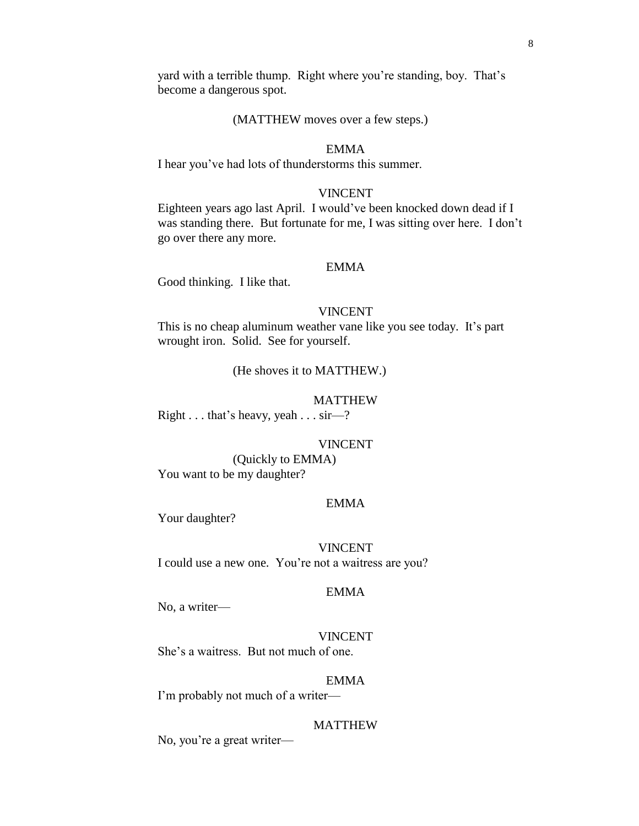yard with a terrible thump. Right where you're standing, boy. That's become a dangerous spot.

## (MATTHEW moves over a few steps.)

# EMMA

I hear you've had lots of thunderstorms this summer.

#### VINCENT

Eighteen years ago last April. I would've been knocked down dead if I was standing there. But fortunate for me, I was sitting over here. I don't go over there any more.

## EMMA

Good thinking. I like that.

# VINCENT

This is no cheap aluminum weather vane like you see today. It's part wrought iron. Solid. See for yourself.

(He shoves it to MATTHEW.)

## MATTHEW

Right . . . that's heavy, yeah . . . sir—?

#### VINCENT

(Quickly to EMMA) You want to be my daughter?

## EMMA

Your daughter?

## VINCENT

I could use a new one. You're not a waitress are you?

# EMMA

No, a writer—

## VINCENT

She's a waitress. But not much of one.

#### EMMA

I'm probably not much of a writer—

#### **MATTHEW**

No, you're a great writer—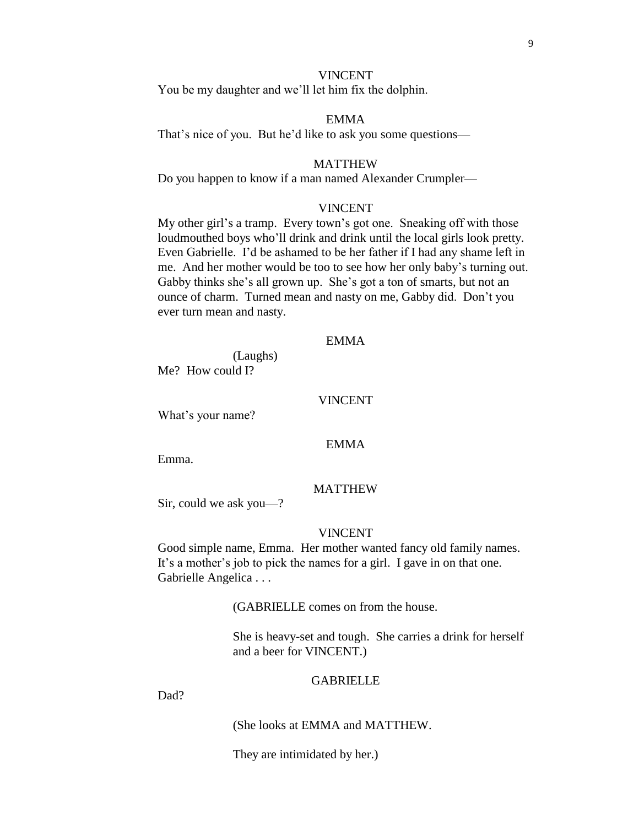## VINCENT

You be my daughter and we'll let him fix the dolphin.

# EMMA

That's nice of you. But he'd like to ask you some questions—

#### MATTHEW

Do you happen to know if a man named Alexander Crumpler—

# VINCENT

My other girl's a tramp. Every town's got one. Sneaking off with those loudmouthed boys who'll drink and drink until the local girls look pretty. Even Gabrielle. I'd be ashamed to be her father if I had any shame left in me. And her mother would be too to see how her only baby's turning out. Gabby thinks she's all grown up. She's got a ton of smarts, but not an ounce of charm. Turned mean and nasty on me, Gabby did. Don't you ever turn mean and nasty.

# EMMA

(Laughs) Me? How could I?

#### VINCENT

What's your name?

## EMMA

Emma.

#### MATTHEW

Sir, could we ask you—?

## VINCENT

Good simple name, Emma. Her mother wanted fancy old family names. It's a mother's job to pick the names for a girl. I gave in on that one. Gabrielle Angelica . . .

(GABRIELLE comes on from the house.

She is heavy-set and tough. She carries a drink for herself and a beer for VINCENT.)

#### GABRIELLE

Dad?

(She looks at EMMA and MATTHEW.

They are intimidated by her.)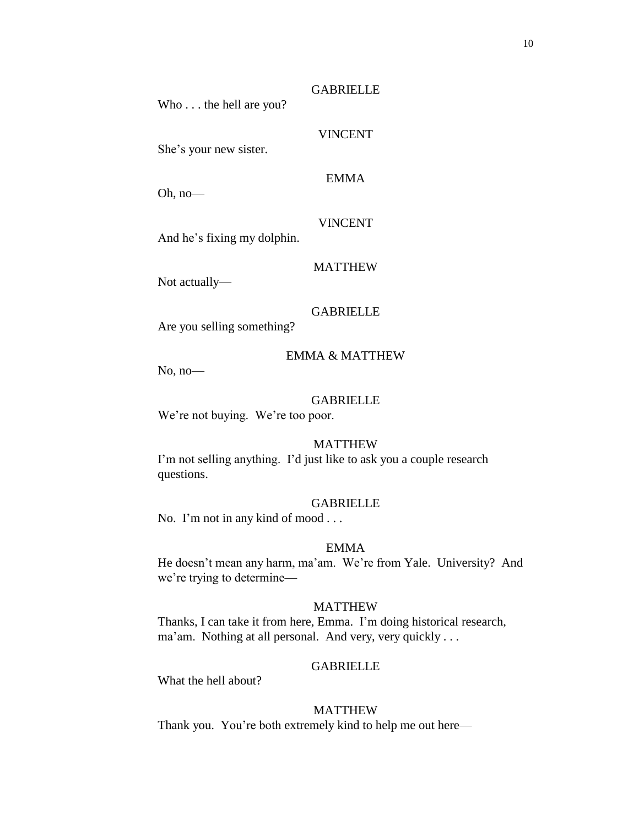Who . . . the hell are you?

She's your new sister.

EMMA

**GABRIELLE** 

VINCENT

Oh, no—

VINCENT

And he's fixing my dolphin.

Not actually—

GABRIELLE

MATTHEW

Are you selling something?

# EMMA & MATTHEW

No, no—

## GABRIELLE

We're not buying. We're too poor.

# MATTHEW

I'm not selling anything. I'd just like to ask you a couple research questions.

## GABRIELLE

No. I'm not in any kind of mood . . .

## EMMA

He doesn't mean any harm, ma'am. We're from Yale. University? And we're trying to determine—

# MATTHEW

Thanks, I can take it from here, Emma. I'm doing historical research, ma'am. Nothing at all personal. And very, very quickly . . .

# **GABRIELLE**

What the hell about?

# MATTHEW

Thank you. You're both extremely kind to help me out here—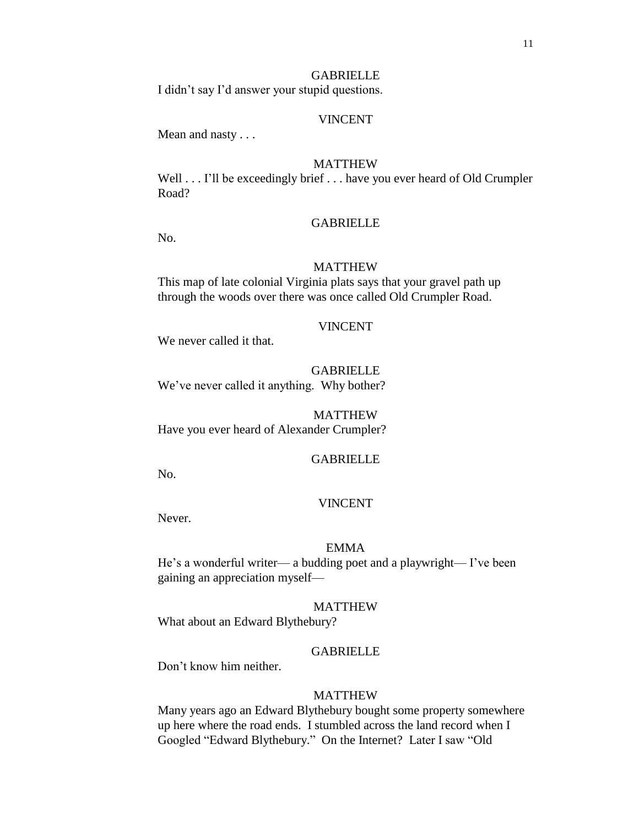# **GABRIELLE**

I didn't say I'd answer your stupid questions.

# VINCENT

Mean and nasty . . .

## MATTHEW

Well . . . I'll be exceedingly brief . . . have you ever heard of Old Crumpler Road?

## **GABRIELLE**

No.

#### MATTHEW

This map of late colonial Virginia plats says that your gravel path up through the woods over there was once called Old Crumpler Road.

## VINCENT

We never called it that.

GABRIELLE We've never called it anything. Why bother?

MATTHEW Have you ever heard of Alexander Crumpler?

# **GABRIELLE**

No.

#### VINCENT

Never.

#### EMMA

He's a wonderful writer— a budding poet and a playwright— I've been gaining an appreciation myself—

# MATTHEW

What about an Edward Blythebury?

## GABRIELLE

Don't know him neither.

#### MATTHEW

Many years ago an Edward Blythebury bought some property somewhere up here where the road ends. I stumbled across the land record when I Googled "Edward Blythebury." On the Internet? Later I saw "Old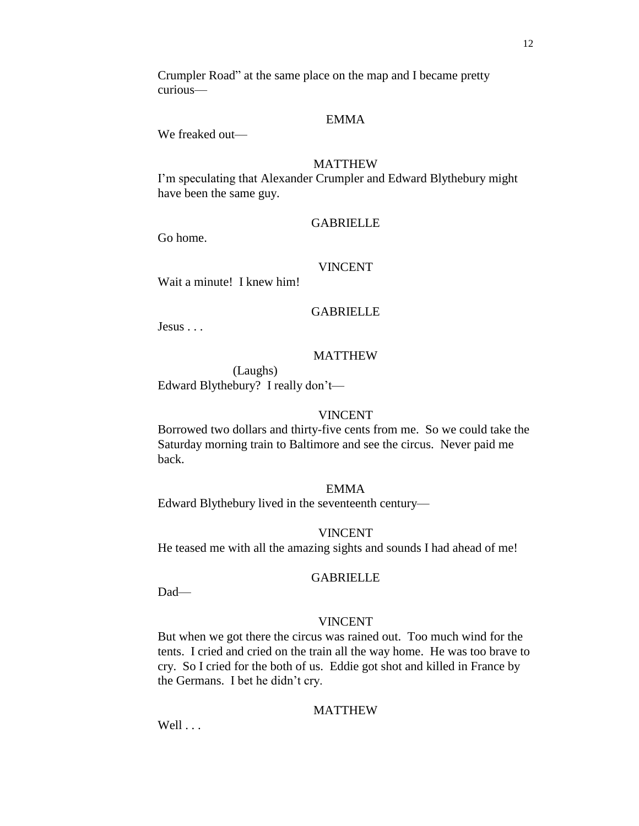Crumpler Road" at the same place on the map and I became pretty curious—

# EMMA

We freaked out—

# MATTHEW

I'm speculating that Alexander Crumpler and Edward Blythebury might have been the same guy.

# **GABRIELLE**

Go home.

#### VINCENT

Wait a minute! I knew him!

# **GABRIELLE**

Jesus . . .

## MATTHEW

(Laughs) Edward Blythebury? I really don't—

# VINCENT

Borrowed two dollars and thirty-five cents from me. So we could take the Saturday morning train to Baltimore and see the circus. Never paid me back.

# EMMA

Edward Blythebury lived in the seventeenth century—

# VINCENT

He teased me with all the amazing sights and sounds I had ahead of me!

#### **GABRIELLE**

Dad—

# VINCENT

But when we got there the circus was rained out. Too much wind for the tents. I cried and cried on the train all the way home. He was too brave to cry. So I cried for the both of us. Eddie got shot and killed in France by the Germans. I bet he didn't cry.

# MATTHEW

Well . . . .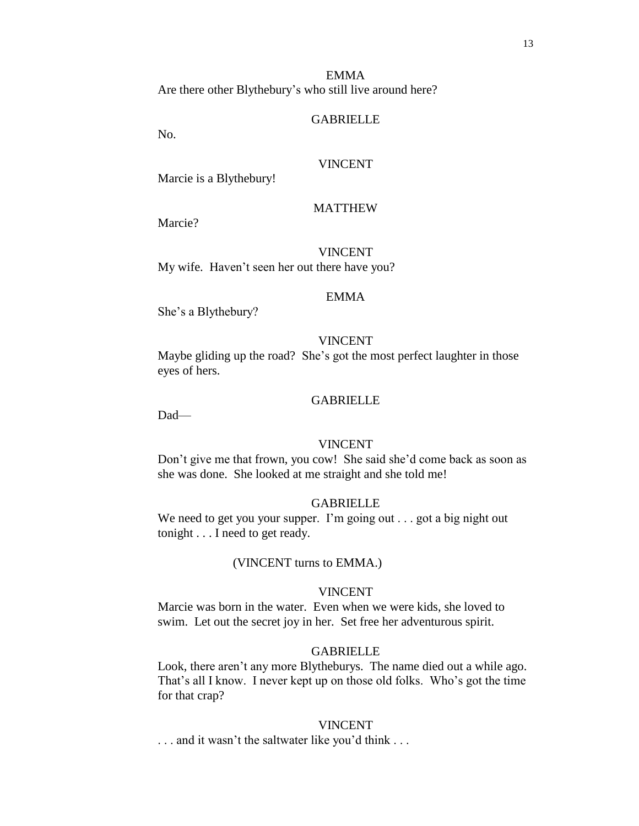EMMA Are there other Blythebury's who still live around here?

#### GABRIELLE

No.

## VINCENT

Marcie is a Blythebury!

# MATTHEW

Marcie?

# VINCENT

My wife. Haven't seen her out there have you?

#### EMMA

She's a Blythebury?

# VINCENT

Maybe gliding up the road? She's got the most perfect laughter in those eyes of hers.

## GABRIELLE

Dad—

# VINCENT

Don't give me that frown, you cow! She said she'd come back as soon as she was done. She looked at me straight and she told me!

#### GABRIELLE

We need to get you your supper. I'm going out . . . got a big night out tonight . . . I need to get ready.

## (VINCENT turns to EMMA.)

#### VINCENT

Marcie was born in the water. Even when we were kids, she loved to swim. Let out the secret joy in her. Set free her adventurous spirit.

#### GABRIELLE

Look, there aren't any more Blytheburys. The name died out a while ago. That's all I know. I never kept up on those old folks. Who's got the time for that crap?

#### VINCENT

. . . and it wasn't the saltwater like you'd think . . .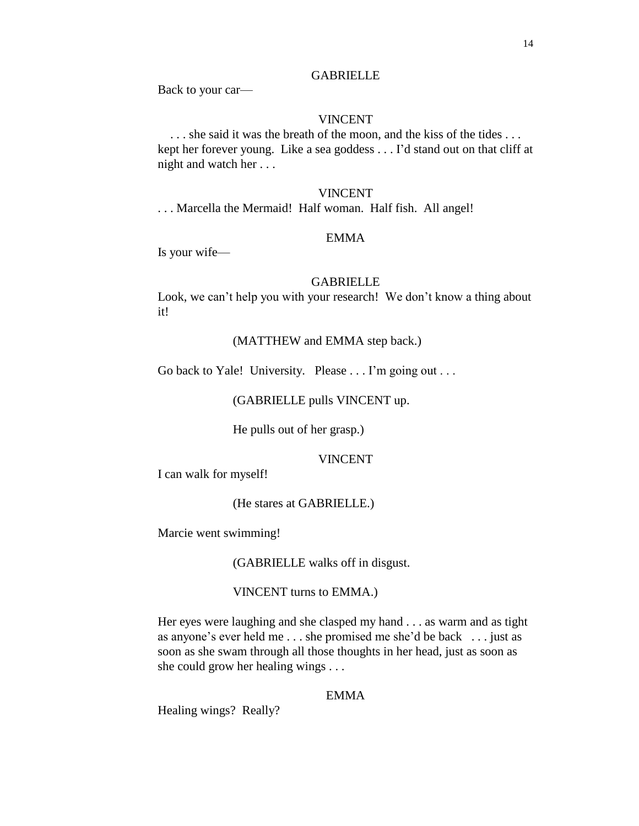# **GABRIELLE**

Back to your car—

## VINCENT

. . . she said it was the breath of the moon, and the kiss of the tides . . . kept her forever young. Like a sea goddess . . . I'd stand out on that cliff at night and watch her . . .

#### VINCENT

. . . Marcella the Mermaid! Half woman. Half fish. All angel!

# EMMA

Is your wife—

#### GABRIELLE

Look, we can't help you with your research! We don't know a thing about it!

# (MATTHEW and EMMA step back.)

Go back to Yale! University. Please . . . I'm going out . . .

## (GABRIELLE pulls VINCENT up.

He pulls out of her grasp.)

# VINCENT

I can walk for myself!

#### (He stares at GABRIELLE.)

Marcie went swimming!

(GABRIELLE walks off in disgust.

# VINCENT turns to EMMA.)

Her eyes were laughing and she clasped my hand . . . as warm and as tight as anyone's ever held me . . . she promised me she'd be back . . . just as soon as she swam through all those thoughts in her head, just as soon as she could grow her healing wings . . .

# EMMA

Healing wings? Really?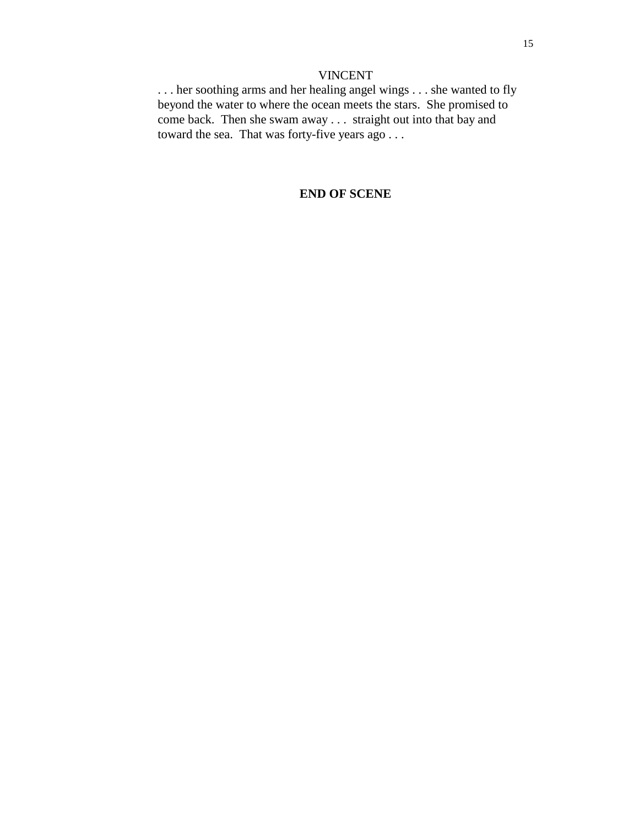# VINCENT

. . . her soothing arms and her healing angel wings . . . she wanted to fly beyond the water to where the ocean meets the stars. She promised to come back. Then she swam away . . . straight out into that bay and toward the sea. That was forty-five years ago . . .

# **END OF SCENE**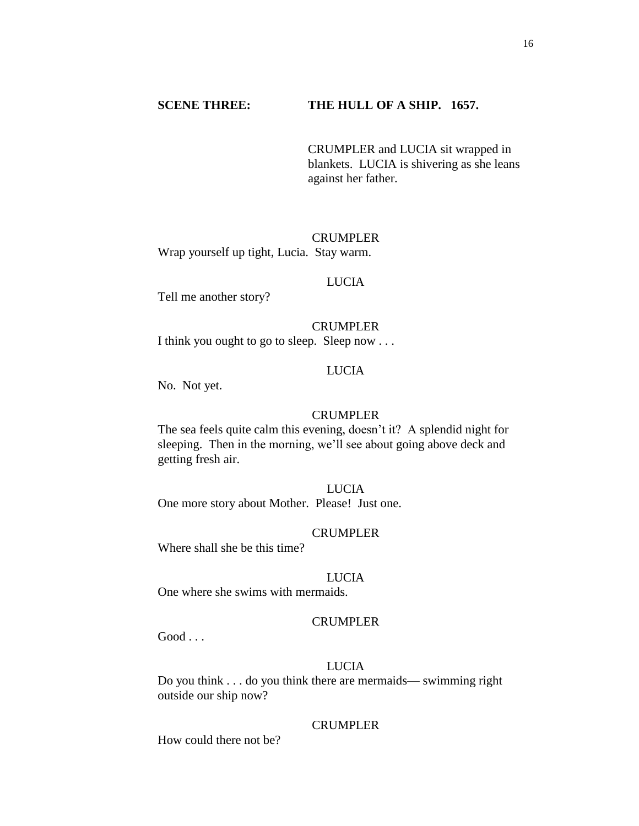# **SCENE THREE: THE HULL OF A SHIP. 1657.**

CRUMPLER and LUCIA sit wrapped in blankets. LUCIA is shivering as she leans against her father.

CRUMPLER Wrap yourself up tight, Lucia. Stay warm.

#### LUCIA

Tell me another story?

#### CRUMPLER

I think you ought to go to sleep. Sleep now . . .

## LUCIA

No. Not yet.

## CRUMPLER

The sea feels quite calm this evening, doesn't it? A splendid night for sleeping. Then in the morning, we'll see about going above deck and getting fresh air.

# LUCIA

One more story about Mother. Please! Just one.

# CRUMPLER

Where shall she be this time?

## LUCIA

One where she swims with mermaids.

# CRUMPLER

 $Good...$ 

# LUCIA

Do you think . . . do you think there are mermaids— swimming right outside our ship now?

# CRUMPLER

How could there not be?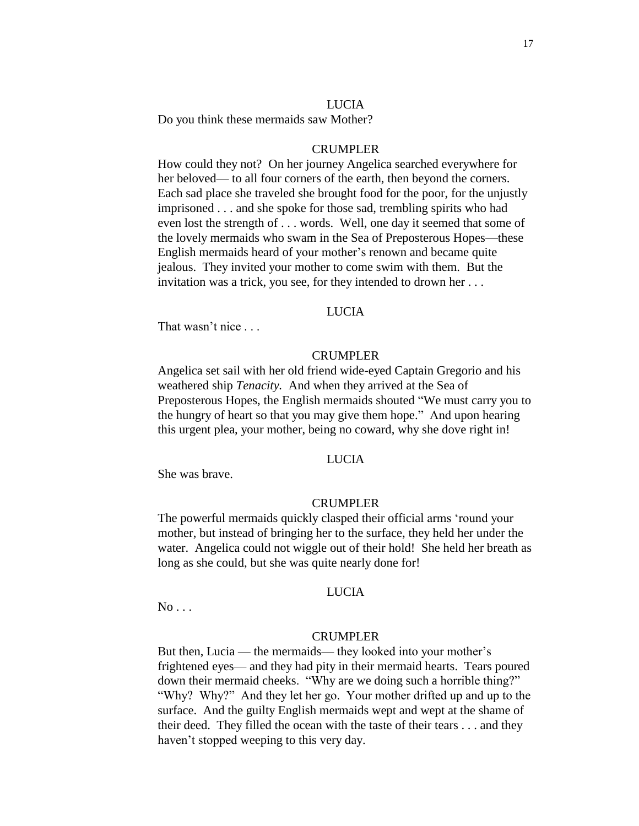#### LUCIA

Do you think these mermaids saw Mother?

## CRUMPLER

How could they not? On her journey Angelica searched everywhere for her beloved— to all four corners of the earth, then beyond the corners. Each sad place she traveled she brought food for the poor, for the unjustly imprisoned . . . and she spoke for those sad, trembling spirits who had even lost the strength of . . . words. Well, one day it seemed that some of the lovely mermaids who swam in the Sea of Preposterous Hopes—these English mermaids heard of your mother's renown and became quite jealous. They invited your mother to come swim with them. But the invitation was a trick, you see, for they intended to drown her . . .

## LUCIA

That wasn't nice ...

## CRUMPLER

Angelica set sail with her old friend wide-eyed Captain Gregorio and his weathered ship *Tenacity.* And when they arrived at the Sea of Preposterous Hopes, the English mermaids shouted "We must carry you to the hungry of heart so that you may give them hope." And upon hearing this urgent plea, your mother, being no coward, why she dove right in!

# LUCIA

She was brave.

#### CRUMPLER

The powerful mermaids quickly clasped their official arms 'round your mother, but instead of bringing her to the surface, they held her under the water. Angelica could not wiggle out of their hold! She held her breath as long as she could, but she was quite nearly done for!

#### LUCIA

 $No...$ 

#### CRUMPLER

But then, Lucia — the mermaids— they looked into your mother's frightened eyes— and they had pity in their mermaid hearts. Tears poured down their mermaid cheeks. "Why are we doing such a horrible thing?" "Why? Why?" And they let her go. Your mother drifted up and up to the surface. And the guilty English mermaids wept and wept at the shame of their deed. They filled the ocean with the taste of their tears . . . and they haven't stopped weeping to this very day.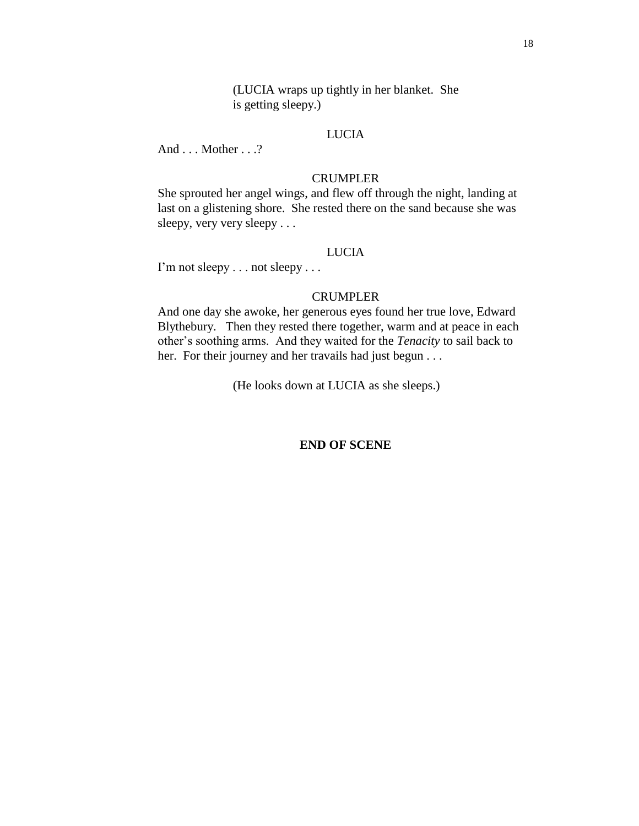(LUCIA wraps up tightly in her blanket. She is getting sleepy.)

# LUCIA

And . . . Mother . . .?

# CRUMPLER

She sprouted her angel wings, and flew off through the night, landing at last on a glistening shore. She rested there on the sand because she was sleepy, very very sleepy . . .

# LUCIA

I'm not sleepy . . . not sleepy . . .

# CRUMPLER

And one day she awoke, her generous eyes found her true love, Edward Blythebury. Then they rested there together, warm and at peace in each other's soothing arms. And they waited for the *Tenacity* to sail back to her. For their journey and her travails had just begun . . .

(He looks down at LUCIA as she sleeps.)

# **END OF SCENE**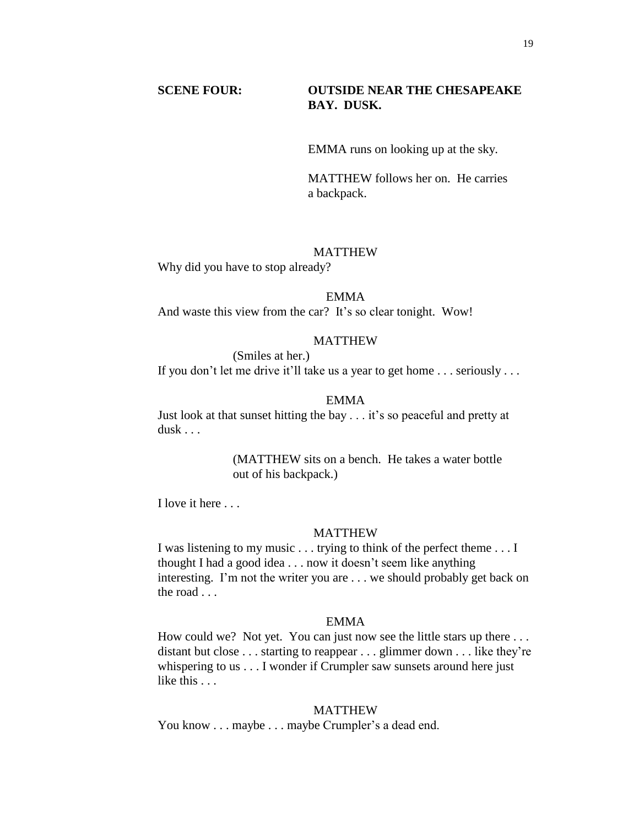# **SCENE FOUR: OUTSIDE NEAR THE CHESAPEAKE BAY. DUSK.**

EMMA runs on looking up at the sky.

MATTHEW follows her on. He carries a backpack.

# MATTHEW

Why did you have to stop already?

#### EMMA

And waste this view from the car? It's so clear tonight. Wow!

#### **MATTHEW**

(Smiles at her.)

If you don't let me drive it'll take us a year to get home . . . seriously . . .

## EMMA

Just look at that sunset hitting the bay . . . it's so peaceful and pretty at dusk . . .

> (MATTHEW sits on a bench. He takes a water bottle out of his backpack.)

I love it here . . .

# MATTHEW

I was listening to my music . . . trying to think of the perfect theme . . . I thought I had a good idea . . . now it doesn't seem like anything interesting. I'm not the writer you are . . . we should probably get back on the road . . .

# EMMA

How could we? Not yet. You can just now see the little stars up there ... distant but close . . . starting to reappear . . . glimmer down . . . like they're whispering to us . . . I wonder if Crumpler saw sunsets around here just like this . . .

#### MATTHEW

You know . . . maybe . . . maybe Crumpler's a dead end.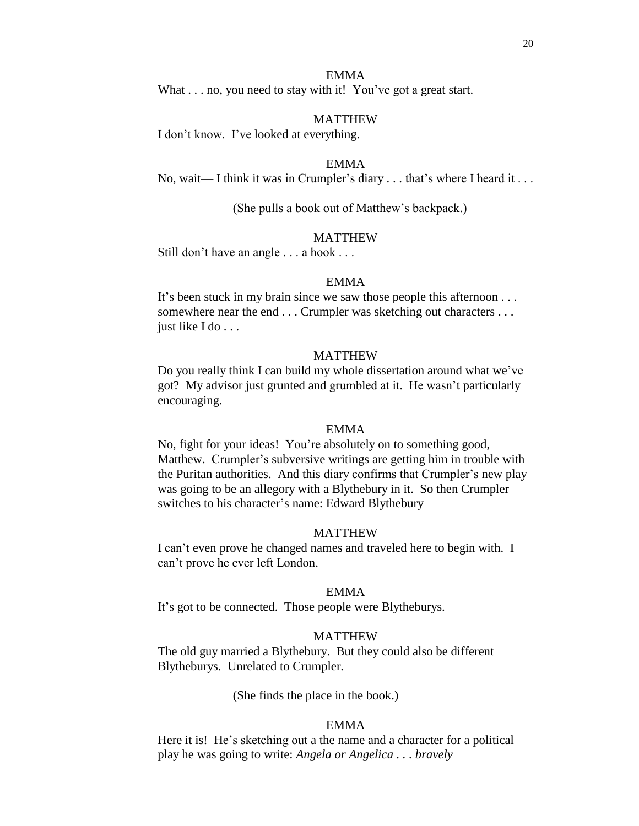# EMMA

What . . . no, you need to stay with it! You've got a great start.

#### MATTHEW

I don't know. I've looked at everything.

#### EMMA

No, wait— I think it was in Crumpler's diary . . . that's where I heard it . . .

(She pulls a book out of Matthew's backpack.)

## MATTHEW

Still don't have an angle . . . a hook . . .

## EMMA

It's been stuck in my brain since we saw those people this afternoon . . . somewhere near the end . . . Crumpler was sketching out characters . . . just like I do . . .

## MATTHEW

Do you really think I can build my whole dissertation around what we've got? My advisor just grunted and grumbled at it. He wasn't particularly encouraging.

#### EMMA

No, fight for your ideas! You're absolutely on to something good, Matthew. Crumpler's subversive writings are getting him in trouble with the Puritan authorities. And this diary confirms that Crumpler's new play was going to be an allegory with a Blythebury in it. So then Crumpler switches to his character's name: Edward Blythebury—

# MATTHEW

I can't even prove he changed names and traveled here to begin with. I can't prove he ever left London.

#### EMMA

It's got to be connected. Those people were Blytheburys.

# MATTHEW

The old guy married a Blythebury. But they could also be different Blytheburys. Unrelated to Crumpler.

(She finds the place in the book.)

## EMMA

Here it is! He's sketching out a the name and a character for a political play he was going to write: *Angela or Angelica . . . bravely*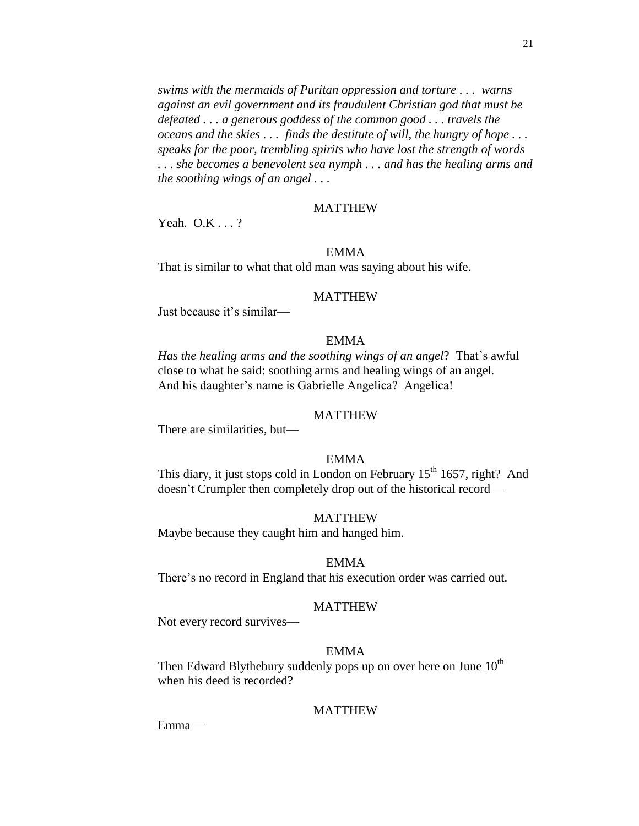*swims with the mermaids of Puritan oppression and torture . . . warns against an evil government and its fraudulent Christian god that must be defeated . . . a generous goddess of the common good . . . travels the oceans and the skies . . . finds the destitute of will, the hungry of hope . . . speaks for the poor, trembling spirits who have lost the strength of words . . . she becomes a benevolent sea nymph . . . and has the healing arms and the soothing wings of an angel . . .* 

## **MATTHEW**

Yeah. O.K . . . ?

# EMMA

That is similar to what that old man was saying about his wife.

#### MATTHEW

Just because it's similar—

# EMMA

*Has the healing arms and the soothing wings of an angel*? That's awful close to what he said: soothing arms and healing wings of an angel*.* And his daughter's name is Gabrielle Angelica? Angelica!

# MATTHEW

There are similarities, but—

# EMMA

This diary, it just stops cold in London on February  $15<sup>th</sup> 1657$ , right? And doesn't Crumpler then completely drop out of the historical record—

## MATTHEW

Maybe because they caught him and hanged him.

#### EMMA

There's no record in England that his execution order was carried out.

#### MATTHEW

Not every record survives—

# EMMA

Then Edward Blythebury suddenly pops up on over here on June  $10<sup>th</sup>$ when his deed is recorded?

#### MATTHEW

Emma—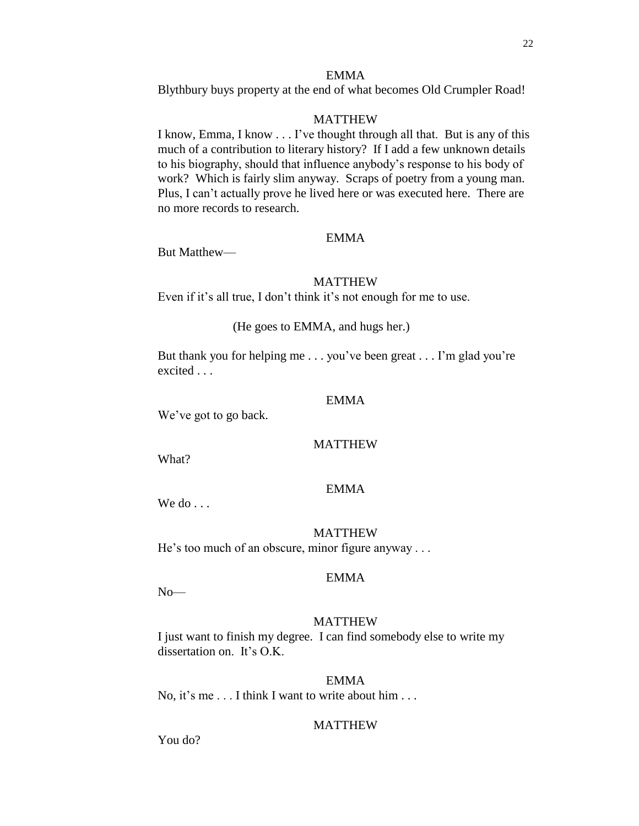# EMMA

Blythbury buys property at the end of what becomes Old Crumpler Road!

# MATTHEW

I know, Emma, I know . . . I've thought through all that. But is any of this much of a contribution to literary history? If I add a few unknown details to his biography, should that influence anybody's response to his body of work? Which is fairly slim anyway. Scraps of poetry from a young man. Plus, I can't actually prove he lived here or was executed here. There are no more records to research.

# EMMA

But Matthew—

# MATTHEW

Even if it's all true, I don't think it's not enough for me to use.

(He goes to EMMA, and hugs her.)

But thank you for helping me . . . you've been great . . . I'm glad you're excited . . .

#### EMMA

We've got to go back.

# MATTHEW

What?

# EMMA

We do ...

# MATTHEW

He's too much of an obscure, minor figure anyway . . .

#### EMMA

No—

# MATTHEW

I just want to finish my degree. I can find somebody else to write my dissertation on. It's O.K.

#### EMMA

No, it's me . . . I think I want to write about him . . .

## **MATTHEW**

You do?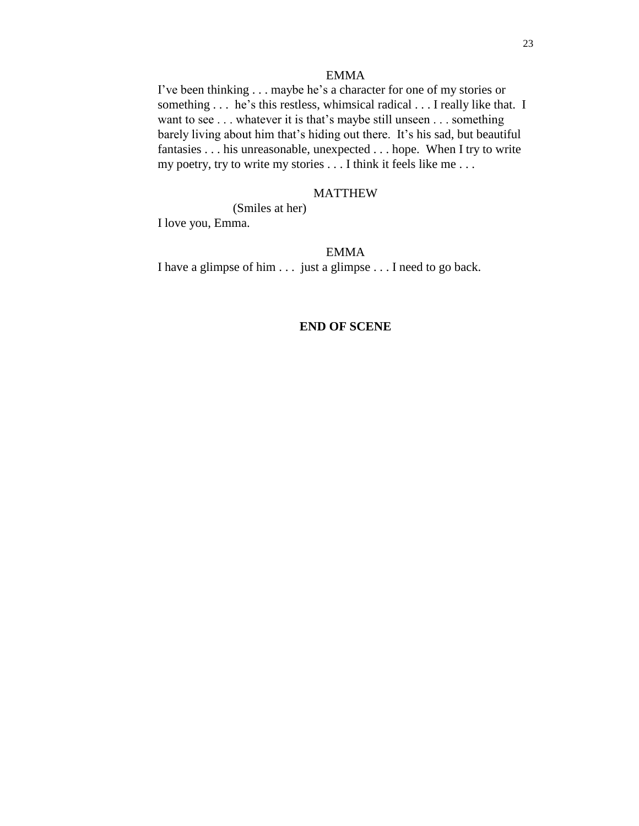# EMMA

I've been thinking . . . maybe he's a character for one of my stories or something . . . he's this restless, whimsical radical . . . I really like that. I want to see . . . whatever it is that's maybe still unseen . . . something barely living about him that's hiding out there. It's his sad, but beautiful fantasies . . . his unreasonable, unexpected . . . hope. When I try to write my poetry, try to write my stories . . . I think it feels like me . . .

## MATTHEW

(Smiles at her)

I love you, Emma.

# EMMA

I have a glimpse of him . . . just a glimpse . . . I need to go back.

# **END OF SCENE**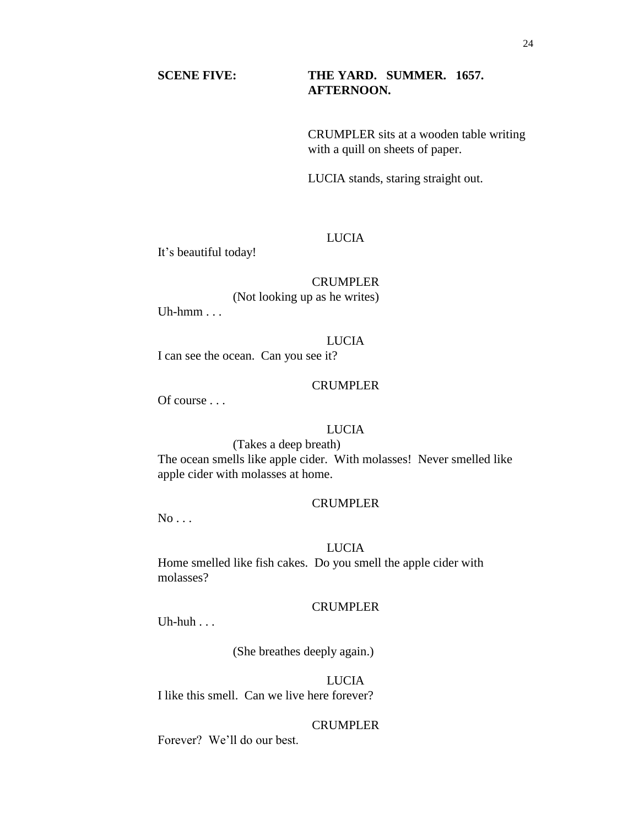# **SCENE FIVE: THE YARD. SUMMER. 1657. AFTERNOON.**

CRUMPLER sits at a wooden table writing with a quill on sheets of paper.

LUCIA stands, staring straight out.

## LUCIA

It's beautiful today!

# CRUMPLER

(Not looking up as he writes)

Uh-hmm $\ldots$ 

#### LUCIA

I can see the ocean. Can you see it?

## **CRUMPLER**

Of course . . .

# LUCIA

(Takes a deep breath)

The ocean smells like apple cider. With molasses! Never smelled like apple cider with molasses at home.

#### CRUMPLER

 $No...$ 

#### LUCIA

Home smelled like fish cakes. Do you smell the apple cider with molasses?

## CRUMPLER

Uh-huh $\ldots$ 

(She breathes deeply again.)

# LUCIA

I like this smell. Can we live here forever?

# CRUMPLER

Forever? We'll do our best.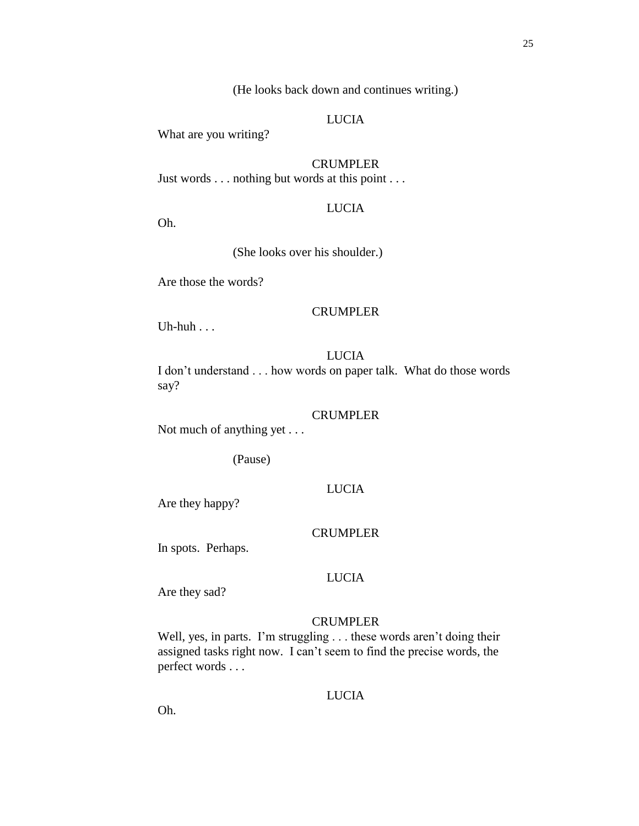(He looks back down and continues writing.)

# LUCIA

What are you writing?

CRUMPLER

Just words . . . nothing but words at this point . . .

# LUCIA

Oh.

(She looks over his shoulder.)

Are those the words?

## CRUMPLER

Uh-huh . . .

# LUCIA

I don't understand . . . how words on paper talk. What do those words say?

# CRUMPLER

Not much of anything yet . . .

(Pause)

# LUCIA

Are they happy?

# CRUMPLER

In spots. Perhaps.

#### LUCIA

Are they sad?

# CRUMPLER

Well, yes, in parts. I'm struggling . . . these words aren't doing their assigned tasks right now. I can't seem to find the precise words, the perfect words . . .

# LUCIA

Oh.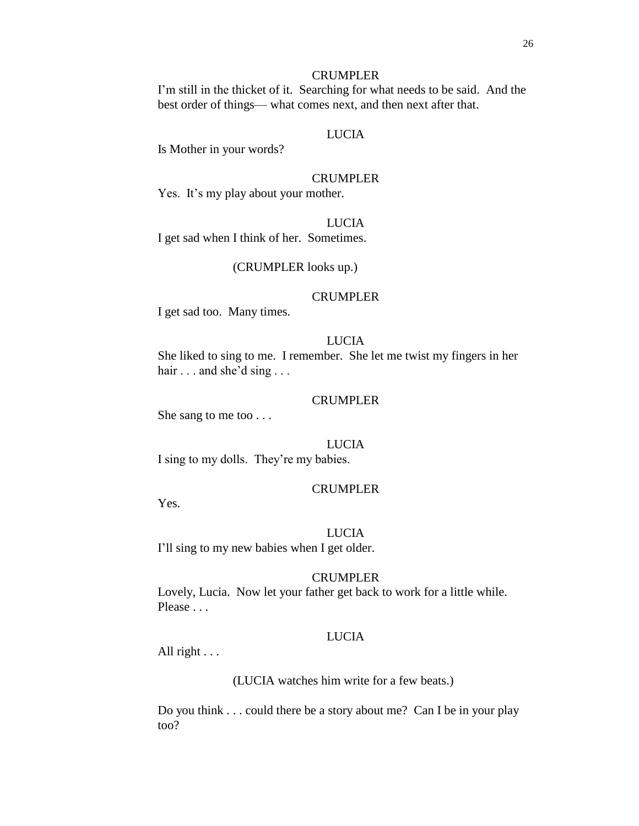# **CRUMPLER**

I'm still in the thicket of it. Searching for what needs to be said. And the best order of things— what comes next, and then next after that.

# LUCIA

Is Mother in your words?

#### CRUMPLER

Yes. It's my play about your mother.

# LUCIA

I get sad when I think of her. Sometimes.

#### (CRUMPLER looks up.)

#### CRUMPLER

I get sad too. Many times.

# LUCIA

She liked to sing to me. I remember. She let me twist my fingers in her hair . . . and she'd sing . . .

#### CRUMPLER

She sang to me too . . .

# LUCIA

I sing to my dolls. They're my babies.

#### CRUMPLER

Yes.

# LUCIA I'll sing to my new babies when I get older.

#### CRUMPLER

Lovely, Lucia. Now let your father get back to work for a little while. Please . . .

## LUCIA

All right . . .

(LUCIA watches him write for a few beats.)

Do you think . . . could there be a story about me? Can I be in your play too?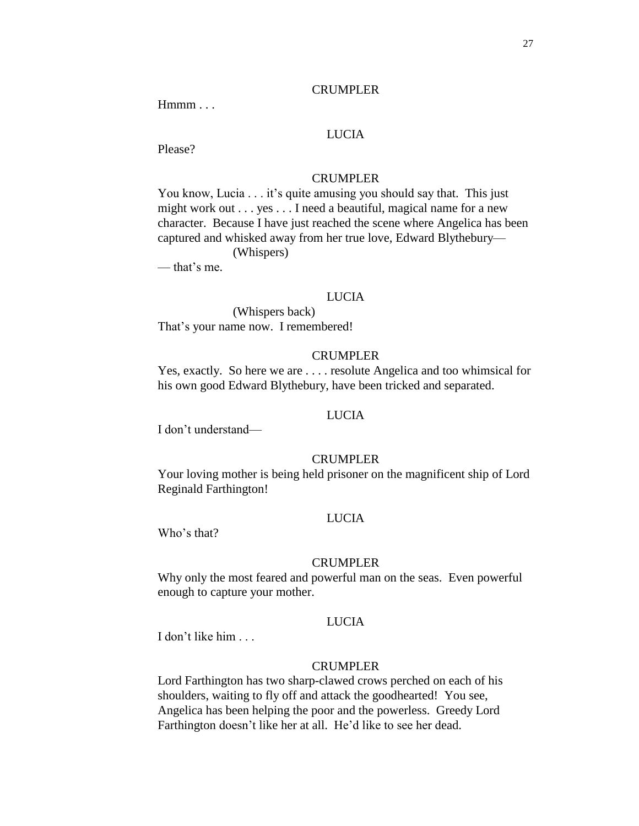#### CRUMPLER

Hmmm...

# LUCIA

Please?

## CRUMPLER

You know, Lucia . . . it's quite amusing you should say that. This just might work out . . . yes . . . I need a beautiful, magical name for a new character. Because I have just reached the scene where Angelica has been captured and whisked away from her true love, Edward Blythebury— (Whispers)

— that's me.

#### LUCIA

(Whispers back) That's your name now. I remembered!

## CRUMPLER

Yes, exactly. So here we are . . . . resolute Angelica and too whimsical for his own good Edward Blythebury, have been tricked and separated.

## LUCIA

I don't understand—

#### CRUMPLER

Your loving mother is being held prisoner on the magnificent ship of Lord Reginald Farthington!

# LUCIA

Who's that?

#### CRUMPLER

Why only the most feared and powerful man on the seas. Even powerful enough to capture your mother.

# LUCIA

I don't like him . . .

#### CRUMPLER

Lord Farthington has two sharp-clawed crows perched on each of his shoulders, waiting to fly off and attack the goodhearted! You see, Angelica has been helping the poor and the powerless. Greedy Lord Farthington doesn't like her at all. He'd like to see her dead.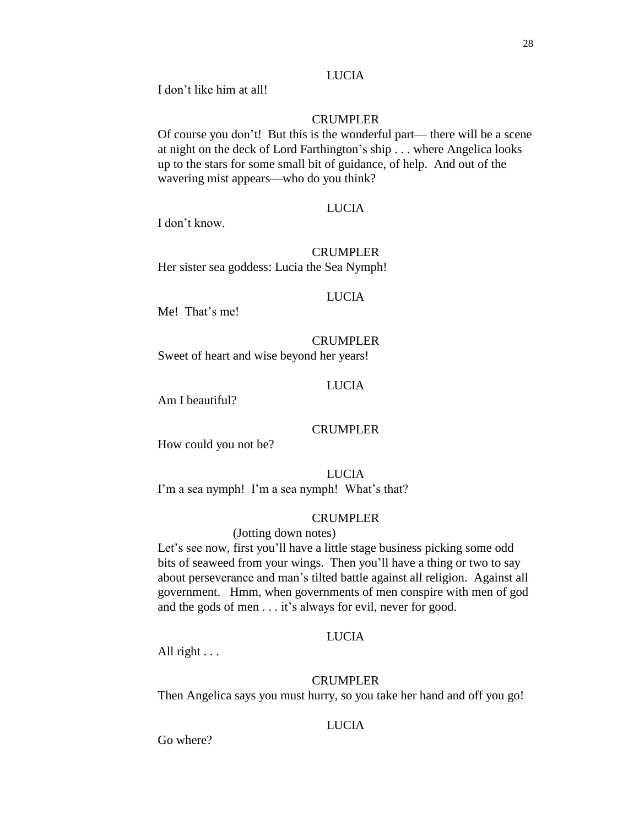# LUCIA

I don't like him at all!

# CRUMPLER

Of course you don't! But this is the wonderful part— there will be a scene at night on the deck of Lord Farthington's ship . . . where Angelica looks up to the stars for some small bit of guidance, of help. And out of the wavering mist appears—who do you think?

## LUCIA

I don't know.

# CRUMPLER

Her sister sea goddess: Lucia the Sea Nymph!

## LUCIA

Me! That's me!

# CRUMPLER

Sweet of heart and wise beyond her years!

# LUCIA

Am I beautiful?

# CRUMPLER

How could you not be?

**LUCIA** I'm a sea nymph! I'm a sea nymph! What's that?

# CRUMPLER

# (Jotting down notes)

Let's see now, first you'll have a little stage business picking some odd bits of seaweed from your wings. Then you'll have a thing or two to say about perseverance and man's tilted battle against all religion. Against all government. Hmm, when governments of men conspire with men of god and the gods of men . . . it's always for evil, never for good.

# LUCIA

All right  $\ldots$ 

# CRUMPLER

Then Angelica says you must hurry, so you take her hand and off you go!

# **LUCIA**

Go where?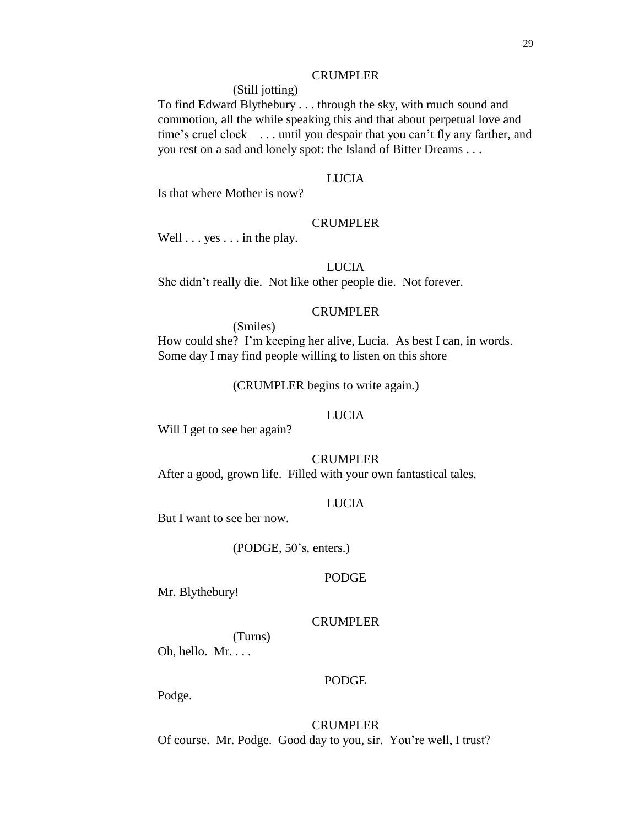## CRUMPLER

(Still jotting)

To find Edward Blythebury . . . through the sky, with much sound and commotion, all the while speaking this and that about perpetual love and time's cruel clock . . . until you despair that you can't fly any farther, and you rest on a sad and lonely spot: the Island of Bitter Dreams . . .

# LUCIA

Is that where Mother is now?

# CRUMPLER

Well . . . yes . . . in the play.

#### LUCIA

She didn't really die. Not like other people die. Not forever.

# CRUMPLER

(Smiles)

How could she? I'm keeping her alive, Lucia. As best I can, in words. Some day I may find people willing to listen on this shore

(CRUMPLER begins to write again.)

# LUCIA

Will I get to see her again?

#### CRUMPLER

After a good, grown life. Filled with your own fantastical tales.

#### LUCIA

But I want to see her now.

(PODGE, 50's, enters.)

#### PODGE

Mr. Blythebury!

# CRUMPLER

(Turns) Oh, hello. Mr. . . .

#### PODGE

Podge.

CRUMPLER Of course. Mr. Podge. Good day to you, sir. You're well, I trust?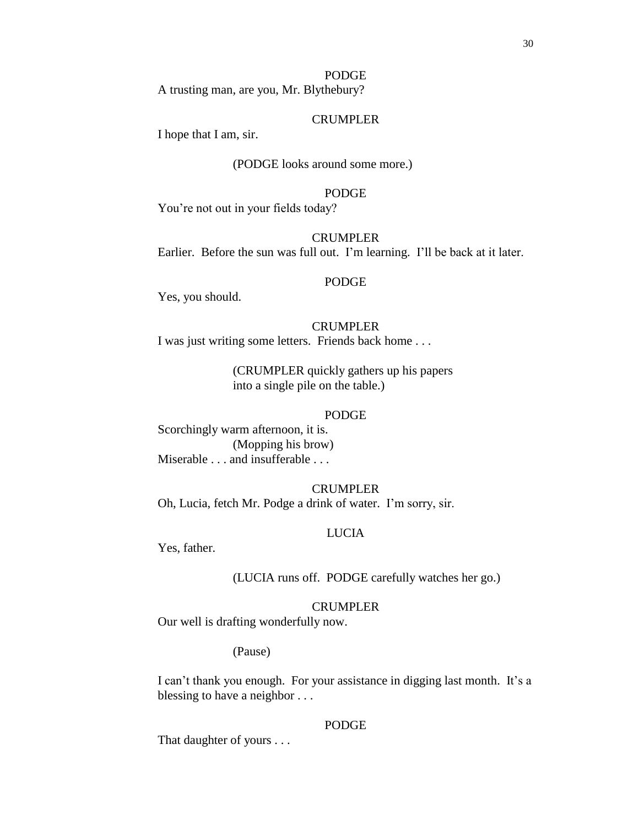# PODGE

A trusting man, are you, Mr. Blythebury?

# CRUMPLER

I hope that I am, sir.

# (PODGE looks around some more.)

# PODGE

You're not out in your fields today?

#### CRUMPLER

Earlier. Before the sun was full out. I'm learning. I'll be back at it later.

# PODGE

Yes, you should.

## CRUMPLER

I was just writing some letters. Friends back home . . .

(CRUMPLER quickly gathers up his papers into a single pile on the table.)

## PODGE

Scorchingly warm afternoon, it is. (Mopping his brow) Miserable . . . and insufferable . . .

# CRUMPLER

Oh, Lucia, fetch Mr. Podge a drink of water. I'm sorry, sir.

# LUCIA

Yes, father.

(LUCIA runs off. PODGE carefully watches her go.)

## CRUMPLER

Our well is drafting wonderfully now.

## (Pause)

I can't thank you enough. For your assistance in digging last month. It's a blessing to have a neighbor . . .

## PODGE

That daughter of yours . . .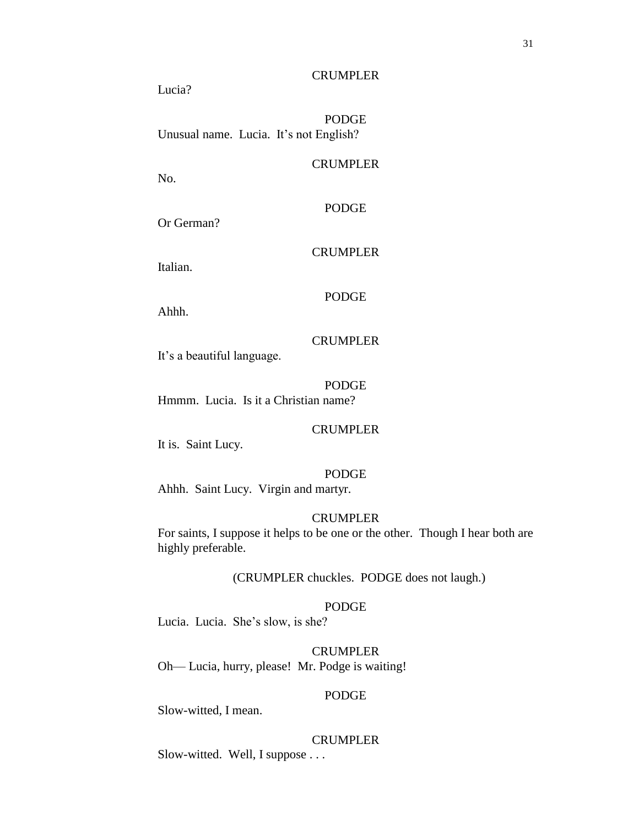**CRUMPLER** 

Lucia?

PODGE Unusual name. Lucia. It's not English?

## CRUMPLER

No.

# PODGE

Or German?

# **CRUMPLER**

Italian.

# PODGE

Ahhh.

## CRUMPLER

It's a beautiful language.

PODGE Hmmm. Lucia. Is it a Christian name?

## CRUMPLER

It is. Saint Lucy.

## PODGE

Ahhh. Saint Lucy. Virgin and martyr.

# CRUMPLER

For saints, I suppose it helps to be one or the other. Though I hear both are highly preferable.

## (CRUMPLER chuckles. PODGE does not laugh.)

# PODGE

Lucia. Lucia. She's slow, is she?

# CRUMPLER

Oh— Lucia, hurry, please! Mr. Podge is waiting!

#### PODGE

Slow-witted, I mean.

# CRUMPLER

Slow-witted. Well, I suppose . . .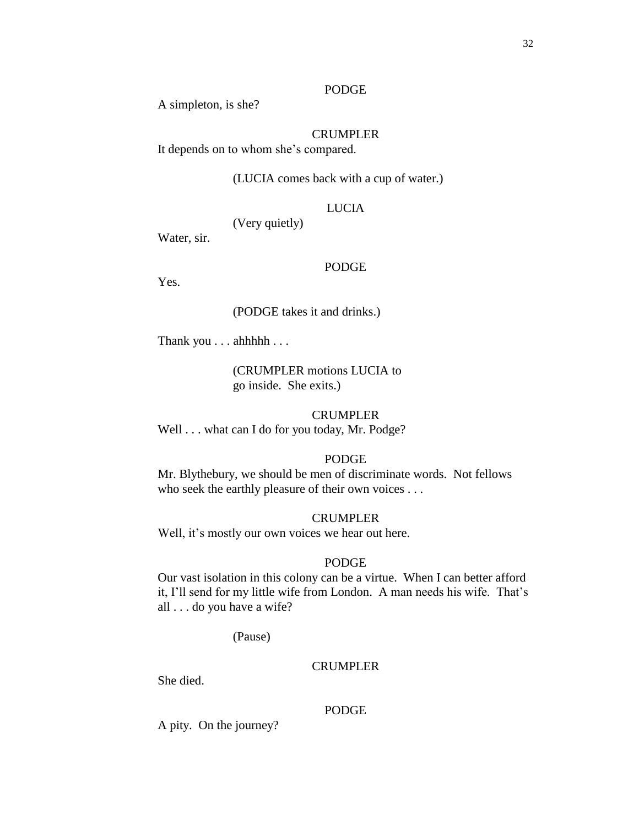## PODGE

A simpleton, is she?

# CRUMPLER

It depends on to whom she's compared.

# (LUCIA comes back with a cup of water.)

# LUCIA

(Very quietly)

Water, sir.

#### PODGE

Yes.

# (PODGE takes it and drinks.)

Thank you . . . ahhhhh . . .

(CRUMPLER motions LUCIA to go inside. She exits.)

#### CRUMPLER

Well . . . what can I do for you today, Mr. Podge?

# PODGE

Mr. Blythebury, we should be men of discriminate words. Not fellows who seek the earthly pleasure of their own voices . . .

#### CRUMPLER

Well, it's mostly our own voices we hear out here.

## PODGE

Our vast isolation in this colony can be a virtue. When I can better afford it, I'll send for my little wife from London. A man needs his wife. That's all . . . do you have a wife?

(Pause)

# **CRUMPLER**

She died.

#### PODGE

A pity. On the journey?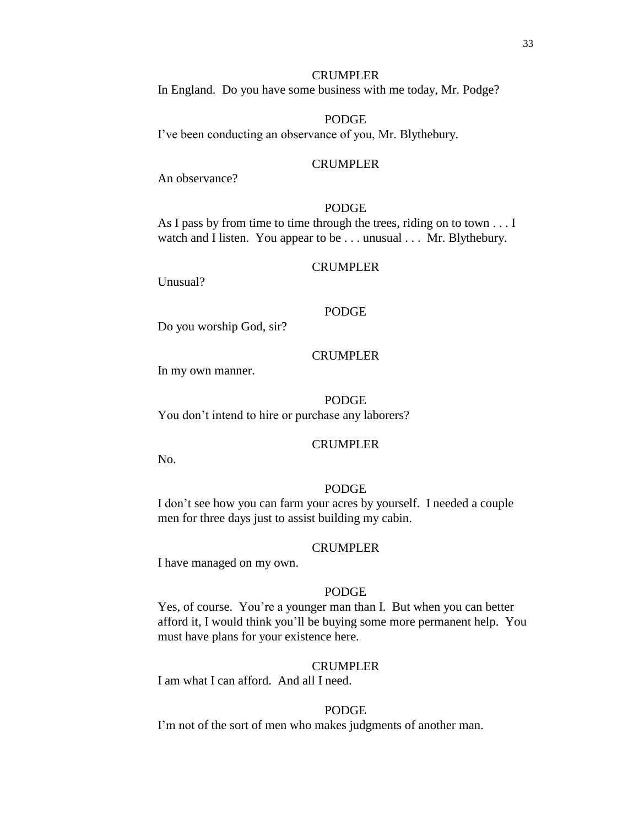# CRUMPLER

In England. Do you have some business with me today, Mr. Podge?

# PODGE

I've been conducting an observance of you, Mr. Blythebury.

#### CRUMPLER

An observance?

# PODGE

As I pass by from time to time through the trees, riding on to town . . . I watch and I listen. You appear to be . . . unusual . . . Mr. Blythebury.

#### CRUMPLER

Unusual?

# PODGE

Do you worship God, sir?

## CRUMPLER

In my own manner.

PODGE You don't intend to hire or purchase any laborers?

#### CRUMPLER

No.

# PODGE

I don't see how you can farm your acres by yourself. I needed a couple men for three days just to assist building my cabin.

#### CRUMPLER

I have managed on my own.

#### PODGE

Yes, of course. You're a younger man than I. But when you can better afford it, I would think you'll be buying some more permanent help. You must have plans for your existence here.

## CRUMPLER

I am what I can afford. And all I need.

#### PODGE

I'm not of the sort of men who makes judgments of another man.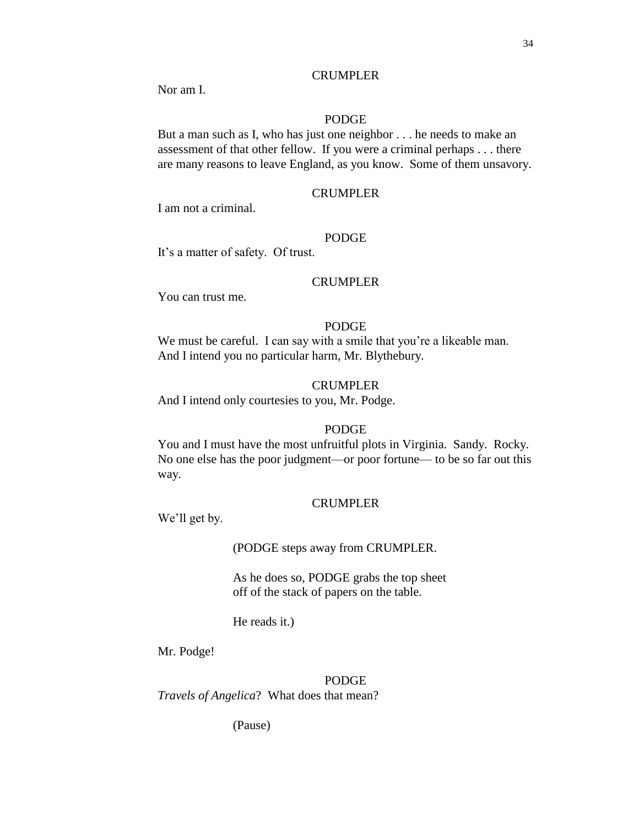Nor am I.

# PODGE

But a man such as I, who has just one neighbor . . . he needs to make an assessment of that other fellow. If you were a criminal perhaps . . . there are many reasons to leave England, as you know. Some of them unsavory.

# CRUMPLER

I am not a criminal.

## PODGE

It's a matter of safety. Of trust.

# CRUMPLER

You can trust me.

## PODGE

We must be careful. I can say with a smile that you're a likeable man. And I intend you no particular harm, Mr. Blythebury.

## CRUMPLER

And I intend only courtesies to you, Mr. Podge.

# PODGE

You and I must have the most unfruitful plots in Virginia. Sandy. Rocky. No one else has the poor judgment—or poor fortune— to be so far out this way.

#### CRUMPLER

We'll get by.

(PODGE steps away from CRUMPLER.

As he does so, PODGE grabs the top sheet off of the stack of papers on the table.

He reads it.)

Mr. Podge!

PODGE

*Travels of Angelica*? What does that mean?

(Pause)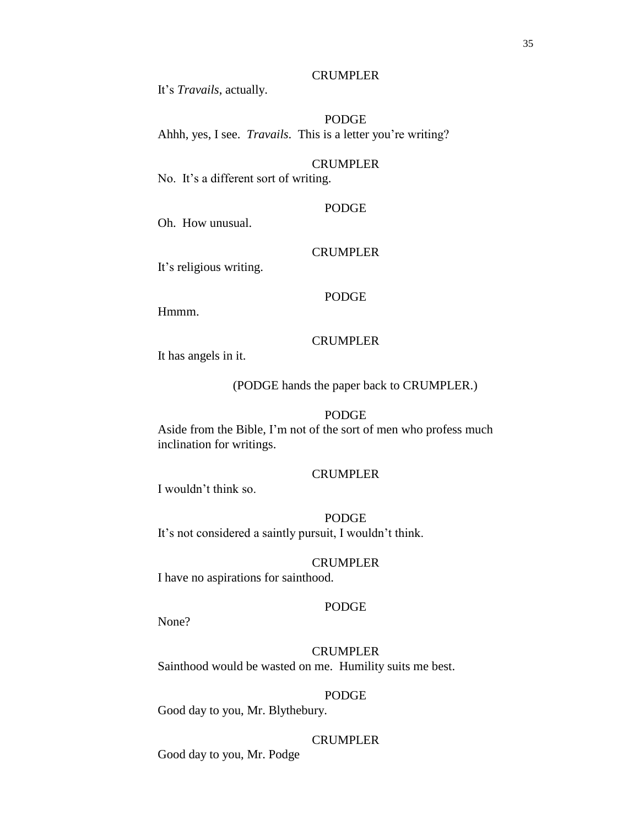## CRUMPLER

It's *Travails*, actually.

## PODGE

Ahhh, yes, I see. *Travails*. This is a letter you're writing?

## CRUMPLER

No. It's a different sort of writing.

## PODGE

Oh. How unusual.

# **CRUMPLER**

It's religious writing.

#### PODGE

Hmmm.

# CRUMPLER

It has angels in it.

(PODGE hands the paper back to CRUMPLER.)

# PODGE

Aside from the Bible, I'm not of the sort of men who profess much inclination for writings.

#### CRUMPLER

I wouldn't think so.

# PODGE

It's not considered a saintly pursuit, I wouldn't think.

# CRUMPLER

I have no aspirations for sainthood.

## PODGE

None?

# CRUMPLER Sainthood would be wasted on me. Humility suits me best.

PODGE Good day to you, Mr. Blythebury.

# **CRUMPLER**

Good day to you, Mr. Podge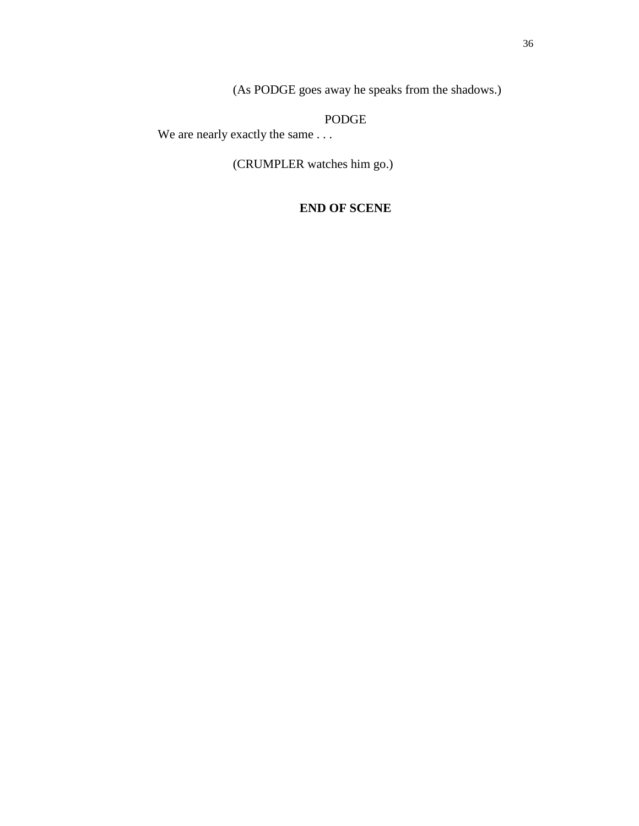(As PODGE goes away he speaks from the shadows.)

PODGE

We are nearly exactly the same . . .

(CRUMPLER watches him go.)

# **END OF SCENE**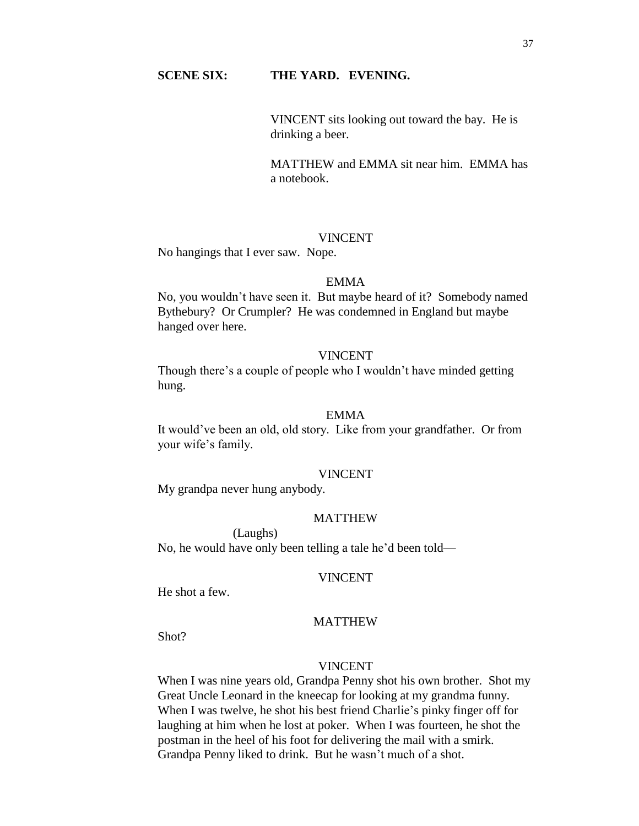# **SCENE SIX: THE YARD. EVENING.**

VINCENT sits looking out toward the bay. He is drinking a beer.

MATTHEW and EMMA sit near him. EMMA has a notebook.

### VINCENT

No hangings that I ever saw. Nope.

## EMMA

No, you wouldn't have seen it. But maybe heard of it? Somebody named Bythebury? Or Crumpler? He was condemned in England but maybe hanged over here.

## VINCENT

Though there's a couple of people who I wouldn't have minded getting hung.

### EMMA

It would've been an old, old story. Like from your grandfather. Or from your wife's family.

#### VINCENT

My grandpa never hung anybody.

## MATTHEW

(Laughs) No, he would have only been telling a tale he'd been told—

#### VINCENT

He shot a few.

# MATTHEW

Shot?

## VINCENT

When I was nine years old, Grandpa Penny shot his own brother. Shot my Great Uncle Leonard in the kneecap for looking at my grandma funny. When I was twelve, he shot his best friend Charlie's pinky finger off for laughing at him when he lost at poker. When I was fourteen, he shot the postman in the heel of his foot for delivering the mail with a smirk. Grandpa Penny liked to drink. But he wasn't much of a shot.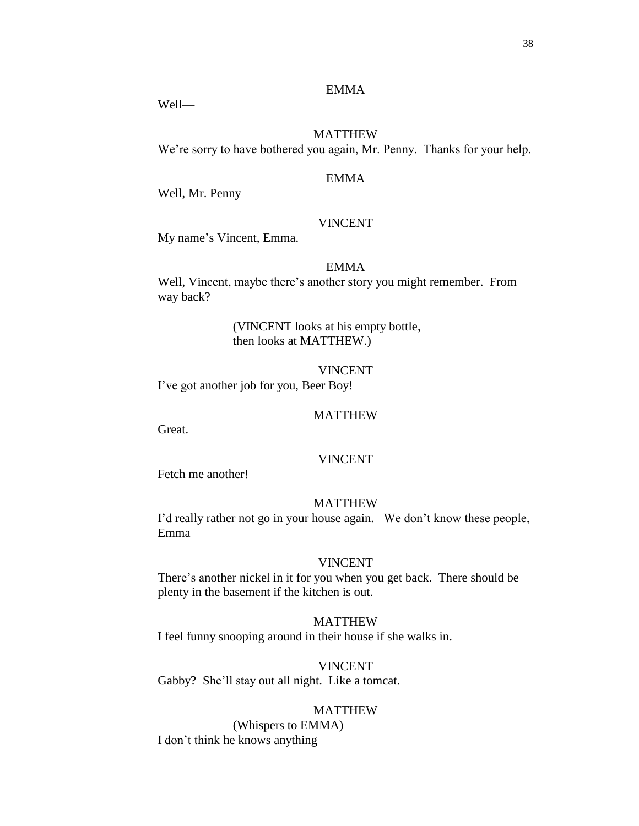# EMMA

Well—

# MATTHEW

We're sorry to have bothered you again, Mr. Penny. Thanks for your help.

## EMMA

Well, Mr. Penny—

# VINCENT

My name's Vincent, Emma.

## EMMA

Well, Vincent, maybe there's another story you might remember. From way back?

# (VINCENT looks at his empty bottle, then looks at MATTHEW.)

VINCENT I've got another job for you, Beer Boy!

### MATTHEW

Great.

# VINCENT

Fetch me another!

#### MATTHEW

I'd really rather not go in your house again. We don't know these people, Emma—

# VINCENT

There's another nickel in it for you when you get back. There should be plenty in the basement if the kitchen is out.

MATTHEW I feel funny snooping around in their house if she walks in.

VINCENT Gabby? She'll stay out all night. Like a tomcat.

# MATTHEW

(Whispers to EMMA) I don't think he knows anything—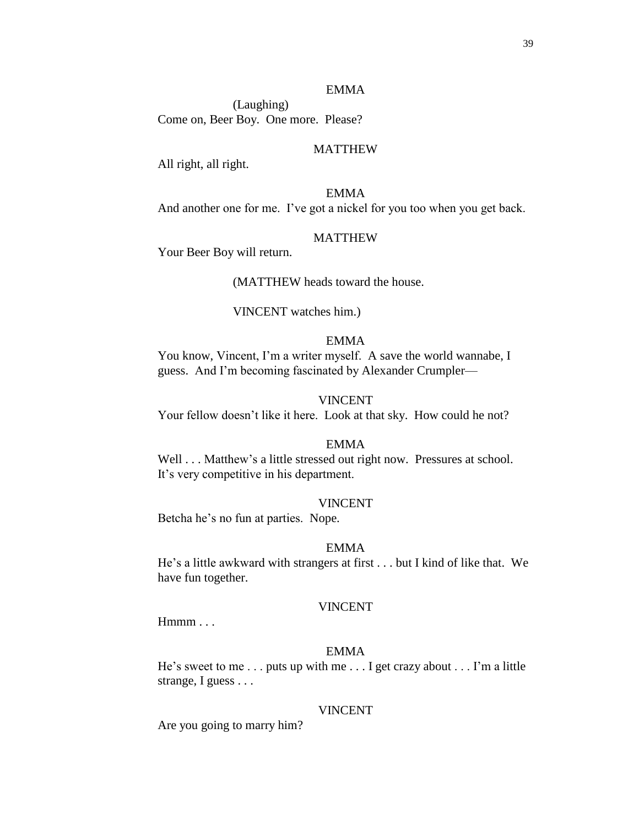#### EMMA

(Laughing) Come on, Beer Boy. One more. Please?

## MATTHEW

All right, all right.

EMMA And another one for me. I've got a nickel for you too when you get back.

#### MATTHEW

Your Beer Boy will return.

(MATTHEW heads toward the house.

#### VINCENT watches him.)

# EMMA

You know, Vincent, I'm a writer myself. A save the world wannabe, I guess. And I'm becoming fascinated by Alexander Crumpler—

#### VINCENT

Your fellow doesn't like it here. Look at that sky. How could he not?

## EMMA

Well . . . Matthew's a little stressed out right now. Pressures at school. It's very competitive in his department.

#### VINCENT

Betcha he's no fun at parties. Nope.

#### EMMA

He's a little awkward with strangers at first . . . but I kind of like that. We have fun together.

### VINCENT

Hmmm . . .

### EMMA

He's sweet to me . . . puts up with me . . . I get crazy about . . . I'm a little strange, I guess . . .

#### VINCENT

Are you going to marry him?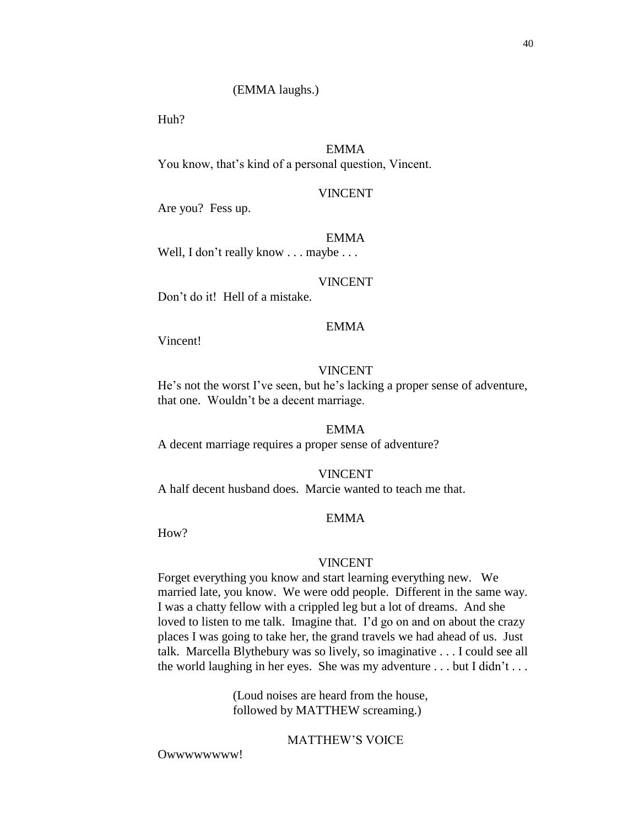#### (EMMA laughs.)

Huh?

# EMMA

You know, that's kind of a personal question, Vincent.

## VINCENT

Are you? Fess up.

#### EMMA

Well, I don't really know . . . maybe . . .

#### VINCENT

Don't do it! Hell of a mistake.

## EMMA

Vincent!

### VINCENT

He's not the worst I've seen, but he's lacking a proper sense of adventure, that one. Wouldn't be a decent marriage.

## EMMA

A decent marriage requires a proper sense of adventure?

#### VINCENT

A half decent husband does. Marcie wanted to teach me that.

## EMMA

How?

#### VINCENT

Forget everything you know and start learning everything new. We married late, you know. We were odd people. Different in the same way. I was a chatty fellow with a crippled leg but a lot of dreams. And she loved to listen to me talk. Imagine that. I'd go on and on about the crazy places I was going to take her, the grand travels we had ahead of us. Just talk. Marcella Blythebury was so lively, so imaginative . . . I could see all the world laughing in her eyes. She was my adventure . . . but I didn't . . .

> (Loud noises are heard from the house, followed by MATTHEW screaming.)

# MATTHEW'S VOICE

Owwwwwwww!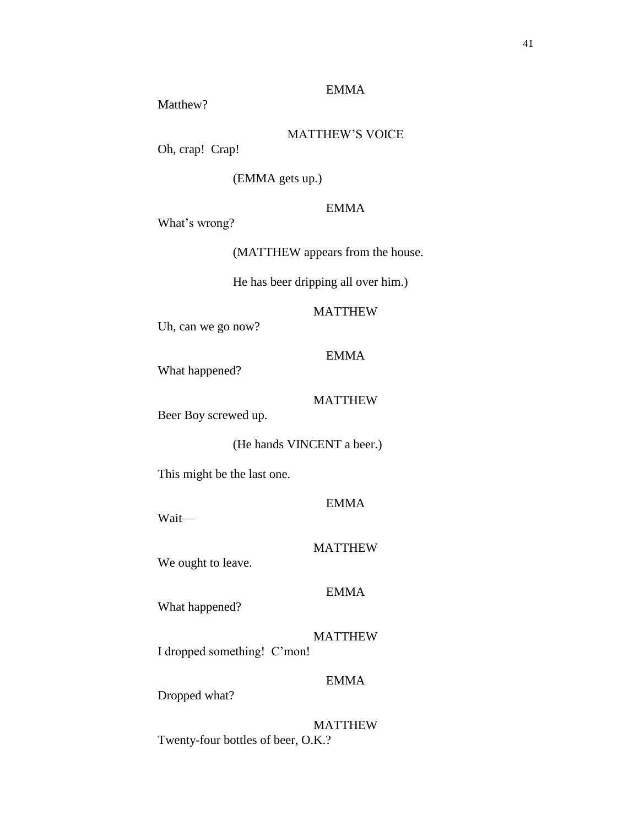# EMMA

Matthew?

MATTHEW'S VOICE

Oh, crap! Crap!

(EMMA gets up.)

# EMMA

What's wrong?

(MATTHEW appears from the house.

He has beer dripping all over him.)

# MATTHEW

Uh, can we go now?

# EMMA

What happened?

# MATTHEW

Beer Boy screwed up.

(He hands VINCENT a beer.)

This might be the last one.

EMMA

Wait—

## MATTHEW

We ought to leave.

# EMMA

What happened?

MATTHEW I dropped something! C'mon!

# EMMA

Dropped what?

MATTHEW Twenty-four bottles of beer, O.K.?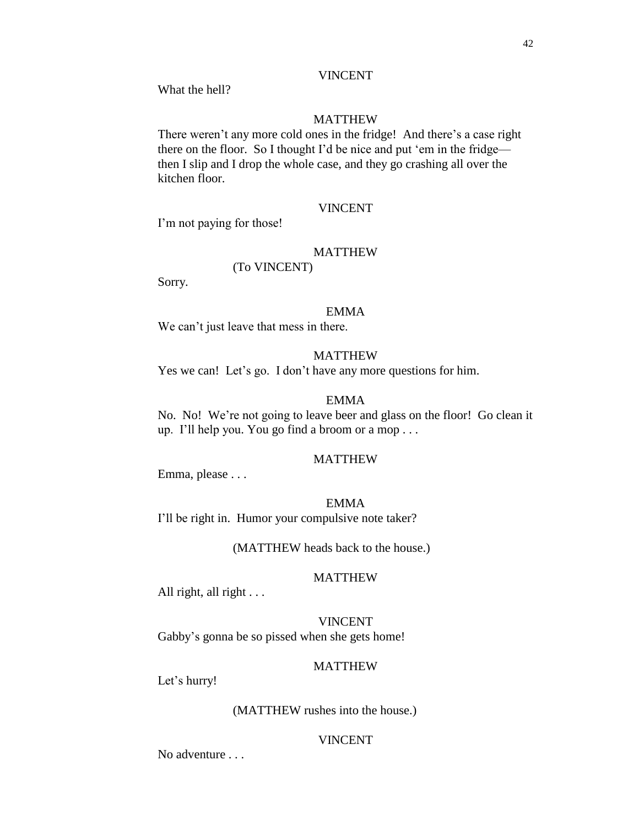#### VINCENT

What the hell?

## MATTHEW

There weren't any more cold ones in the fridge! And there's a case right there on the floor. So I thought I'd be nice and put 'em in the fridge then I slip and I drop the whole case, and they go crashing all over the kitchen floor.

# VINCENT

I'm not paying for those!

# MATTHEW

(To VINCENT)

Sorry.

#### EMMA

We can't just leave that mess in there.

## MATTHEW

Yes we can! Let's go. I don't have any more questions for him.

### EMMA

No. No! We're not going to leave beer and glass on the floor! Go clean it up. I'll help you. You go find a broom or a mop . . .

## MATTHEW

Emma, please . . .

#### EMMA

I'll be right in. Humor your compulsive note taker?

(MATTHEW heads back to the house.)

#### MATTHEW

All right, all right . . .

## VINCENT

Gabby's gonna be so pissed when she gets home!

# MATTHEW

Let's hurry!

#### (MATTHEW rushes into the house.)

# VINCENT

No adventure . . .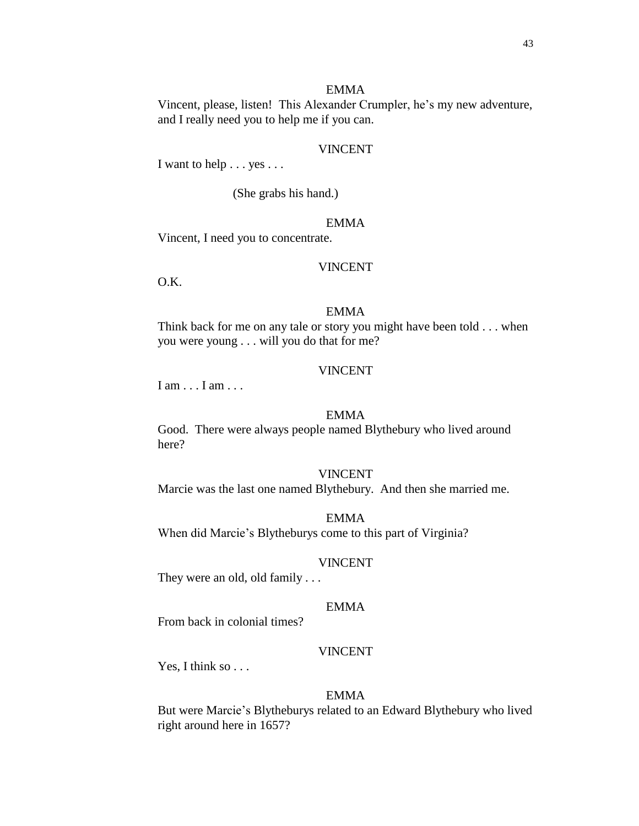#### EMMA

Vincent, please, listen! This Alexander Crumpler, he's my new adventure, and I really need you to help me if you can.

### VINCENT

I want to help . . . yes . . .

(She grabs his hand.)

# EMMA

Vincent, I need you to concentrate.

#### VINCENT

O.K.

### EMMA

Think back for me on any tale or story you might have been told . . . when you were young . . . will you do that for me?

#### VINCENT

I am . . . I am . . .

### EMMA

Good. There were always people named Blythebury who lived around here?

#### VINCENT

Marcie was the last one named Blythebury. And then she married me.

### EMMA

When did Marcie's Blytheburys come to this part of Virginia?

#### VINCENT

They were an old, old family . . .

## EMMA

From back in colonial times?

#### VINCENT

Yes, I think so . . .

# EMMA

But were Marcie's Blytheburys related to an Edward Blythebury who lived right around here in 1657?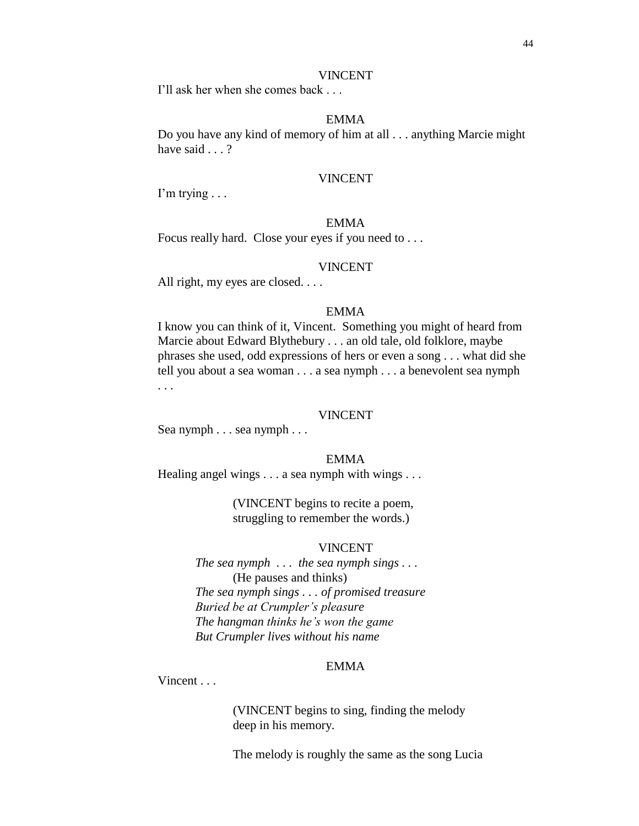#### VINCENT

I'll ask her when she comes back . . .

# EMMA

Do you have any kind of memory of him at all . . . anything Marcie might have said . . . ?

#### VINCENT

I'm trying . . .

# EMMA

Focus really hard. Close your eyes if you need to . . .

#### VINCENT

All right, my eyes are closed. . . .

### EMMA

I know you can think of it, Vincent. Something you might of heard from Marcie about Edward Blythebury . . . an old tale, old folklore, maybe phrases she used, odd expressions of hers or even a song . . . what did she tell you about a sea woman . . . a sea nymph . . . a benevolent sea nymph . . .

#### VINCENT

Sea nymph . . . sea nymph . . .

#### EMMA

Healing angel wings . . . a sea nymph with wings . . .

(VINCENT begins to recite a poem, struggling to remember the words.)

#### VINCENT

*The sea nymph . . . the sea nymph sings . . .*  (He pauses and thinks) *The sea nymph sings . . . of promised treasure Buried be at Crumpler's pleasure The hangman thinks he's won the game But Crumpler lives without his name*

## EMMA

Vincent . . .

(VINCENT begins to sing, finding the melody deep in his memory.

The melody is roughly the same as the song Lucia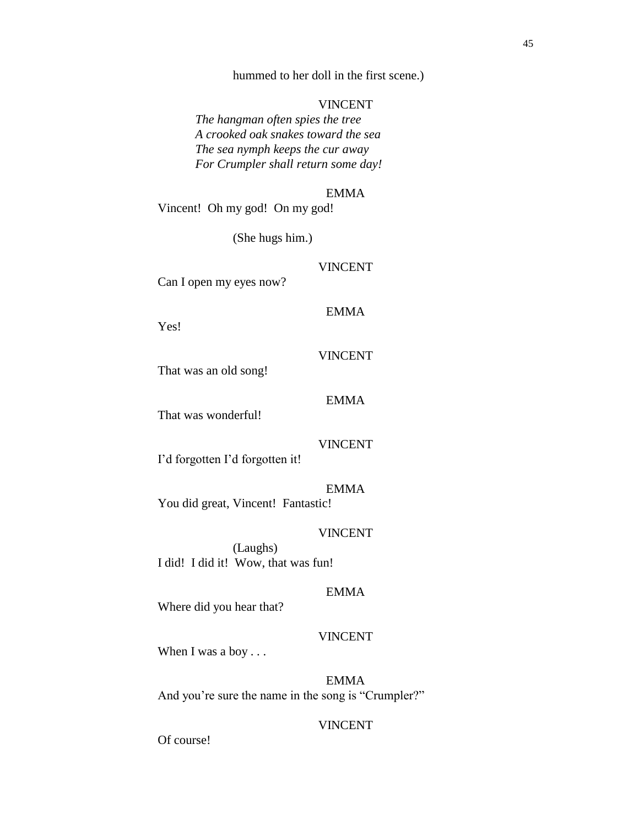hummed to her doll in the first scene.)

## VINCENT

*The hangman often spies the tree A crooked oak snakes toward the sea The sea nymph keeps the cur away For Crumpler shall return some day!*

### EMMA

Vincent! Oh my god! On my god!

(She hugs him.)

### VINCENT

Can I open my eyes now?

# EMMA

Yes!

# VINCENT

EMMA

That was an old song!

That was wonderful!

# VINCENT

I'd forgotten I'd forgotten it!

# EMMA

You did great, Vincent! Fantastic!

# VINCENT

(Laughs) I did! I did it! Wow, that was fun!

# EMMA

Where did you hear that?

## VINCENT

When I was a boy . . .

EMMA And you're sure the name in the song is "Crumpler?"

# VINCENT

Of course!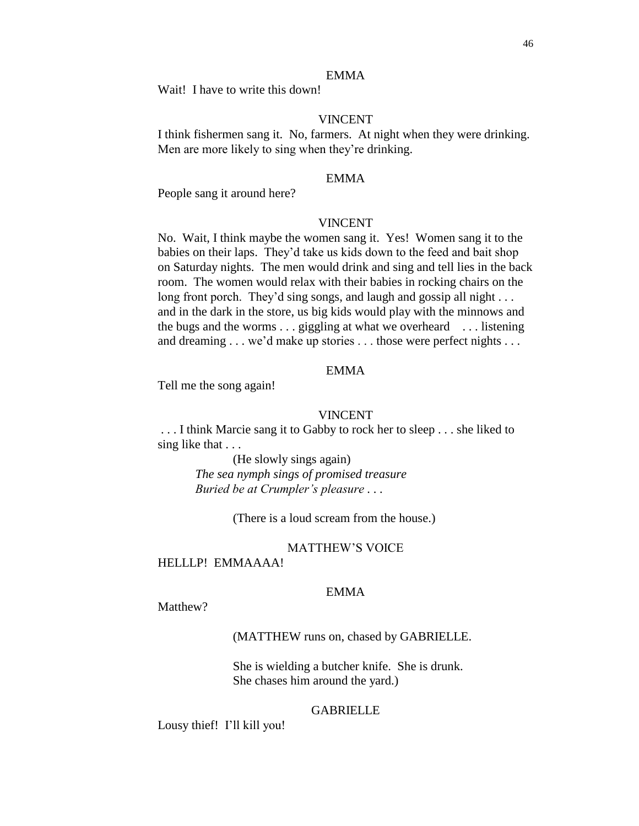## EMMA

Wait! I have to write this down!

### VINCENT

I think fishermen sang it. No, farmers. At night when they were drinking. Men are more likely to sing when they're drinking.

## EMMA

People sang it around here?

## VINCENT

No. Wait, I think maybe the women sang it. Yes! Women sang it to the babies on their laps. They'd take us kids down to the feed and bait shop on Saturday nights. The men would drink and sing and tell lies in the back room. The women would relax with their babies in rocking chairs on the long front porch. They'd sing songs, and laugh and gossip all night . . . and in the dark in the store, us big kids would play with the minnows and the bugs and the worms . . . giggling at what we overheard . . . listening and dreaming . . . we'd make up stories . . . those were perfect nights . . .

# EMMA

Tell me the song again!

### VINCENT

. . . I think Marcie sang it to Gabby to rock her to sleep . . . she liked to sing like that . . .

> (He slowly sings again) *The sea nymph sings of promised treasure Buried be at Crumpler's pleasure . . .*

> > (There is a loud scream from the house.)

#### MATTHEW'S VOICE

# HELLLP! EMMAAAA!

## EMMA

Matthew?

## (MATTHEW runs on, chased by GABRIELLE.

She is wielding a butcher knife. She is drunk. She chases him around the yard.)

#### GABRIELLE

Lousy thief! I'll kill you!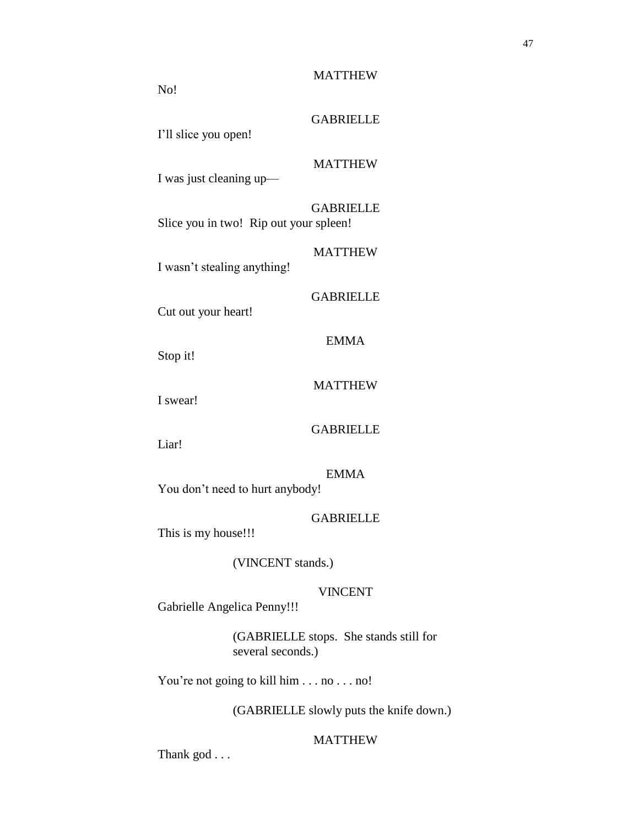# GABRIELLE

I'll slice you open!

No!

# MATTHEW

I was just cleaning up—

**GABRIELLE** Slice you in two! Rip out your spleen!

I wasn't stealing anything!

### GABRIELLE

EMMA

MATTHEW

Cut out your heart!

Stop it!

## MATTHEW

I swear!

# GABRIELLE

Liar!

# EMMA

You don't need to hurt anybody!

# GABRIELLE

This is my house!!!

## (VINCENT stands.)

# VINCENT

Gabrielle Angelica Penny!!!

(GABRIELLE stops. She stands still for several seconds.)

You're not going to kill him . . . no . . . no!

(GABRIELLE slowly puts the knife down.)

# MATTHEW

Thank god . . .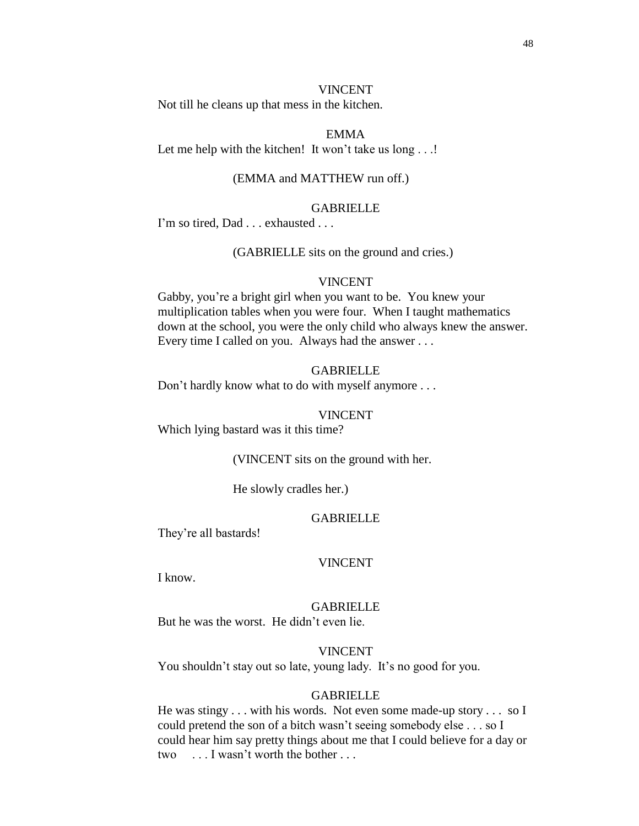#### VINCENT

Not till he cleans up that mess in the kitchen.

### EMMA

Let me help with the kitchen! It won't take us long . . .!

### (EMMA and MATTHEW run off.)

## **GABRIELLE**

I'm so tired, Dad . . . exhausted . . .

(GABRIELLE sits on the ground and cries.)

#### VINCENT

Gabby, you're a bright girl when you want to be. You knew your multiplication tables when you were four. When I taught mathematics down at the school, you were the only child who always knew the answer. Every time I called on you. Always had the answer . . .

#### GABRIELLE

Don't hardly know what to do with myself anymore . . .

#### VINCENT

Which lying bastard was it this time?

(VINCENT sits on the ground with her.

He slowly cradles her.)

#### **GABRIELLE**

They're all bastards!

#### VINCENT

I know.

# GABRIELLE

But he was the worst. He didn't even lie.

#### VINCENT

You shouldn't stay out so late, young lady. It's no good for you.

#### GABRIELLE

He was stingy . . . with his words. Not even some made-up story . . . so I could pretend the son of a bitch wasn't seeing somebody else . . . so I could hear him say pretty things about me that I could believe for a day or two . . . I wasn't worth the bother . . .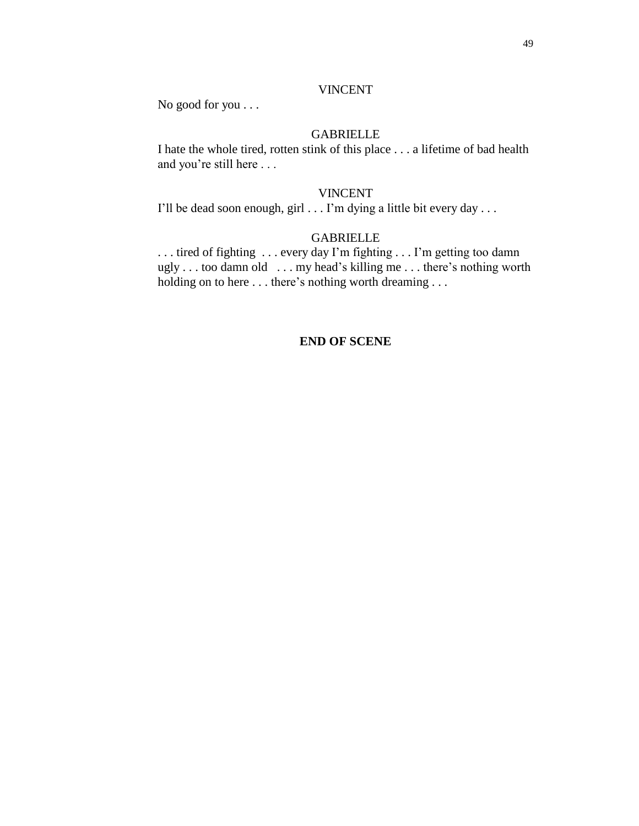# VINCENT

No good for you . . .

# GABRIELLE

I hate the whole tired, rotten stink of this place . . . a lifetime of bad health and you're still here . . .

### VINCENT

I'll be dead soon enough, girl . . . I'm dying a little bit every day . . .

# GABRIELLE

. . . tired of fighting . . . every day I'm fighting . . . I'm getting too damn ugly . . . too damn old . . . my head's killing me . . . there's nothing worth holding on to here ... there's nothing worth dreaming ...

# **END OF SCENE**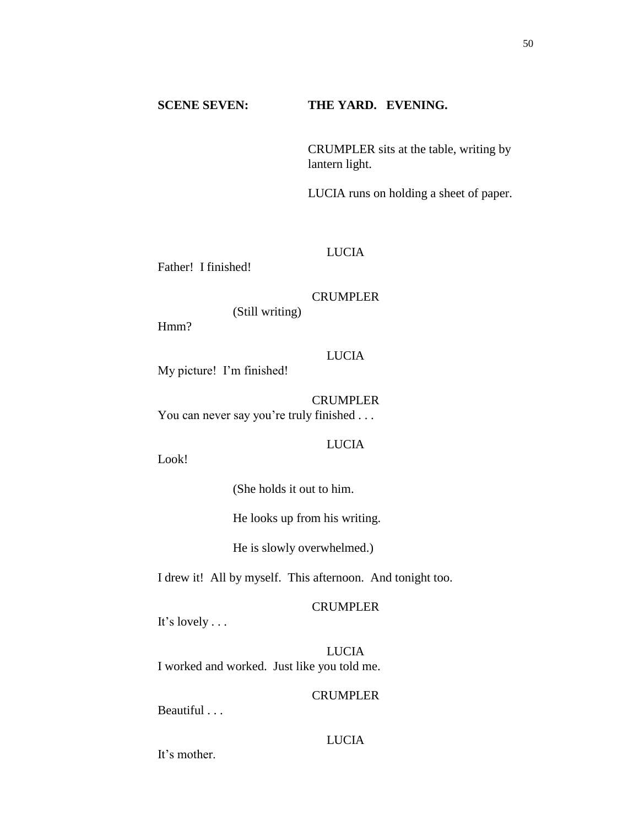# **SCENE SEVEN: THE YARD. EVENING.**

CRUMPLER sits at the table, writing by lantern light.

LUCIA runs on holding a sheet of paper.

# LUCIA

Father! I finished!

#### CRUMPLER

(Still writing)

Hmm?

# LUCIA

My picture! I'm finished!

CRUMPLER You can never say you're truly finished . . .

### LUCIA

Look!

(She holds it out to him.

He looks up from his writing.

He is slowly overwhelmed.)

I drew it! All by myself. This afternoon. And tonight too.

## CRUMPLER

It's lovely . . .

LUCIA I worked and worked. Just like you told me.

# CRUMPLER

Beautiful . . .

# LUCIA

It's mother.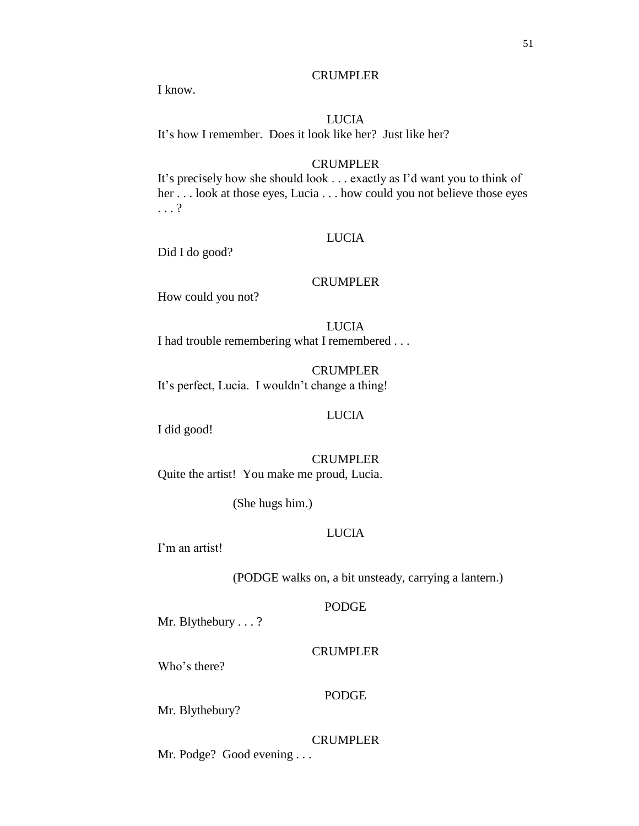51

# CRUMPLER

I know.

# LUCIA

It's how I remember. Does it look like her? Just like her?

# CRUMPLER

It's precisely how she should look . . . exactly as I'd want you to think of her . . . look at those eyes, Lucia . . . how could you not believe those eyes . . . ?

# LUCIA

Did I do good?

# CRUMPLER

How could you not?

LUCIA I had trouble remembering what I remembered . . .

CRUMPLER It's perfect, Lucia. I wouldn't change a thing!

# LUCIA

I did good!

CRUMPLER Quite the artist! You make me proud, Lucia.

(She hugs him.)

# LUCIA

I'm an artist!

(PODGE walks on, a bit unsteady, carrying a lantern.)

# PODGE

Mr. Blythebury . . . ?

# CRUMPLER

Who's there?

# PODGE

Mr. Blythebury?

# **CRUMPLER**

Mr. Podge? Good evening . . .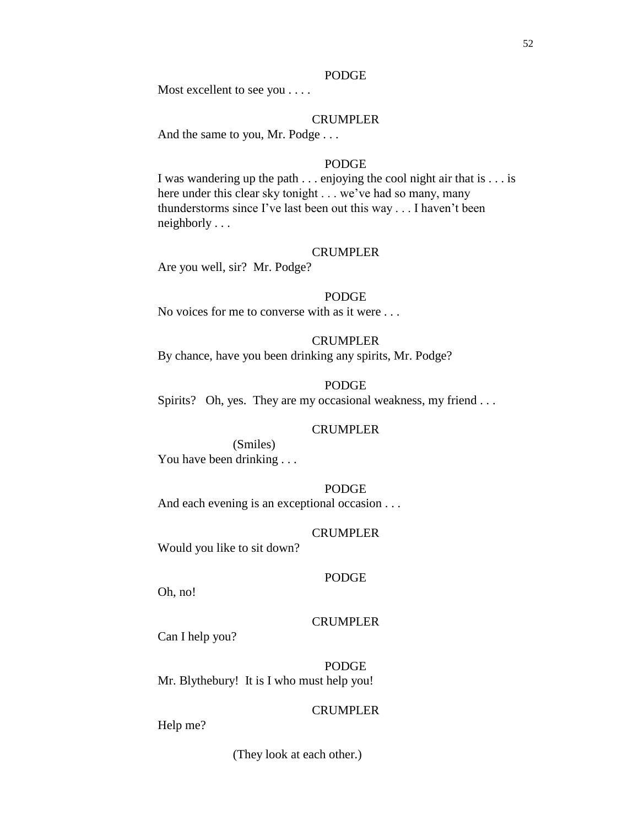#### PODGE

Most excellent to see you . . . .

## CRUMPLER

And the same to you, Mr. Podge . . .

# PODGE

I was wandering up the path . . . enjoying the cool night air that is . . . is here under this clear sky tonight . . . we've had so many, many thunderstorms since I've last been out this way . . . I haven't been neighborly . . .

#### CRUMPLER

Are you well, sir? Mr. Podge?

#### PODGE

No voices for me to converse with as it were . . .

## CRUMPLER

By chance, have you been drinking any spirits, Mr. Podge?

## PODGE

Spirits? Oh, yes. They are my occasional weakness, my friend . . .

# CRUMPLER

(Smiles) You have been drinking . . .

# PODGE

And each evening is an exceptional occasion . . .

### CRUMPLER

Would you like to sit down?

#### PODGE

Oh, no!

# CRUMPLER

Can I help you?

PODGE Mr. Blythebury! It is I who must help you!

### CRUMPLER

Help me?

(They look at each other.)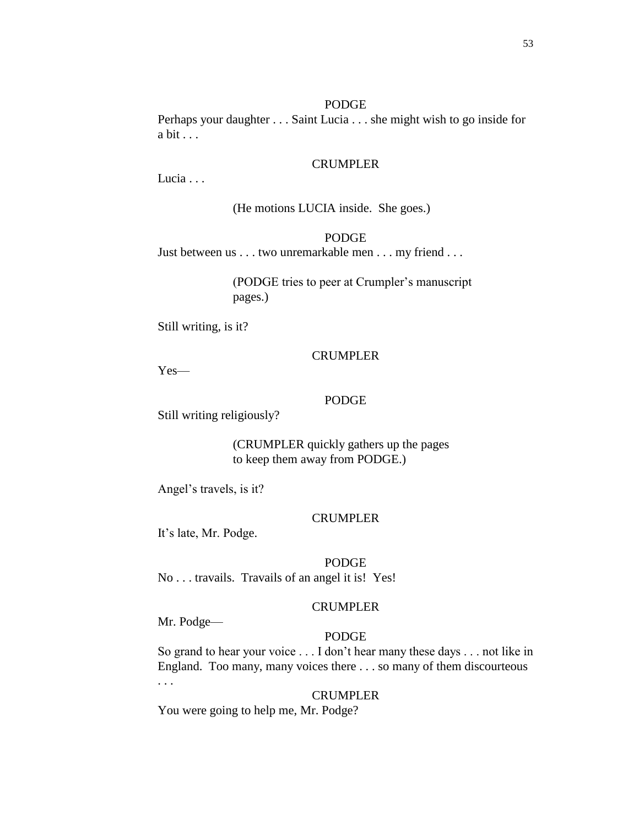Perhaps your daughter . . . Saint Lucia . . . she might wish to go inside for a bit . . .

### CRUMPLER

Lucia . . .

(He motions LUCIA inside. She goes.)

## PODGE

Just between us . . . two unremarkable men . . . my friend . . .

(PODGE tries to peer at Crumpler's manuscript pages.)

Still writing, is it?

## CRUMPLER

Yes—

### PODGE

Still writing religiously?

(CRUMPLER quickly gathers up the pages to keep them away from PODGE.)

Angel's travels, is it?

## CRUMPLER

It's late, Mr. Podge.

PODGE

No . . . travails. Travails of an angel it is! Yes!

### CRUMPLER

Mr. Podge—

## PODGE

So grand to hear your voice . . . I don't hear many these days . . . not like in England. Too many, many voices there . . . so many of them discourteous . . .

#### CRUMPLER

You were going to help me, Mr. Podge?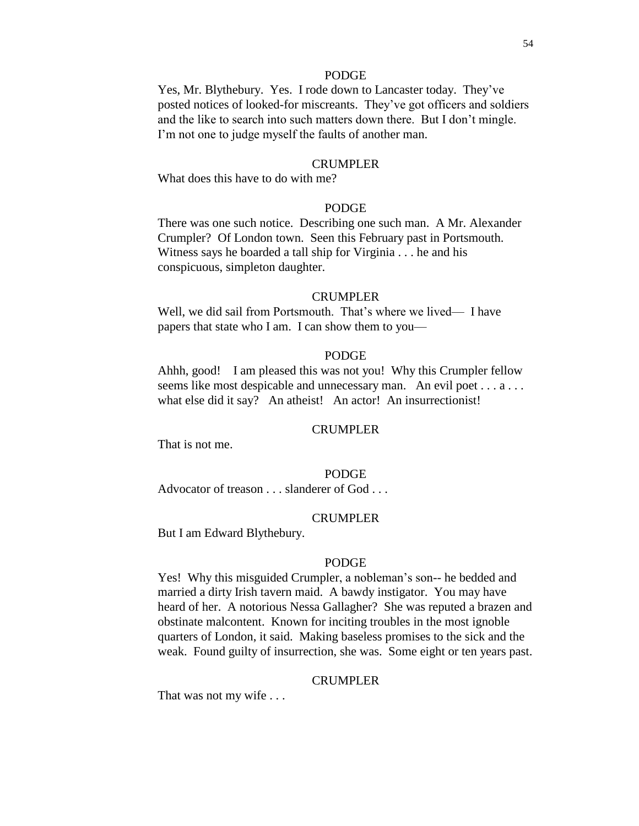### PODGE

Yes, Mr. Blythebury. Yes. I rode down to Lancaster today. They've posted notices of looked-for miscreants. They've got officers and soldiers and the like to search into such matters down there. But I don't mingle. I'm not one to judge myself the faults of another man.

#### CRUMPLER

What does this have to do with me?

# PODGE

There was one such notice. Describing one such man. A Mr. Alexander Crumpler? Of London town. Seen this February past in Portsmouth. Witness says he boarded a tall ship for Virginia . . . he and his conspicuous, simpleton daughter.

#### CRUMPLER

Well, we did sail from Portsmouth. That's where we lived— I have papers that state who I am. I can show them to you—

### PODGE

Ahhh, good! I am pleased this was not you! Why this Crumpler fellow seems like most despicable and unnecessary man. An evil poet . . . a . . . what else did it say? An atheist! An actor! An insurrectionist!

## CRUMPLER

That is not me.

#### PODGE

Advocator of treason . . . slanderer of God . . .

#### CRUMPLER

But I am Edward Blythebury.

#### PODGE

Yes! Why this misguided Crumpler, a nobleman's son-- he bedded and married a dirty Irish tavern maid. A bawdy instigator. You may have heard of her. A notorious Nessa Gallagher? She was reputed a brazen and obstinate malcontent. Known for inciting troubles in the most ignoble quarters of London, it said. Making baseless promises to the sick and the weak. Found guilty of insurrection, she was. Some eight or ten years past.

#### CRUMPLER

That was not my wife . . .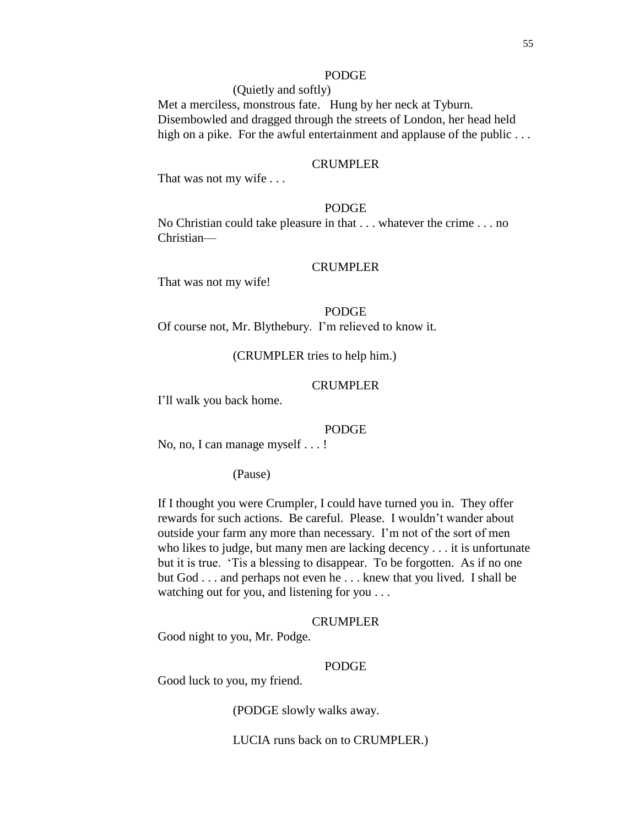## PODGE

(Quietly and softly) Met a merciless, monstrous fate. Hung by her neck at Tyburn. Disembowled and dragged through the streets of London, her head held high on a pike. For the awful entertainment and applause of the public ...

#### CRUMPLER

That was not my wife . . .

# PODGE

No Christian could take pleasure in that . . . whatever the crime . . . no Christian—

#### CRUMPLER

That was not my wife!

PODGE Of course not, Mr. Blythebury. I'm relieved to know it.

(CRUMPLER tries to help him.)

#### CRUMPLER

I'll walk you back home.

#### PODGE

No, no, I can manage myself . . . !

(Pause)

If I thought you were Crumpler, I could have turned you in. They offer rewards for such actions. Be careful. Please. I wouldn't wander about outside your farm any more than necessary. I'm not of the sort of men who likes to judge, but many men are lacking decency . . . it is unfortunate but it is true. 'Tis a blessing to disappear. To be forgotten. As if no one but God . . . and perhaps not even he . . . knew that you lived. I shall be watching out for you, and listening for you . . .

### CRUMPLER

Good night to you, Mr. Podge.

#### PODGE

Good luck to you, my friend.

(PODGE slowly walks away.

LUCIA runs back on to CRUMPLER.)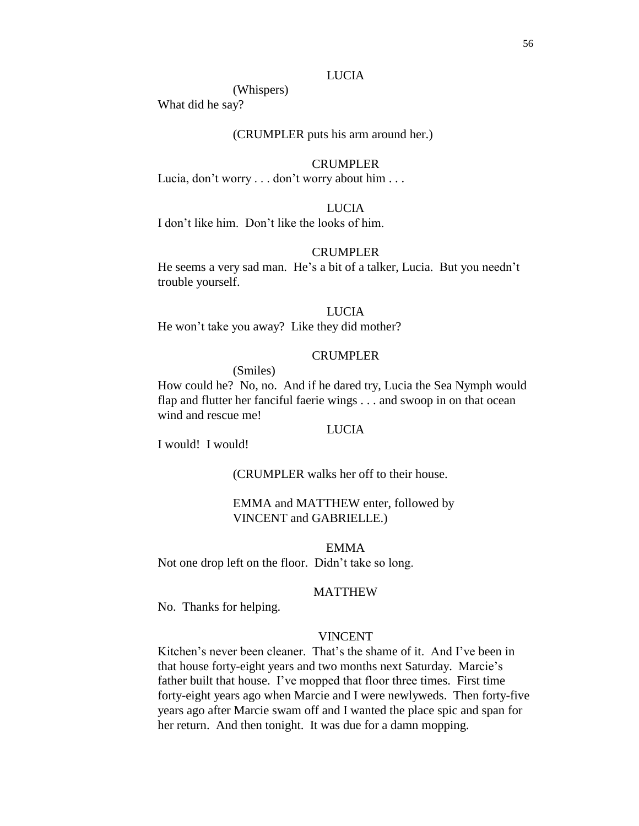## LUCIA

(Whispers)

What did he say?

# (CRUMPLER puts his arm around her.)

### CRUMPLER

Lucia, don't worry . . . don't worry about him . . .

# LUCIA

I don't like him. Don't like the looks of him.

# CRUMPLER

He seems a very sad man. He's a bit of a talker, Lucia. But you needn't trouble yourself.

## LUCIA

He won't take you away? Like they did mother?

## CRUMPLER

(Smiles)

How could he? No, no. And if he dared try, Lucia the Sea Nymph would flap and flutter her fanciful faerie wings . . . and swoop in on that ocean wind and rescue me!

# LUCIA

I would! I would!

(CRUMPLER walks her off to their house.

## EMMA and MATTHEW enter, followed by VINCENT and GABRIELLE.)

EMMA

Not one drop left on the floor. Didn't take so long.

### MATTHEW

No. Thanks for helping.

# VINCENT

Kitchen's never been cleaner. That's the shame of it. And I've been in that house forty-eight years and two months next Saturday. Marcie's father built that house. I've mopped that floor three times. First time forty-eight years ago when Marcie and I were newlyweds. Then forty-five years ago after Marcie swam off and I wanted the place spic and span for her return. And then tonight. It was due for a damn mopping.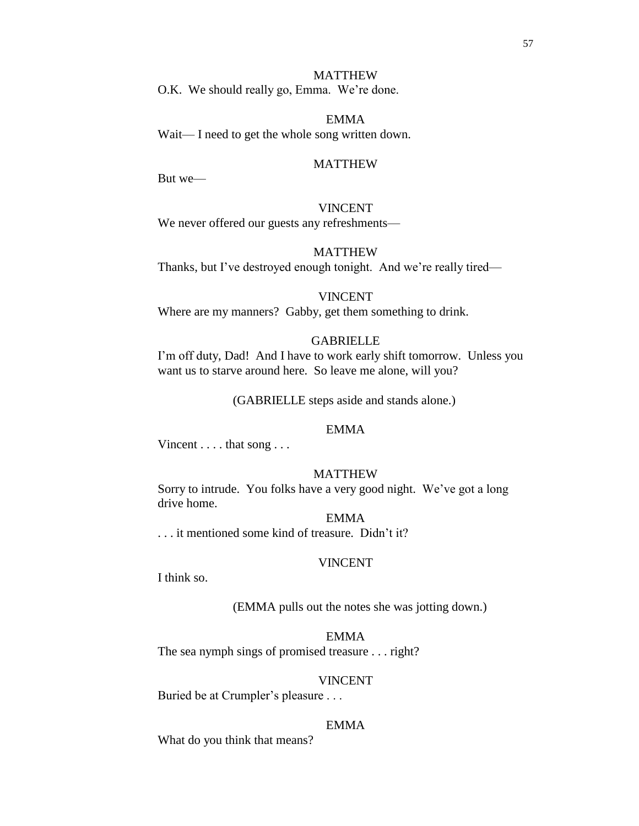#### MATTHEW

O.K. We should really go, Emma. We're done.

## EMMA

Wait— I need to get the whole song written down.

#### MATTHEW

But we—

# VINCENT

We never offered our guests any refreshments—

# MATTHEW

Thanks, but I've destroyed enough tonight. And we're really tired—

#### VINCENT

Where are my manners? Gabby, get them something to drink.

# GABRIELLE

I'm off duty, Dad! And I have to work early shift tomorrow. Unless you want us to starve around here. So leave me alone, will you?

(GABRIELLE steps aside and stands alone.)

## EMMA

Vincent . . . . that song . . .

## MATTHEW

Sorry to intrude. You folks have a very good night. We've got a long drive home.

## EMMA

. . . it mentioned some kind of treasure. Didn't it?

## VINCENT

I think so.

#### (EMMA pulls out the notes she was jotting down.)

## EMMA

The sea nymph sings of promised treasure . . . right?

#### VINCENT

Buried be at Crumpler's pleasure . . .

### EMMA

What do you think that means?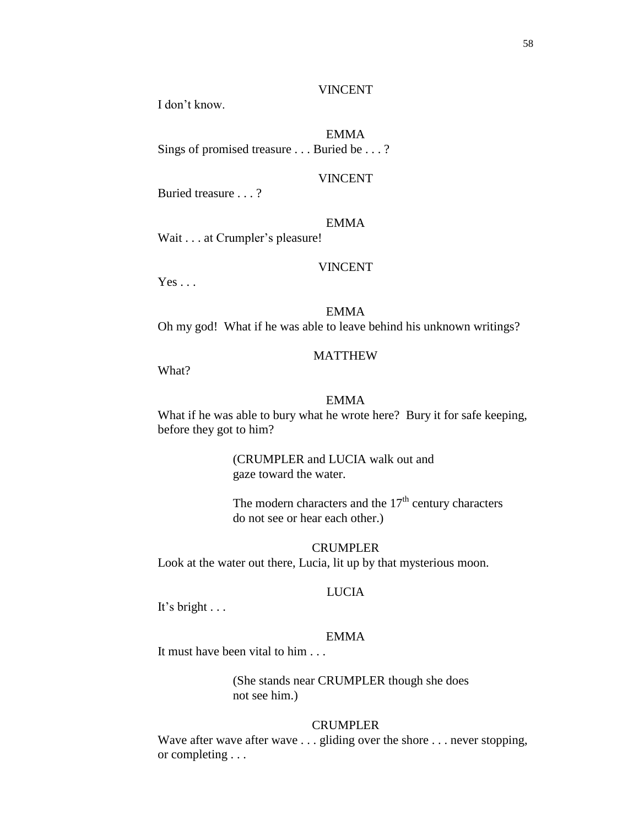#### VINCENT

I don't know.

# EMMA

Sings of promised treasure . . . Buried be . . . ?

### VINCENT

Buried treasure . . . ?

# EMMA

Wait . . . at Crumpler's pleasure!

### VINCENT

 $Yes \dots$ 

# EMMA

Oh my god! What if he was able to leave behind his unknown writings?

## MATTHEW

What?

### EMMA

What if he was able to bury what he wrote here? Bury it for safe keeping, before they got to him?

> (CRUMPLER and LUCIA walk out and gaze toward the water.

The modern characters and the  $17<sup>th</sup>$  century characters do not see or hear each other.)

CRUMPLER Look at the water out there, Lucia, lit up by that mysterious moon.

## LUCIA

It's bright . . .

# EMMA

It must have been vital to him . . .

(She stands near CRUMPLER though she does not see him.)

## CRUMPLER

Wave after wave after wave . . . gliding over the shore . . . never stopping, or completing . . .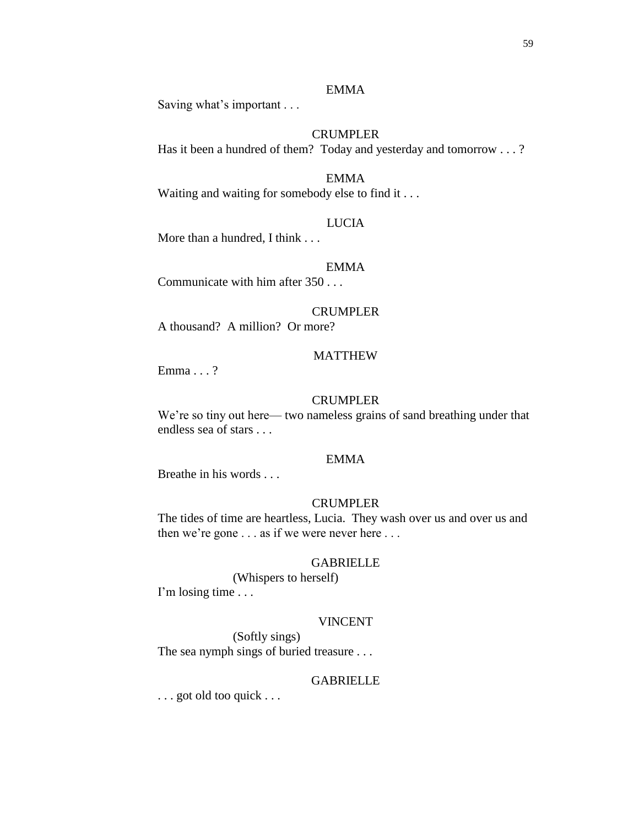# EMMA

Saving what's important . . .

# **CRUMPLER**

Has it been a hundred of them? Today and yesterday and tomorrow . . . ?

# EMMA

Waiting and waiting for somebody else to find it . . .

### LUCIA

More than a hundred, I think . . .

### EMMA

Communicate with him after 350 . . .

# CRUMPLER

A thousand? A million? Or more?

## MATTHEW

Emma . . . ?

#### CRUMPLER

We're so tiny out here— two nameless grains of sand breathing under that endless sea of stars . . .

# EMMA

Breathe in his words . . .

### CRUMPLER

The tides of time are heartless, Lucia. They wash over us and over us and then we're gone . . . as if we were never here . . .

# GABRIELLE

(Whispers to herself) I'm losing time . . .

### VINCENT

(Softly sings) The sea nymph sings of buried treasure . . .

#### GABRIELLE

. . . got old too quick . . .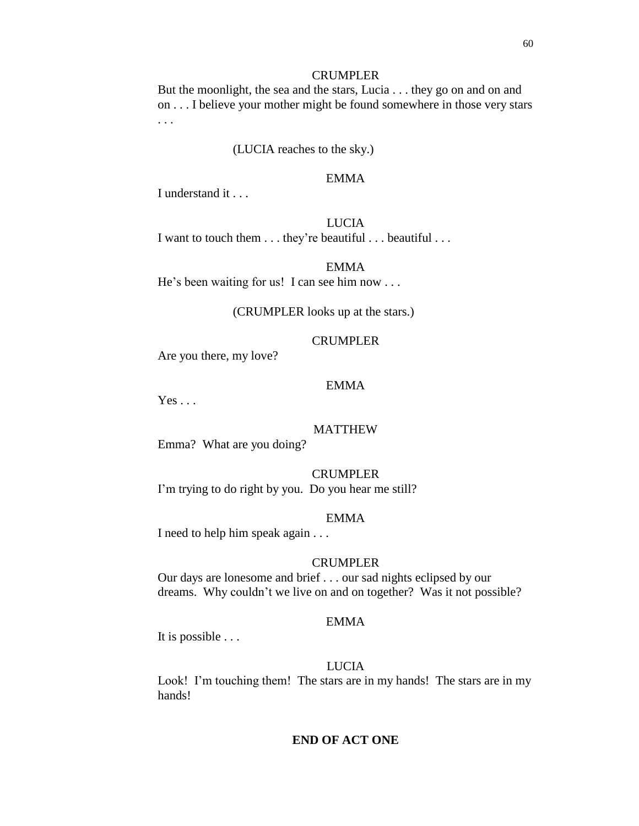#### CRUMPLER

But the moonlight, the sea and the stars, Lucia . . . they go on and on and on . . . I believe your mother might be found somewhere in those very stars . . .

## (LUCIA reaches to the sky.)

### EMMA

I understand it . . .

# LUCIA

I want to touch them . . . they're beautiful . . . beautiful . . .

# EMMA

He's been waiting for us! I can see him now . . .

#### (CRUMPLER looks up at the stars.)

## CRUMPLER

Are you there, my love?

### EMMA

 $Yes \dots$ 

## MATTHEW

Emma? What are you doing?

#### CRUMPLER

I'm trying to do right by you. Do you hear me still?

### EMMA

I need to help him speak again . . .

## CRUMPLER

Our days are lonesome and brief . . . our sad nights eclipsed by our dreams. Why couldn't we live on and on together? Was it not possible?

# EMMA

It is possible . . .

# LUCIA

Look! I'm touching them! The stars are in my hands! The stars are in my hands!

# **END OF ACT ONE**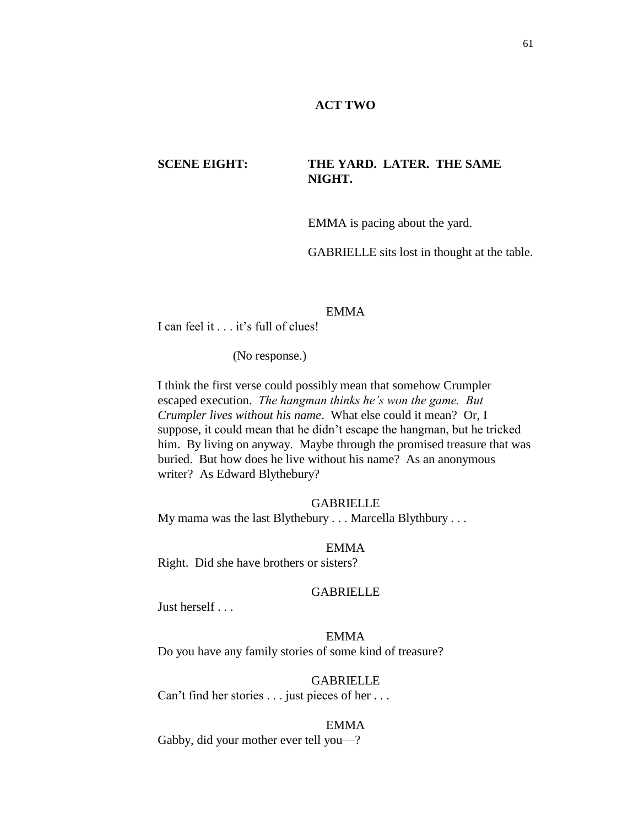## **ACT TWO**

# **SCENE EIGHT: THE YARD. LATER. THE SAME NIGHT.**

EMMA is pacing about the yard.

GABRIELLE sits lost in thought at the table.

## EMMA

I can feel it . . . it's full of clues!

(No response.)

I think the first verse could possibly mean that somehow Crumpler escaped execution. *The hangman thinks he's won the game. But Crumpler lives without his name*. What else could it mean? Or, I suppose, it could mean that he didn't escape the hangman, but he tricked him. By living on anyway. Maybe through the promised treasure that was buried. But how does he live without his name? As an anonymous writer? As Edward Blythebury?

#### GABRIELLE

My mama was the last Blythebury . . . Marcella Blythbury . . .

#### EMMA

Right. Did she have brothers or sisters?

## **GABRIELLE**

Just herself . . .

# EMMA

Do you have any family stories of some kind of treasure?

#### GABRIELLE

Can't find her stories . . . just pieces of her . . .

### EMMA

Gabby, did your mother ever tell you—?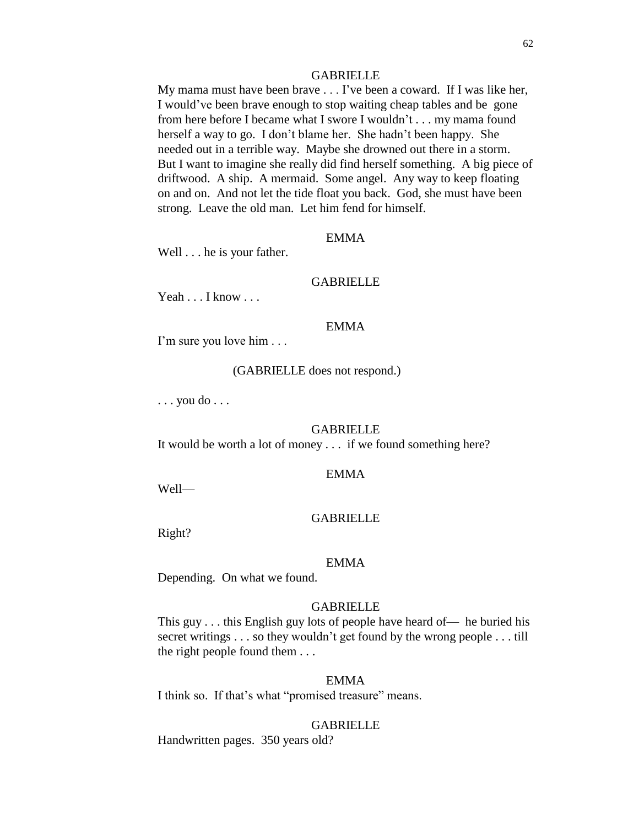#### **GABRIELLE**

My mama must have been brave . . . I've been a coward. If I was like her, I would've been brave enough to stop waiting cheap tables and be gone from here before I became what I swore I wouldn't . . . my mama found herself a way to go. I don't blame her. She hadn't been happy. She needed out in a terrible way. Maybe she drowned out there in a storm. But I want to imagine she really did find herself something. A big piece of driftwood. A ship. A mermaid. Some angel. Any way to keep floating on and on. And not let the tide float you back. God, she must have been strong. Leave the old man. Let him fend for himself.

#### EMMA

Well . . . he is your father.

#### GABRIELLE

Yeah . . . I know . . .

# EMMA

I'm sure you love him . . .

#### (GABRIELLE does not respond.)

. . . you do . . .

#### GABRIELLE

It would be worth a lot of money . . . if we found something here?

#### EMMA

Well—

### **GABRIELLE**

Right?

#### EMMA

Depending. On what we found.

## GABRIELLE

This guy . . . this English guy lots of people have heard of— he buried his secret writings . . . so they wouldn't get found by the wrong people . . . till the right people found them . . .

#### EMMA

I think so. If that's what "promised treasure" means.

### **GABRIELLE**

Handwritten pages. 350 years old?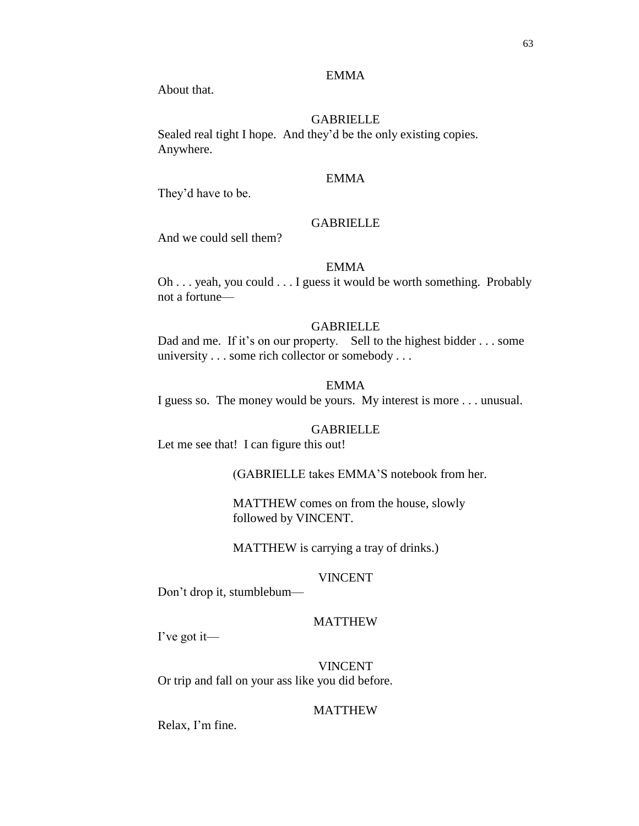## EMMA

About that.

## GABRIELLE

Sealed real tight I hope. And they'd be the only existing copies. Anywhere.

## EMMA

They'd have to be.

# **GABRIELLE**

And we could sell them?

## EMMA

Oh . . . yeah, you could . . . I guess it would be worth something. Probably not a fortune—

#### GABRIELLE

Dad and me. If it's on our property. Sell to the highest bidder . . . some university . . . some rich collector or somebody . . .

### EMMA

I guess so. The money would be yours. My interest is more . . . unusual.

## GABRIELLE

Let me see that! I can figure this out!

(GABRIELLE takes EMMA'S notebook from her.

MATTHEW comes on from the house, slowly followed by VINCENT.

MATTHEW is carrying a tray of drinks.)

#### VINCENT

Don't drop it, stumblebum—

# MATTHEW

I've got it—

VINCENT Or trip and fall on your ass like you did before.

### MATTHEW

Relax, I'm fine.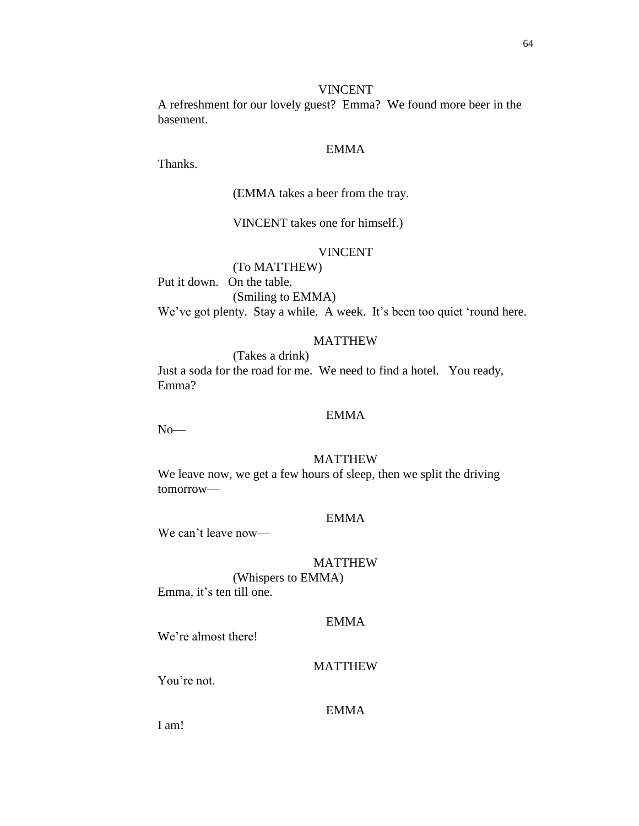#### VINCENT

A refreshment for our lovely guest? Emma? We found more beer in the basement.

# EMMA

Thanks.

## (EMMA takes a beer from the tray.

VINCENT takes one for himself.)

# VINCENT

(To MATTHEW) Put it down. On the table. (Smiling to EMMA) We've got plenty. Stay a while. A week. It's been too quiet 'round here.

## MATTHEW

(Takes a drink) Just a soda for the road for me. We need to find a hotel. You ready, Emma?

# EMMA

No—

## MATTHEW

We leave now, we get a few hours of sleep, then we split the driving tomorrow—

# EMMA

We can't leave now—

# MATTHEW

(Whispers to EMMA) Emma, it's ten till one.

# EMMA

We're almost there!

# MATTHEW

You're not.

# EMMA

I am!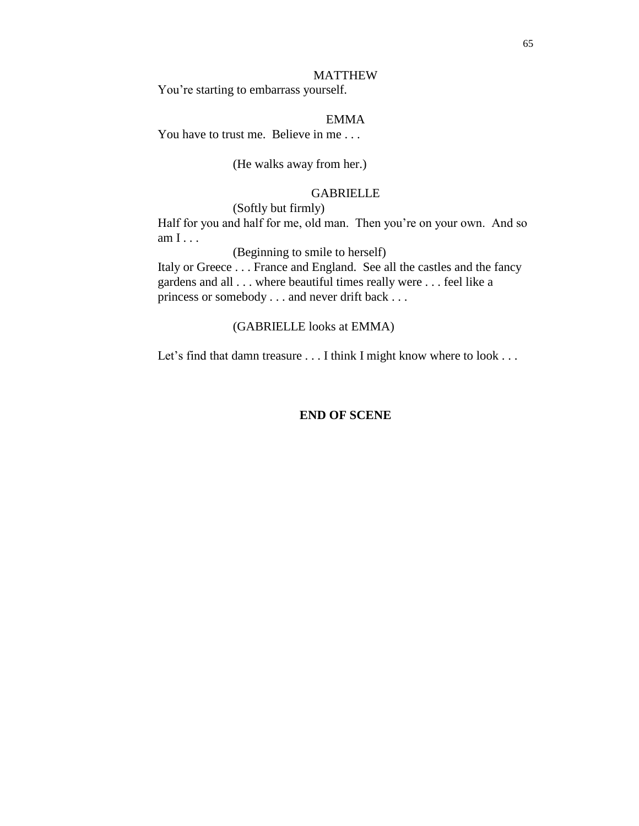#### MATTHEW

You're starting to embarrass yourself.

# EMMA

You have to trust me. Believe in me...

# (He walks away from her.)

### GABRIELLE

(Softly but firmly)

Half for you and half for me, old man. Then you're on your own. And so am I . . .

(Beginning to smile to herself)

Italy or Greece . . . France and England. See all the castles and the fancy gardens and all . . . where beautiful times really were . . . feel like a princess or somebody . . . and never drift back . . .

### (GABRIELLE looks at EMMA)

Let's find that damn treasure . . . I think I might know where to look . . .

# **END OF SCENE**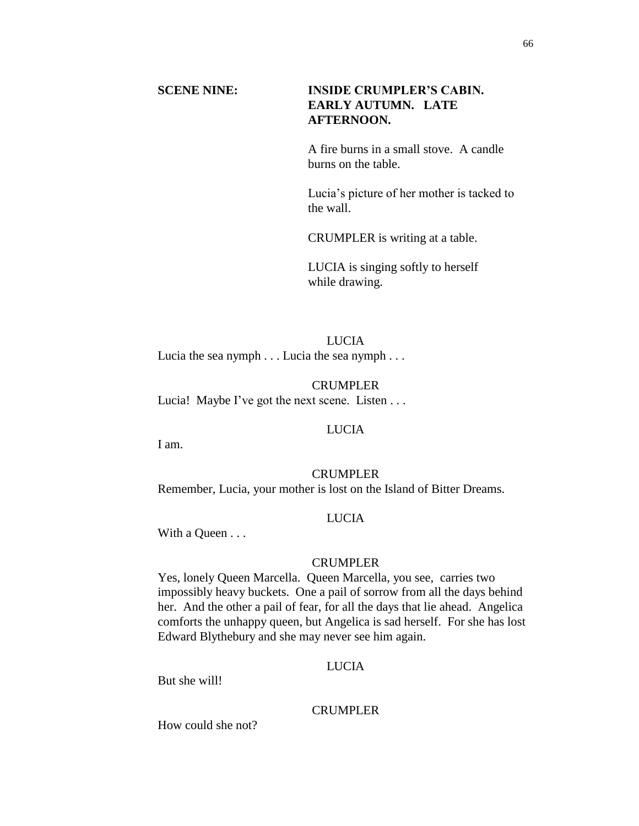# **SCENE NINE: INSIDE CRUMPLER'S CABIN. EARLY AUTUMN. LATE AFTERNOON.**

A fire burns in a small stove. A candle burns on the table.

Lucia's picture of her mother is tacked to the wall.

CRUMPLER is writing at a table.

LUCIA is singing softly to herself while drawing.

LUCIA Lucia the sea nymph . . . Lucia the sea nymph . . .

CRUMPLER Lucia! Maybe I've got the next scene. Listen . . .

## LUCIA

I am.

## CRUMPLER

Remember, Lucia, your mother is lost on the Island of Bitter Dreams.

## **LUCIA**

With a Queen . . .

# CRUMPLER

Yes, lonely Queen Marcella. Queen Marcella, you see, carries two impossibly heavy buckets. One a pail of sorrow from all the days behind her. And the other a pail of fear, for all the days that lie ahead. Angelica comforts the unhappy queen, but Angelica is sad herself. For she has lost Edward Blythebury and she may never see him again.

# LUCIA

But she will!

#### CRUMPLER

How could she not?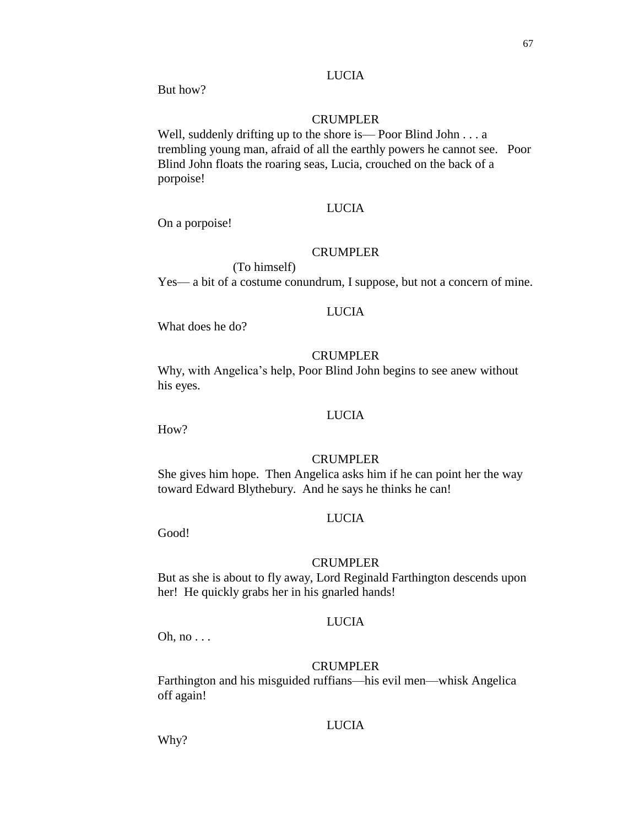# LUCIA

But how?

## CRUMPLER

Well, suddenly drifting up to the shore is—Poor Blind John . . . a trembling young man, afraid of all the earthly powers he cannot see. Poor Blind John floats the roaring seas, Lucia, crouched on the back of a porpoise!

# LUCIA

On a porpoise!

# CRUMPLER

Yes— a bit of a costume conundrum, I suppose, but not a concern of mine.

## LUCIA

What does he do?

(To himself)

# CRUMPLER

Why, with Angelica's help, Poor Blind John begins to see anew without his eyes.

# LUCIA

How?

## CRUMPLER

She gives him hope. Then Angelica asks him if he can point her the way toward Edward Blythebury. And he says he thinks he can!

# LUCIA

Good!

#### CRUMPLER

But as she is about to fly away, Lord Reginald Farthington descends upon her! He quickly grabs her in his gnarled hands!

# LUCIA

Oh, no . . .

## CRUMPLER

Farthington and his misguided ruffians—his evil men—whisk Angelica off again!

### **LUCIA**

Why?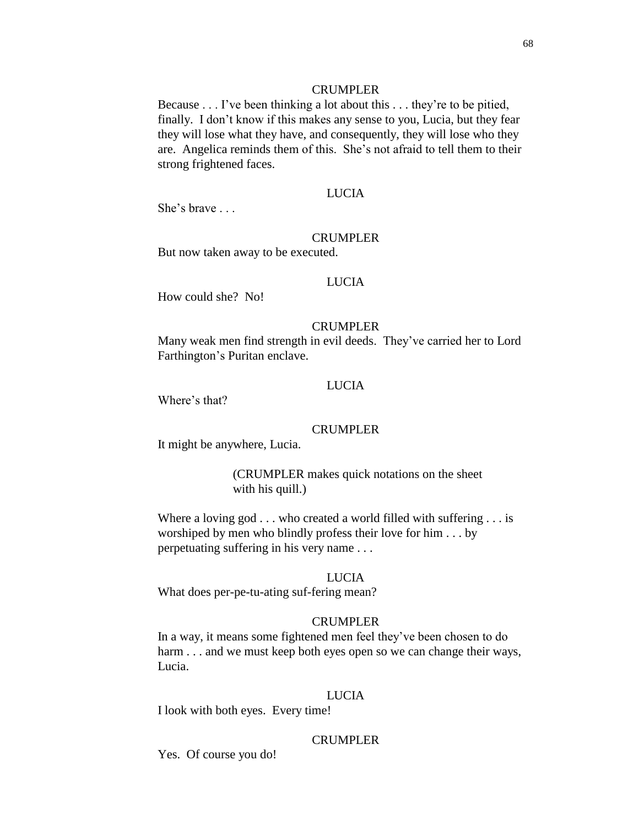#### CRUMPLER

Because . . . I've been thinking a lot about this . . . they're to be pitied, finally. I don't know if this makes any sense to you, Lucia, but they fear they will lose what they have, and consequently, they will lose who they are. Angelica reminds them of this. She's not afraid to tell them to their strong frightened faces.

## LUCIA

She's brave . . .

#### CRUMPLER

But now taken away to be executed.

#### LUCIA

How could she? No!

### CRUMPLER

Many weak men find strength in evil deeds. They've carried her to Lord Farthington's Puritan enclave.

### LUCIA

Where's that?

## CRUMPLER

It might be anywhere, Lucia.

(CRUMPLER makes quick notations on the sheet with his quill.)

Where a loving god . . . who created a world filled with suffering . . . is worshiped by men who blindly profess their love for him . . . by perpetuating suffering in his very name . . .

# LUCIA

What does per-pe-tu-ating suf-fering mean?

### CRUMPLER

In a way, it means some fightened men feel they've been chosen to do harm . . . and we must keep both eyes open so we can change their ways, Lucia.

#### LUCIA

I look with both eyes. Every time!

## CRUMPLER

Yes. Of course you do!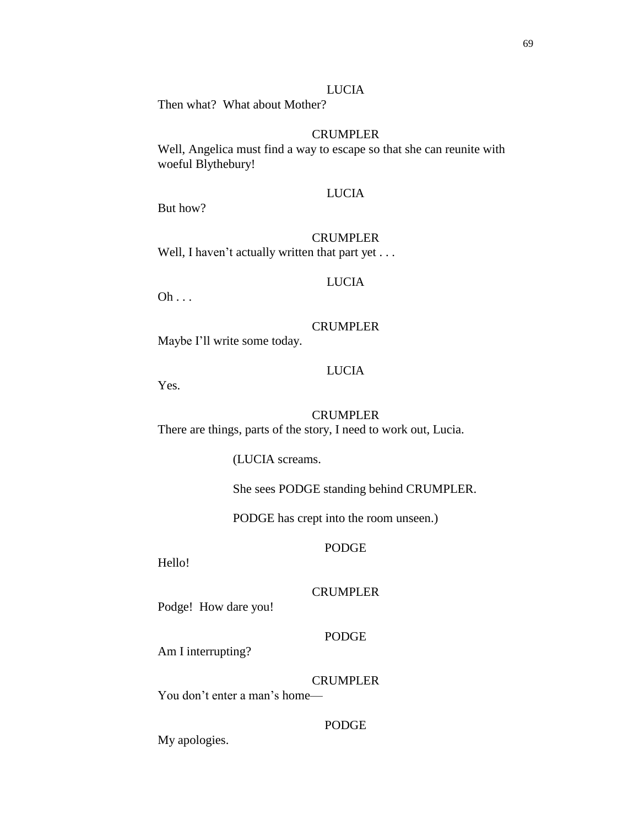69

# LUCIA

Then what? What about Mother?

# **CRUMPLER**

Well, Angelica must find a way to escape so that she can reunite with woeful Blythebury!

### LUCIA

But how?

### CRUMPLER

Well, I haven't actually written that part yet . . .

# LUCIA

 $Oh \ldots$ 

#### CRUMPLER

Maybe I'll write some today.

## LUCIA

Yes.

## CRUMPLER

There are things, parts of the story, I need to work out, Lucia.

(LUCIA screams.

She sees PODGE standing behind CRUMPLER.

PODGE has crept into the room unseen.)

### PODGE

Hello!

# **CRUMPLER**

Podge! How dare you!

# PODGE

Am I interrupting?

## CRUMPLER

You don't enter a man's home—

# PODGE

My apologies.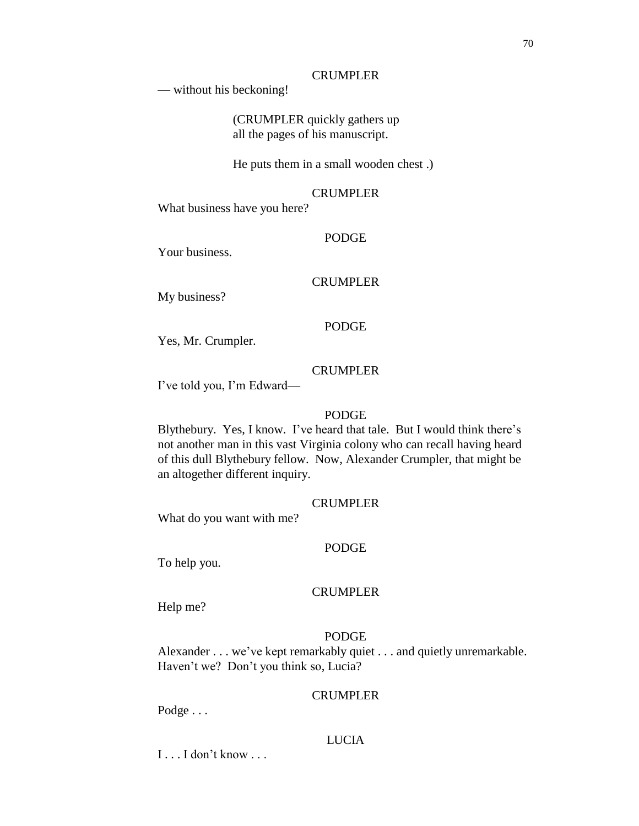## CRUMPLER

— without his beckoning!

(CRUMPLER quickly gathers up all the pages of his manuscript.

He puts them in a small wooden chest .)

## CRUMPLER

What business have you here?

#### PODGE

Your business.

# CRUMPLER

My business?

# PODGE

Yes, Mr. Crumpler.

## CRUMPLER

I've told you, I'm Edward—

# PODGE

Blythebury. Yes, I know. I've heard that tale. But I would think there's not another man in this vast Virginia colony who can recall having heard of this dull Blythebury fellow. Now, Alexander Crumpler, that might be an altogether different inquiry.

#### CRUMPLER

What do you want with me?

#### PODGE

To help you.

### CRUMPLER

Help me?

# PODGE

Alexander . . . we've kept remarkably quiet . . . and quietly unremarkable. Haven't we? Don't you think so, Lucia?

# CRUMPLER

Podge . . .

# LUCIA

 $I \ldots I$  don't know  $\ldots$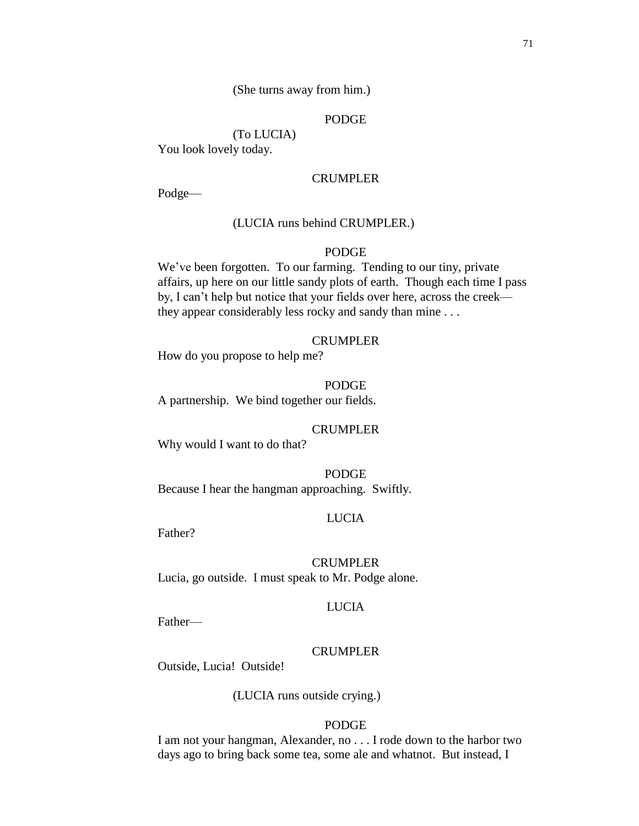#### (She turns away from him.)

# PODGE

(To LUCIA) You look lovely today.

#### CRUMPLER

Podge—

## (LUCIA runs behind CRUMPLER.)

# PODGE

We've been forgotten. To our farming. Tending to our tiny, private affairs, up here on our little sandy plots of earth. Though each time I pass by, I can't help but notice that your fields over here, across the creek they appear considerably less rocky and sandy than mine . . .

#### CRUMPLER

How do you propose to help me?

#### PODGE

A partnership. We bind together our fields.

#### CRUMPLER

Why would I want to do that?

PODGE Because I hear the hangman approaching. Swiftly.

### LUCIA

Father?

# CRUMPLER

Lucia, go outside. I must speak to Mr. Podge alone.

#### LUCIA

Father—

#### CRUMPLER

Outside, Lucia! Outside!

(LUCIA runs outside crying.)

### PODGE

I am not your hangman, Alexander, no . . . I rode down to the harbor two days ago to bring back some tea, some ale and whatnot. But instead, I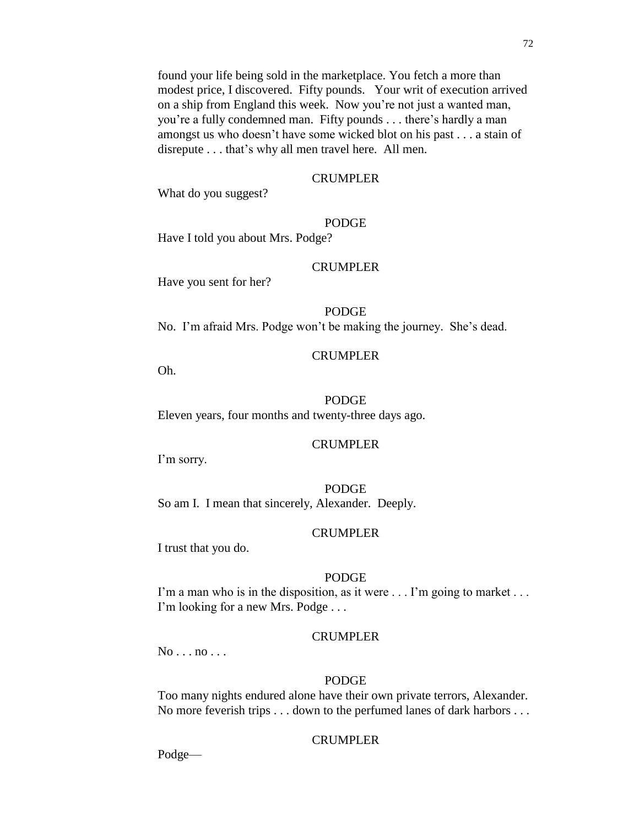#### CRUMPLER

What do you suggest?

## PODGE

Have I told you about Mrs. Podge?

## CRUMPLER

Have you sent for her?

## PODGE

No. I'm afraid Mrs. Podge won't be making the journey. She's dead.

## CRUMPLER

Oh.

## PODGE

Eleven years, four months and twenty-three days ago.

## CRUMPLER

I'm sorry.

## PODGE So am I. I mean that sincerely, Alexander. Deeply.

## CRUMPLER

I trust that you do.

## PODGE

I'm a man who is in the disposition, as it were . . . I'm going to market . . . I'm looking for a new Mrs. Podge . . .

## CRUMPLER

 $No \ldots no \ldots$ 

## PODGE

Too many nights endured alone have their own private terrors, Alexander. No more feverish trips . . . down to the perfumed lanes of dark harbors . . .

## CRUMPLER

Podge—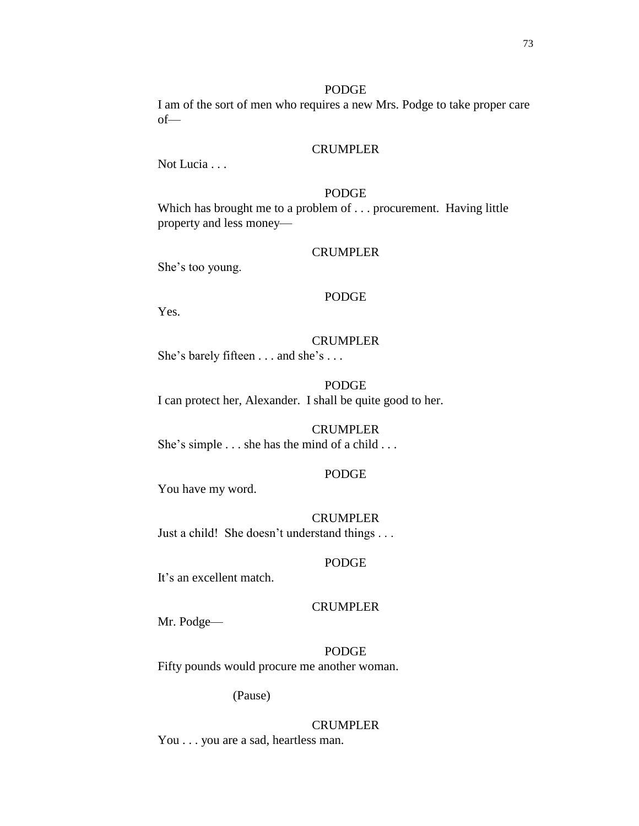#### PODGE

I am of the sort of men who requires a new Mrs. Podge to take proper care of—

## CRUMPLER

Not Lucia . . .

# PODGE

Which has brought me to a problem of . . . procurement. Having little property and less money—

## CRUMPLER

She's too young.

#### PODGE

Yes.

#### CRUMPLER

She's barely fifteen . . . and she's . . .

# PODGE

I can protect her, Alexander. I shall be quite good to her.

# CRUMPLER

She's simple . . . she has the mind of a child . . .

## PODGE

You have my word.

#### CRUMPLER

Just a child! She doesn't understand things . . .

#### PODGE

It's an excellent match.

#### CRUMPLER

Mr. Podge—

PODGE Fifty pounds would procure me another woman.

(Pause)

#### CRUMPLER

You . . . you are a sad, heartless man.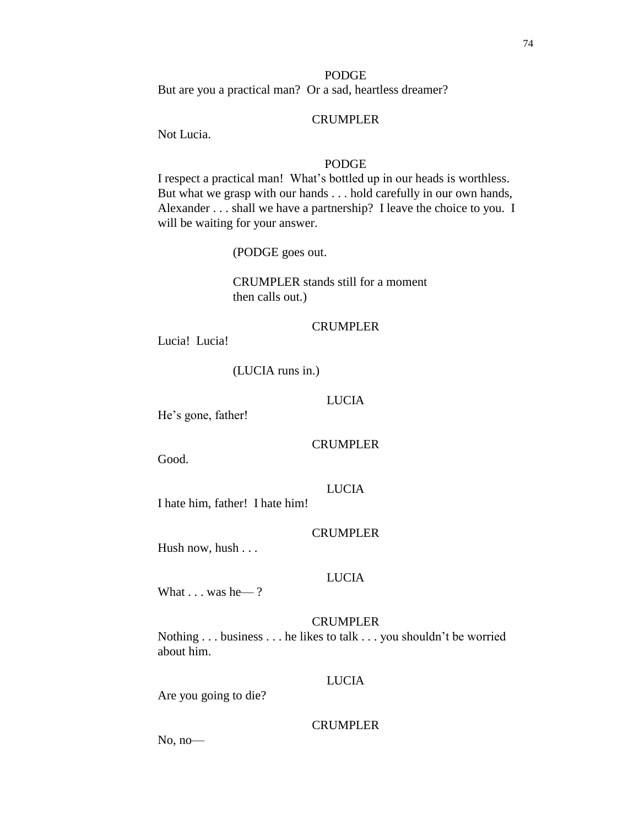74

## PODGE

But are you a practical man? Or a sad, heartless dreamer?

## CRUMPLER

Not Lucia.

## PODGE

I respect a practical man! What's bottled up in our heads is worthless. But what we grasp with our hands . . . hold carefully in our own hands, Alexander . . . shall we have a partnership? I leave the choice to you. I will be waiting for your answer.

(PODGE goes out.

CRUMPLER stands still for a moment then calls out.)

## CRUMPLER

Lucia! Lucia!

## (LUCIA runs in.)

#### LUCIA

He's gone, father!

#### CRUMPLER

Good.

## LUCIA

I hate him, father! I hate him!

## **CRUMPLER**

Hush now, hush . . .

#### LUCIA

What  $\ldots$  was he  $-$ ?

## CRUMPLER

Nothing . . . business . . . he likes to talk . . . you shouldn't be worried about him.

#### LUCIA

Are you going to die?

## CRUMPLER

No, no—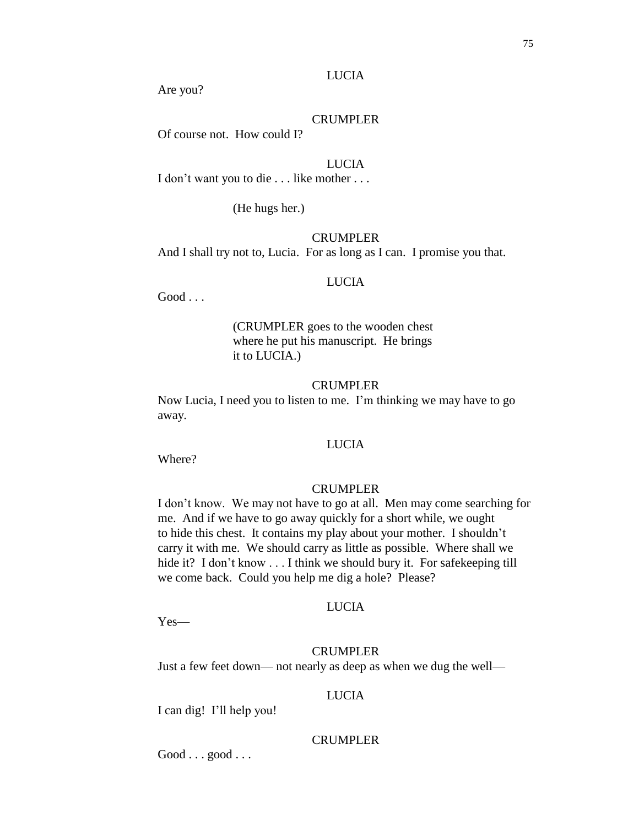## LUCIA

Are you?

## CRUMPLER

Of course not. How could I?

## LUCIA

I don't want you to die . . . like mother . . .

(He hugs her.)

## CRUMPLER

And I shall try not to, Lucia. For as long as I can. I promise you that.

#### LUCIA

Good . . .

(CRUMPLER goes to the wooden chest where he put his manuscript. He brings it to LUCIA.)

#### CRUMPLER

Now Lucia, I need you to listen to me. I'm thinking we may have to go away.

## LUCIA

Where?

## CRUMPLER

I don't know. We may not have to go at all. Men may come searching for me. And if we have to go away quickly for a short while, we ought to hide this chest. It contains my play about your mother. I shouldn't carry it with me. We should carry as little as possible. Where shall we hide it? I don't know . . . I think we should bury it. For safekeeping till we come back. Could you help me dig a hole? Please?

#### LUCIA

Yes—

## CRUMPLER

Just a few feet down— not nearly as deep as when we dug the well—

## LUCIA

I can dig! I'll help you!

## CRUMPLER

Good . . . good . . .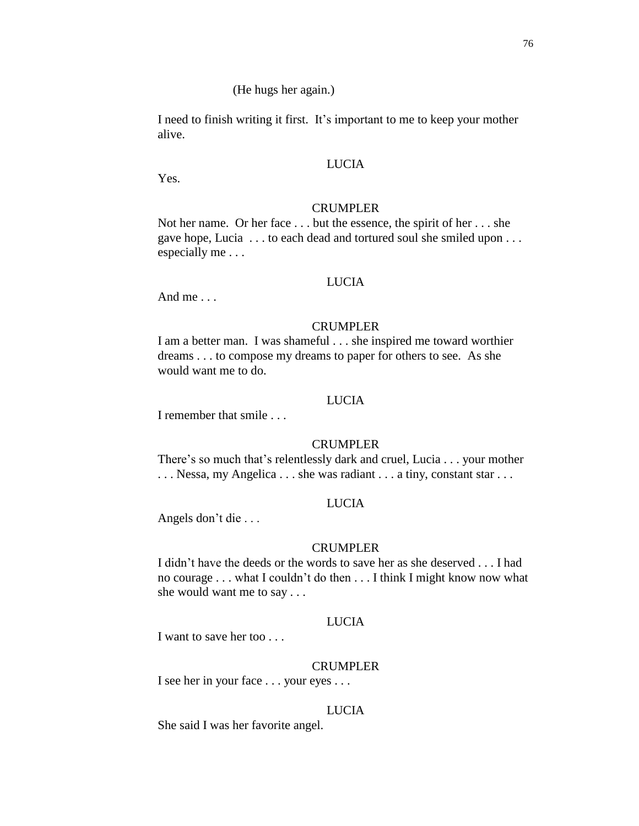I need to finish writing it first. It's important to me to keep your mother alive.

## LUCIA

Yes.

## CRUMPLER

Not her name. Or her face . . . but the essence, the spirit of her . . . she gave hope, Lucia . . . to each dead and tortured soul she smiled upon . . . especially me . . .

## LUCIA

And me . . .

## CRUMPLER

I am a better man. I was shameful . . . she inspired me toward worthier dreams . . . to compose my dreams to paper for others to see. As she would want me to do.

## LUCIA

I remember that smile . . .

## CRUMPLER

There's so much that's relentlessly dark and cruel, Lucia . . . your mother ... Nessa, my Angelica ... she was radiant ... a tiny, constant star ...

#### LUCIA

Angels don't die . . .

#### CRUMPLER

I didn't have the deeds or the words to save her as she deserved . . . I had no courage . . . what I couldn't do then . . . I think I might know now what she would want me to say . . .

# LUCIA

I want to save her too . . .

#### CRUMPLER

I see her in your face . . . your eyes . . .

#### LUCIA

She said I was her favorite angel.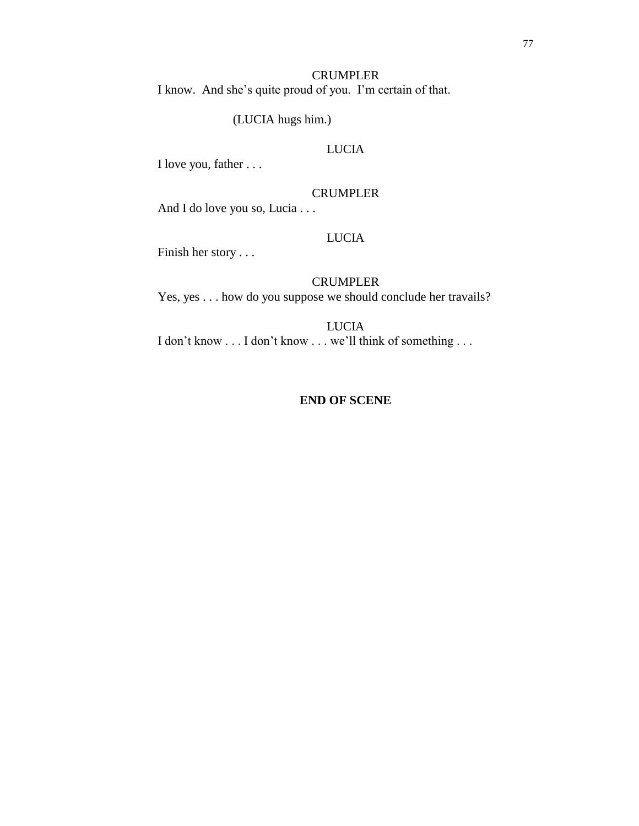(LUCIA hugs him.)

# LUCIA

I love you, father . . .

## CRUMPLER

And I do love you so, Lucia . . .

## LUCIA

Finish her story . . .

## CRUMPLER

Yes, yes . . . how do you suppose we should conclude her travails?

LUCIA I don't know . . . I don't know . . . we'll think of something . . .

## **END OF SCENE**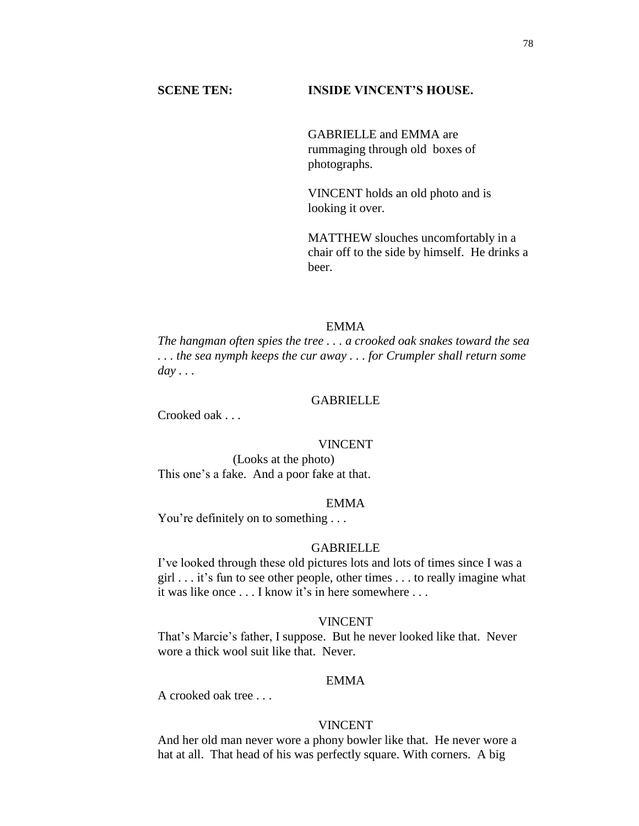## **SCENE TEN: INSIDE VINCENT'S HOUSE.**

GABRIELLE and EMMA are rummaging through old boxes of photographs.

VINCENT holds an old photo and is looking it over.

MATTHEW slouches uncomfortably in a chair off to the side by himself. He drinks a beer.

#### EMMA

*The hangman often spies the tree . . . a crooked oak snakes toward the sea . . . the sea nymph keeps the cur away . . . for Crumpler shall return some day . . .*

#### **GABRIELLE**

Crooked oak . . .

#### VINCENT

(Looks at the photo) This one's a fake. And a poor fake at that.

#### EMMA

You're definitely on to something . . .

#### GABRIELLE

I've looked through these old pictures lots and lots of times since I was a girl . . . it's fun to see other people, other times . . . to really imagine what it was like once . . . I know it's in here somewhere . . .

## VINCENT

That's Marcie's father, I suppose. But he never looked like that. Never wore a thick wool suit like that. Never.

## EMMA

A crooked oak tree . . .

## VINCENT

And her old man never wore a phony bowler like that. He never wore a hat at all. That head of his was perfectly square. With corners. A big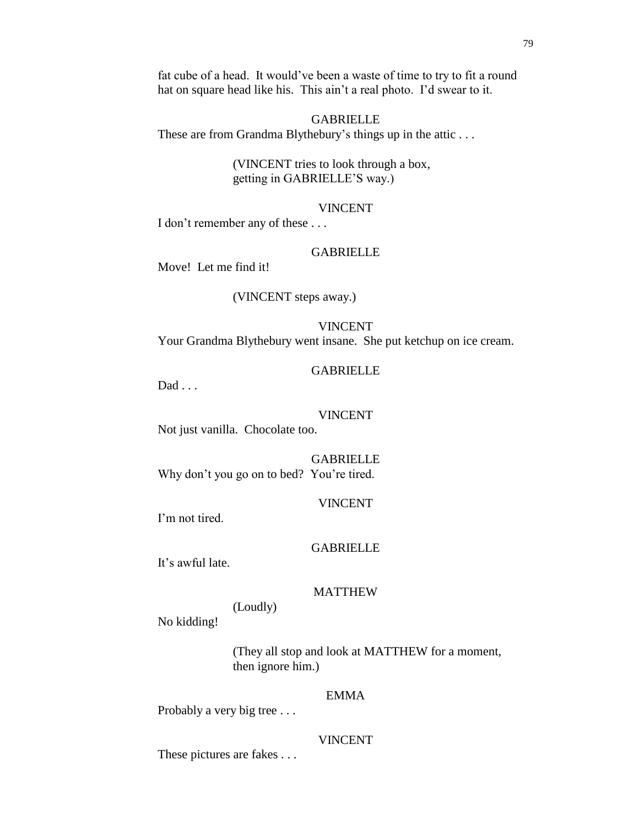fat cube of a head. It would've been a waste of time to try to fit a round hat on square head like his. This ain't a real photo. I'd swear to it.

## GABRIELLE

These are from Grandma Blythebury's things up in the attic ...

(VINCENT tries to look through a box, getting in GABRIELLE'S way.)

## VINCENT

I don't remember any of these . . .

## GABRIELLE

Move! Let me find it!

## (VINCENT steps away.)

#### VINCENT

Your Grandma Blythebury went insane. She put ketchup on ice cream.

#### GABRIELLE

Dad . . .

## VINCENT

Not just vanilla. Chocolate too.

GABRIELLE Why don't you go on to bed? You're tired.

#### VINCENT

I'm not tired.

## GABRIELLE

It's awful late.

## MATTHEW

# (Loudly)

No kidding!

(They all stop and look at MATTHEW for a moment, then ignore him.)

# EMMA

Probably a very big tree . . .

## VINCENT

These pictures are fakes . . .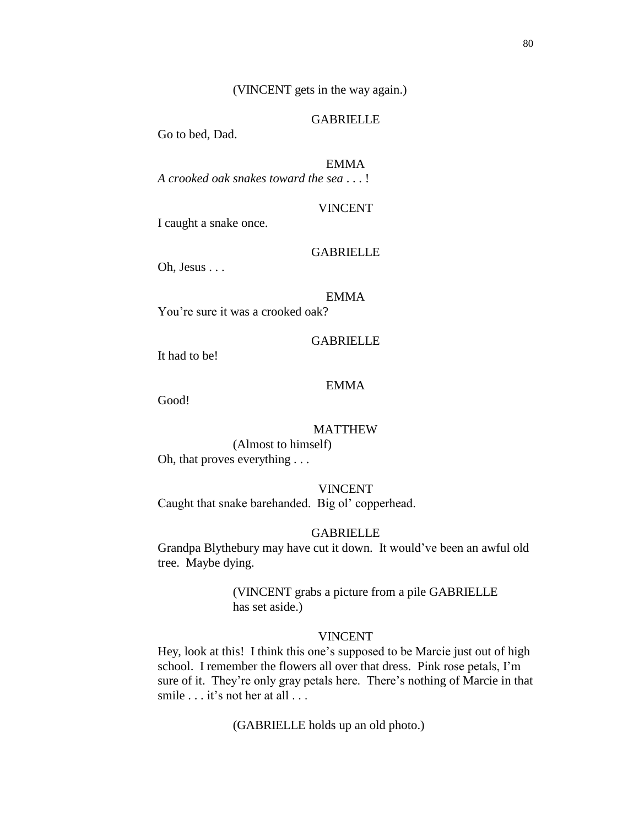(VINCENT gets in the way again.)

## GABRIELLE

Go to bed, Dad.

#### EMMA

*A crooked oak snakes toward the sea* . . . !

## VINCENT

I caught a snake once.

## **GABRIELLE**

Oh, Jesus . . .

#### EMMA

You're sure it was a crooked oak?

## GABRIELLE

It had to be!

## EMMA

Good!

## MATTHEW

(Almost to himself) Oh, that proves everything . . .

## VINCENT

Caught that snake barehanded. Big ol' copperhead.

## **GABRIELLE**

Grandpa Blythebury may have cut it down. It would've been an awful old tree. Maybe dying.

> (VINCENT grabs a picture from a pile GABRIELLE has set aside.)

#### VINCENT

Hey, look at this! I think this one's supposed to be Marcie just out of high school. I remember the flowers all over that dress. Pink rose petals, I'm sure of it. They're only gray petals here. There's nothing of Marcie in that smile . . . it's not her at all . . .

(GABRIELLE holds up an old photo.)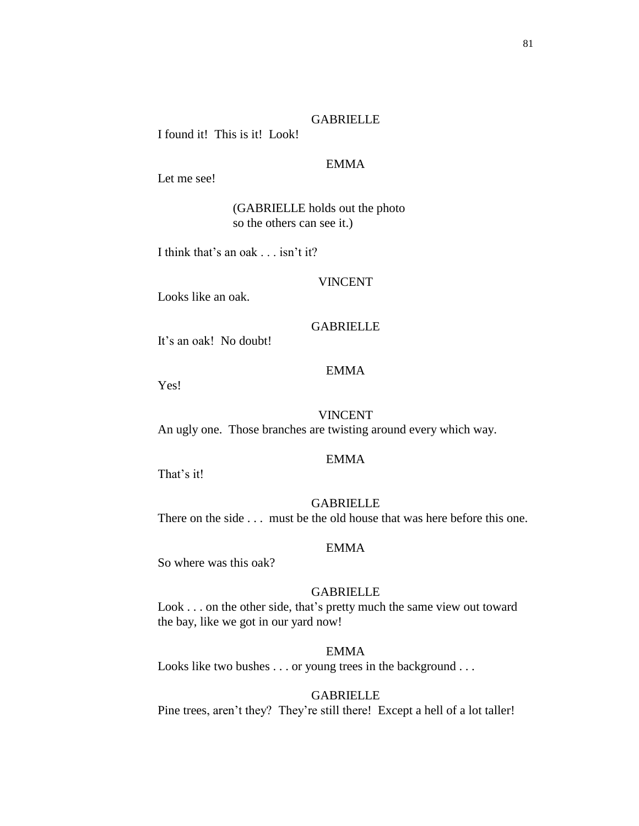## GABRIELLE

I found it! This is it! Look!

## EMMA

Let me see!

(GABRIELLE holds out the photo so the others can see it.)

I think that's an oak . . . isn't it?

## VINCENT

Looks like an oak.

## GABRIELLE

It's an oak! No doubt!

## EMMA

Yes!

## VINCENT

An ugly one. Those branches are twisting around every which way.

## EMMA

That's it!

## GABRIELLE

There on the side . . . must be the old house that was here before this one.

#### EMMA

So where was this oak?

## GABRIELLE

Look . . . on the other side, that's pretty much the same view out toward the bay, like we got in our yard now!

## EMMA

Looks like two bushes . . . or young trees in the background . . .

## GABRIELLE

Pine trees, aren't they? They're still there! Except a hell of a lot taller!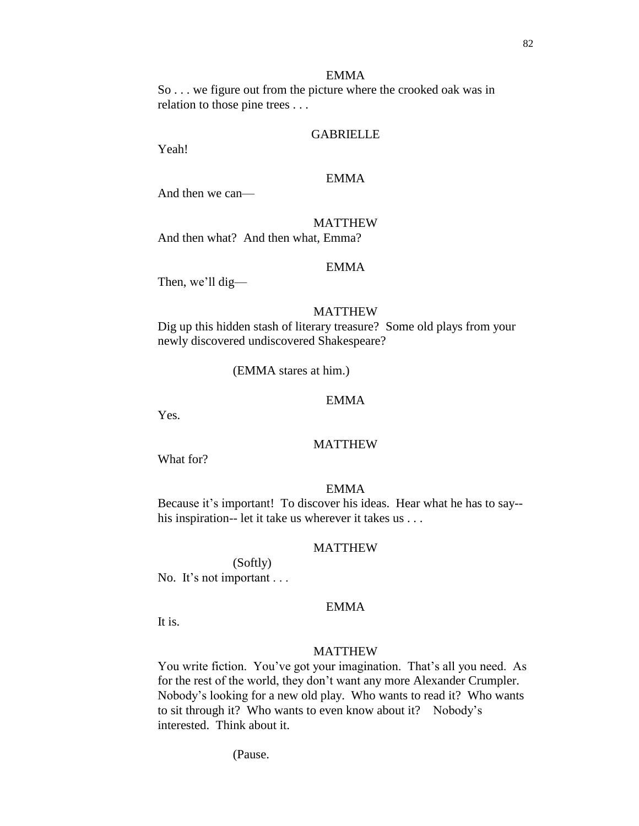## EMMA

So . . . we figure out from the picture where the crooked oak was in relation to those pine trees . . .

## GABRIELLE

Yeah!

## EMMA

And then we can—

## MATTHEW

And then what? And then what, Emma?

#### EMMA

Then, we'll dig—

#### MATTHEW

Dig up this hidden stash of literary treasure? Some old plays from your newly discovered undiscovered Shakespeare?

(EMMA stares at him.)

#### EMMA

Yes.

## MATTHEW

What for?

#### EMMA

Because it's important! To discover his ideas. Hear what he has to say- his inspiration-- let it take us wherever it takes us . . .

#### MATTHEW

(Softly) No. It's not important ...

#### EMMA

It is.

## MATTHEW

You write fiction. You've got your imagination. That's all you need. As for the rest of the world, they don't want any more Alexander Crumpler. Nobody's looking for a new old play. Who wants to read it? Who wants to sit through it? Who wants to even know about it? Nobody's interested. Think about it.

(Pause.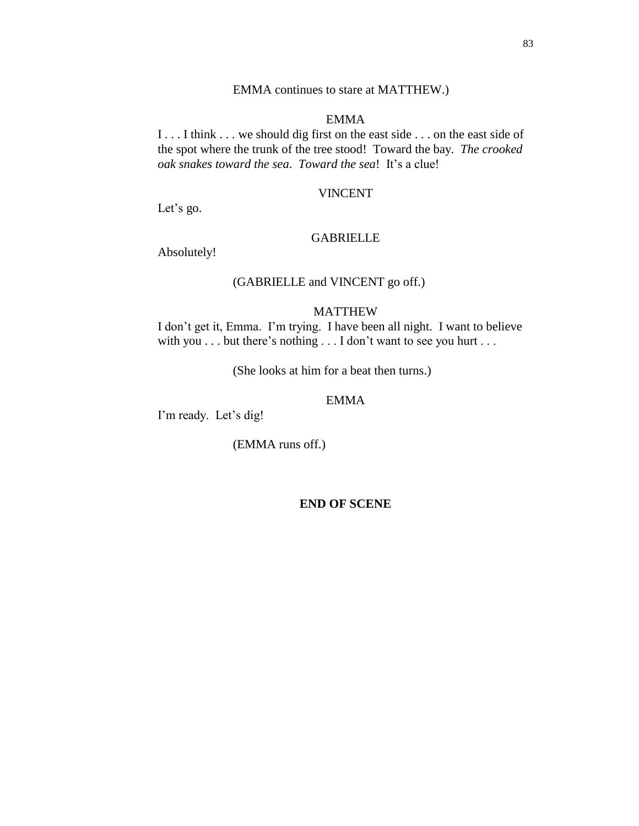## EMMA continues to stare at MATTHEW.)

## EMMA

I . . . I think . . . we should dig first on the east side . . . on the east side of the spot where the trunk of the tree stood! Toward the bay. *The crooked oak snakes toward the sea*. *Toward the sea*! It's a clue!

## VINCENT

Let's go.

# GABRIELLE

Absolutely!

# (GABRIELLE and VINCENT go off.)

## MATTHEW

I don't get it, Emma. I'm trying. I have been all night. I want to believe with you . . . but there's nothing . . . I don't want to see you hurt . . .

(She looks at him for a beat then turns.)

#### EMMA

I'm ready. Let's dig!

(EMMA runs off.)

**END OF SCENE**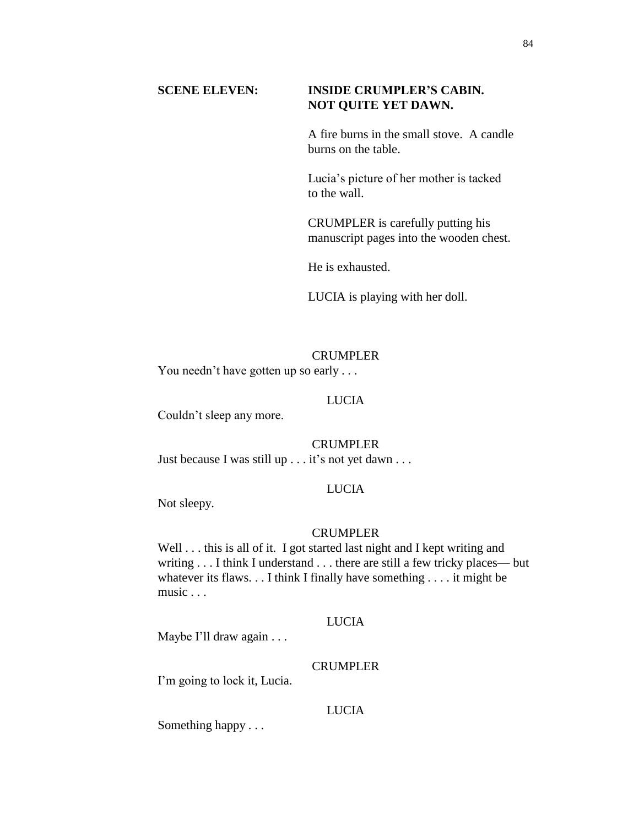# **SCENE ELEVEN: INSIDE CRUMPLER'S CABIN. NOT QUITE YET DAWN.**

A fire burns in the small stove. A candle burns on the table.

Lucia's picture of her mother is tacked to the wall.

CRUMPLER is carefully putting his manuscript pages into the wooden chest.

He is exhausted.

LUCIA is playing with her doll.

# CRUMPLER

You needn't have gotten up so early ...

# LUCIA

Couldn't sleep any more.

# CRUMPLER

Just because I was still up . . . it's not yet dawn . . .

# LUCIA

Not sleepy.

# CRUMPLER

Well . . . this is all of it. I got started last night and I kept writing and writing . . . I think I understand . . . there are still a few tricky places— but whatever its flaws. . . I think I finally have something . . . . it might be music . . .

# LUCIA

Maybe I'll draw again . . .

## CRUMPLER

I'm going to lock it, Lucia.

## LUCIA

Something happy . . .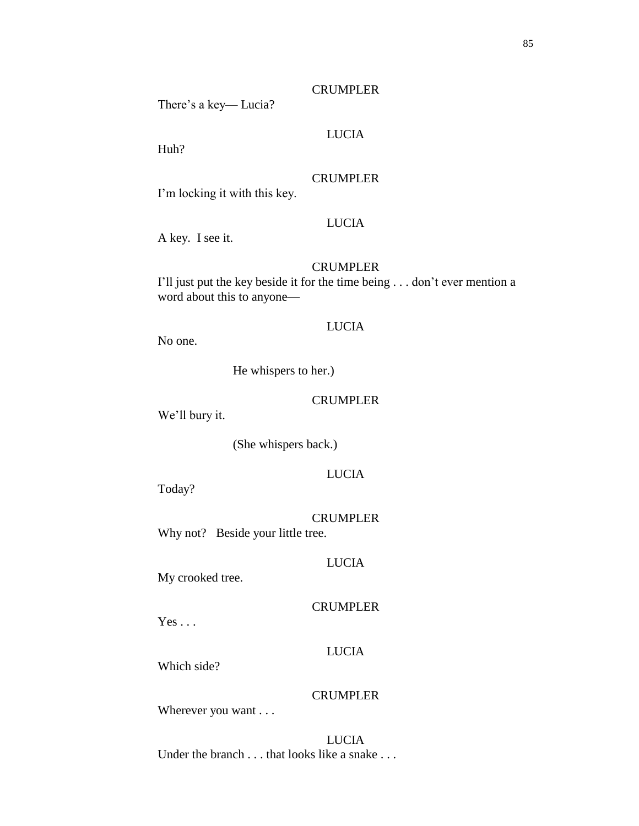LUCIA

There's a key— Lucia?

Huh?

## CRUMPLER

I'm locking it with this key.

# LUCIA

A key. I see it.

#### **CRUMPLER**

I'll just put the key beside it for the time being . . . don't ever mention a word about this to anyone—

## LUCIA

No one.

He whispers to her.)

#### CRUMPLER

We'll bury it.

(She whispers back.)

## LUCIA

Today?

CRUMPLER Why not? Beside your little tree.

## LUCIA

My crooked tree.

## CRUMPLER

 $Yes \dots$ 

## LUCIA

Which side?

# CRUMPLER

Wherever you want . . .

LUCIA Under the branch . . . that looks like a snake . . .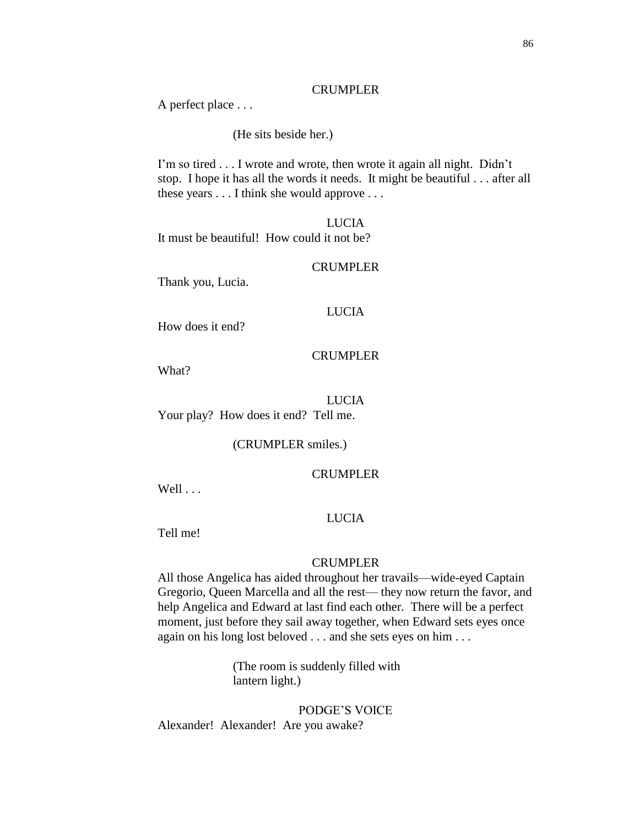#### CRUMPLER

A perfect place . . .

(He sits beside her.)

I'm so tired . . . I wrote and wrote, then wrote it again all night. Didn't stop. I hope it has all the words it needs. It might be beautiful . . . after all these years . . . I think she would approve . . .

LUCIA It must be beautiful! How could it not be?

CRUMPLER

Thank you, Lucia.

## LUCIA

How does it end?

## CRUMPLER

What?

LUCIA Your play? How does it end? Tell me.

(CRUMPLER smiles.)

#### CRUMPLER

Well . . .

## LUCIA

Tell me!

#### CRUMPLER

All those Angelica has aided throughout her travails—wide-eyed Captain Gregorio, Queen Marcella and all the rest— they now return the favor, and help Angelica and Edward at last find each other. There will be a perfect moment, just before they sail away together, when Edward sets eyes once again on his long lost beloved . . . and she sets eyes on him . . .

> (The room is suddenly filled with lantern light.)

PODGE'S VOICE Alexander! Alexander! Are you awake?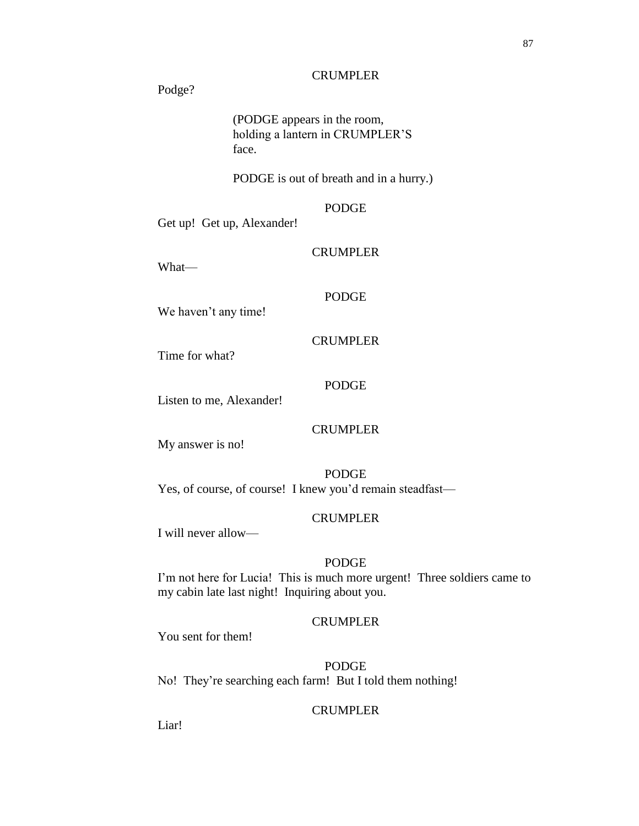## **CRUMPLER**

Podge?

(PODGE appears in the room, holding a lantern in CRUMPLER'S face.

PODGE is out of breath and in a hurry.)

## PODGE

Get up! Get up, Alexander!

# **CRUMPLER**

What—

## PODGE

**CRUMPLER** 

We haven't any time!

Time for what?

## PODGE

Listen to me, Alexander!

## CRUMPLER

My answer is no!

PODGE Yes, of course, of course! I knew you'd remain steadfast—

# CRUMPLER

I will never allow—

## PODGE

I'm not here for Lucia! This is much more urgent! Three soldiers came to my cabin late last night! Inquiring about you.

# **CRUMPLER**

You sent for them!

## PODGE

No! They're searching each farm! But I told them nothing!

## CRUMPLER

Liar!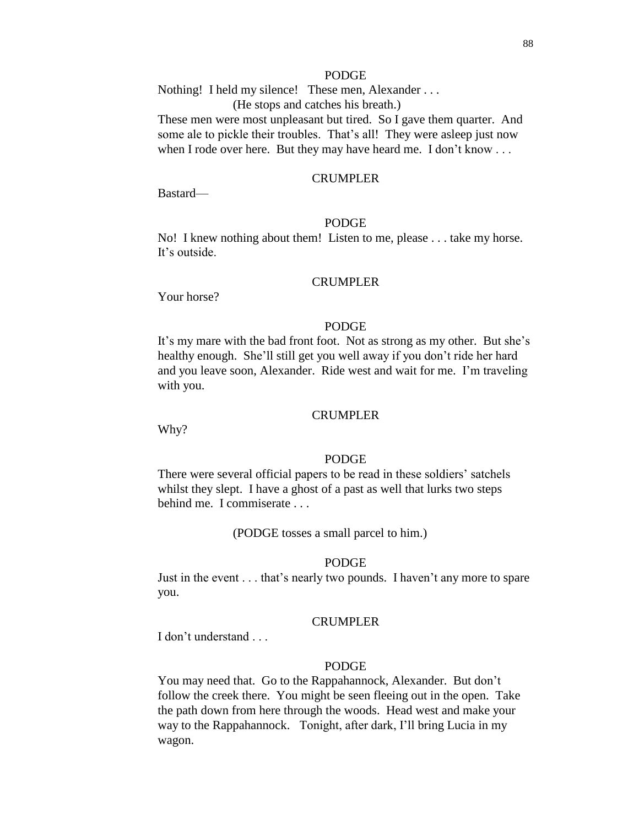## PODGE

Nothing! I held my silence! These men, Alexander . . . (He stops and catches his breath.)

These men were most unpleasant but tired. So I gave them quarter. And some ale to pickle their troubles. That's all! They were asleep just now when I rode over here. But they may have heard me. I don't know . . .

#### CRUMPLER

Bastard—

## PODGE

No! I knew nothing about them! Listen to me, please . . . take my horse. It's outside.

#### CRUMPLER

Your horse?

## PODGE

It's my mare with the bad front foot. Not as strong as my other. But she's healthy enough. She'll still get you well away if you don't ride her hard and you leave soon, Alexander. Ride west and wait for me. I'm traveling with you.

#### CRUMPLER

Why?

#### PODGE

There were several official papers to be read in these soldiers' satchels whilst they slept. I have a ghost of a past as well that lurks two steps behind me. I commiserate . . .

(PODGE tosses a small parcel to him.)

#### PODGE

Just in the event . . . that's nearly two pounds. I haven't any more to spare you.

## CRUMPLER

I don't understand

## PODGE

You may need that. Go to the Rappahannock, Alexander. But don't follow the creek there. You might be seen fleeing out in the open. Take the path down from here through the woods. Head west and make your way to the Rappahannock. Tonight, after dark, I'll bring Lucia in my wagon.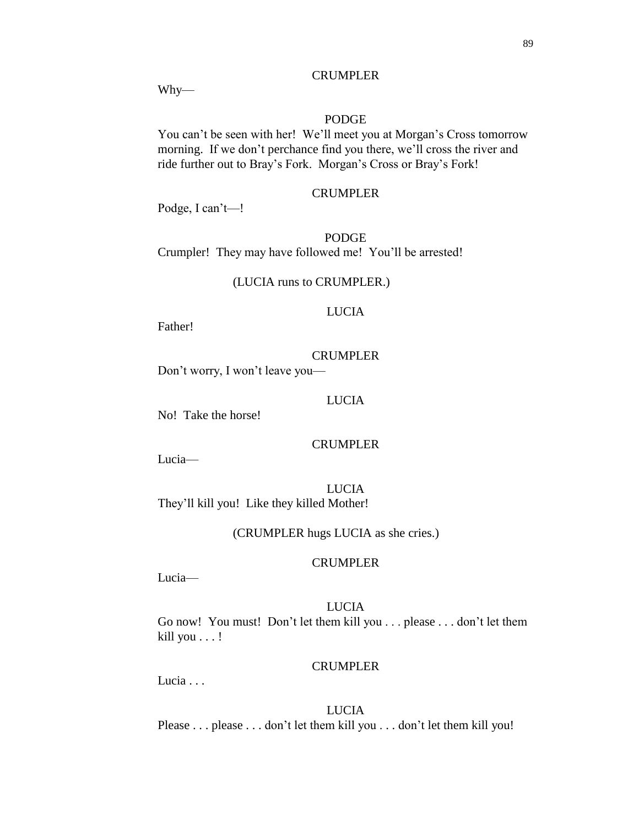#### PODGE

CRUMPLER

You can't be seen with her! We'll meet you at Morgan's Cross tomorrow morning. If we don't perchance find you there, we'll cross the river and ride further out to Bray's Fork. Morgan's Cross or Bray's Fork!

## CRUMPLER

Podge, I can't—!

PODGE Crumpler! They may have followed me! You'll be arrested!

(LUCIA runs to CRUMPLER.)

## LUCIA

Father!

## CRUMPLER

Don't worry, I won't leave you—

#### LUCIA

No! Take the horse!

## CRUMPLER

Lucia—

LUCIA They'll kill you! Like they killed Mother!

(CRUMPLER hugs LUCIA as she cries.)

## CRUMPLER

Lucia—

LUCIA Go now! You must! Don't let them kill you . . . please . . . don't let them kill you . . . !

## CRUMPLER

Lucia . . .

# LUCIA

Please . . . please . . . don't let them kill you . . . don't let them kill you!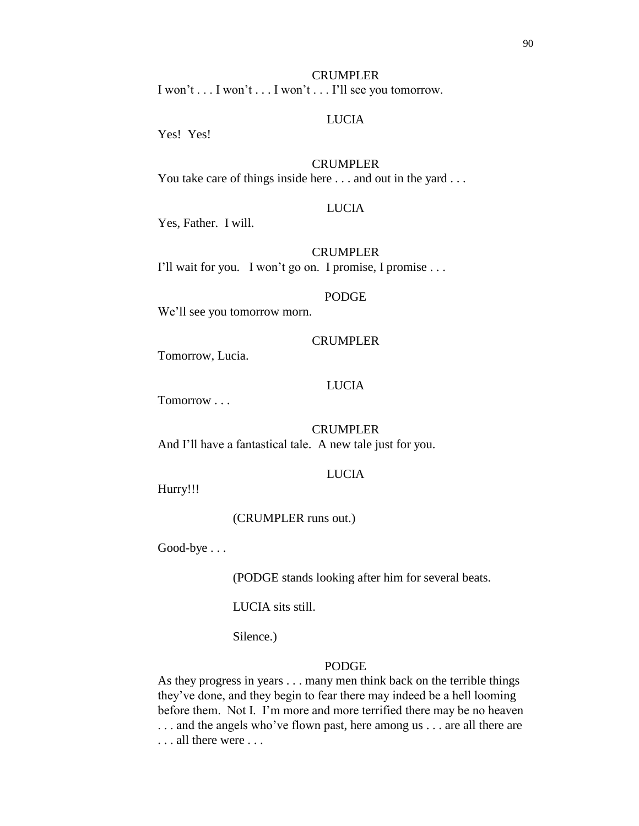#### CRUMPLER

I won't . . . I won't . . . I won't . . . I'll see you tomorrow.

## LUCIA

Yes! Yes!

## CRUMPLER

You take care of things inside here . . . and out in the yard . . .

## LUCIA

Yes, Father. I will.

## **CRUMPLER**

I'll wait for you. I won't go on. I promise, I promise . . .

#### PODGE

We'll see you tomorrow morn.

#### CRUMPLER

Tomorrow, Lucia.

## LUCIA

Tomorrow . . .

#### CRUMPLER

And I'll have a fantastical tale. A new tale just for you.

#### LUCIA

Hurry!!!

(CRUMPLER runs out.)

Good-bye . . .

(PODGE stands looking after him for several beats.

LUCIA sits still.

Silence.)

## PODGE

As they progress in years . . . many men think back on the terrible things they've done, and they begin to fear there may indeed be a hell looming before them. Not I. I'm more and more terrified there may be no heaven . . . and the angels who've flown past, here among us . . . are all there are . . . all there were . . .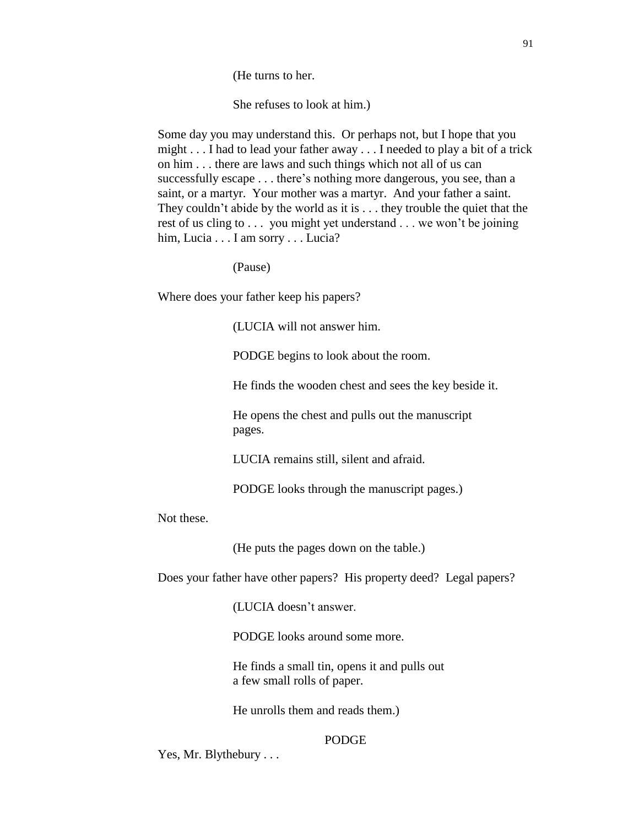(He turns to her.

She refuses to look at him.)

Some day you may understand this. Or perhaps not, but I hope that you might . . . I had to lead your father away . . . I needed to play a bit of a trick on him . . . there are laws and such things which not all of us can successfully escape . . . there's nothing more dangerous, you see, than a saint, or a martyr. Your mother was a martyr. And your father a saint. They couldn't abide by the world as it is . . . they trouble the quiet that the rest of us cling to . . . you might yet understand . . . we won't be joining him, Lucia . . . I am sorry . . . Lucia?

(Pause)

Where does your father keep his papers?

(LUCIA will not answer him.

PODGE begins to look about the room.

He finds the wooden chest and sees the key beside it.

He opens the chest and pulls out the manuscript pages.

LUCIA remains still, silent and afraid.

PODGE looks through the manuscript pages.)

Not these.

(He puts the pages down on the table.)

Does your father have other papers? His property deed? Legal papers?

(LUCIA doesn't answer.

PODGE looks around some more.

He finds a small tin, opens it and pulls out a few small rolls of paper.

He unrolls them and reads them.)

# PODGE

Yes, Mr. Blythebury . . .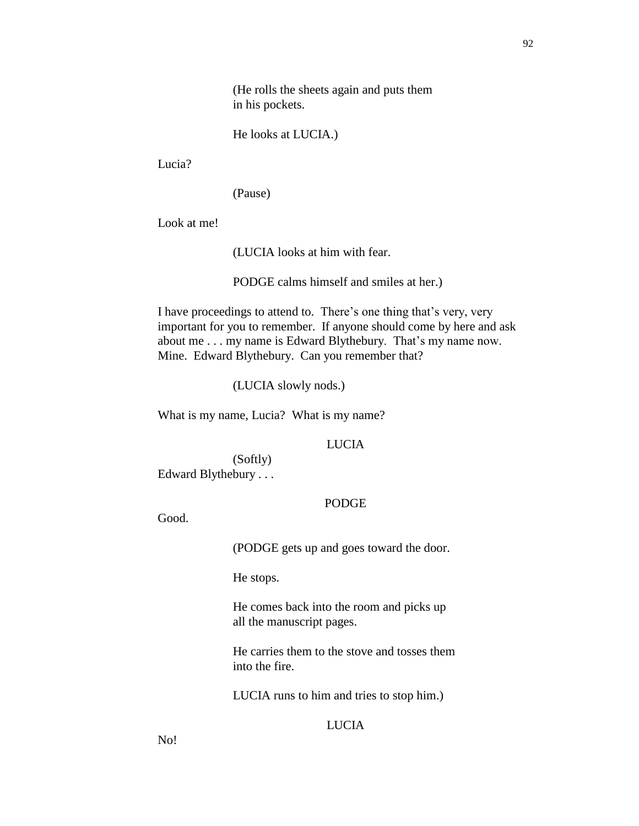(He rolls the sheets again and puts them in his pockets.

He looks at LUCIA.)

Lucia?

(Pause)

Look at me!

(LUCIA looks at him with fear.

PODGE calms himself and smiles at her.)

I have proceedings to attend to. There's one thing that's very, very important for you to remember. If anyone should come by here and ask about me . . . my name is Edward Blythebury. That's my name now. Mine. Edward Blythebury. Can you remember that?

(LUCIA slowly nods.)

What is my name, Lucia? What is my name?

LUCIA

(Softly) Edward Blythebury . . .

## PODGE

Good.

(PODGE gets up and goes toward the door.

He stops.

He comes back into the room and picks up all the manuscript pages.

He carries them to the stove and tosses them into the fire.

LUCIA runs to him and tries to stop him.)

## **LUCIA**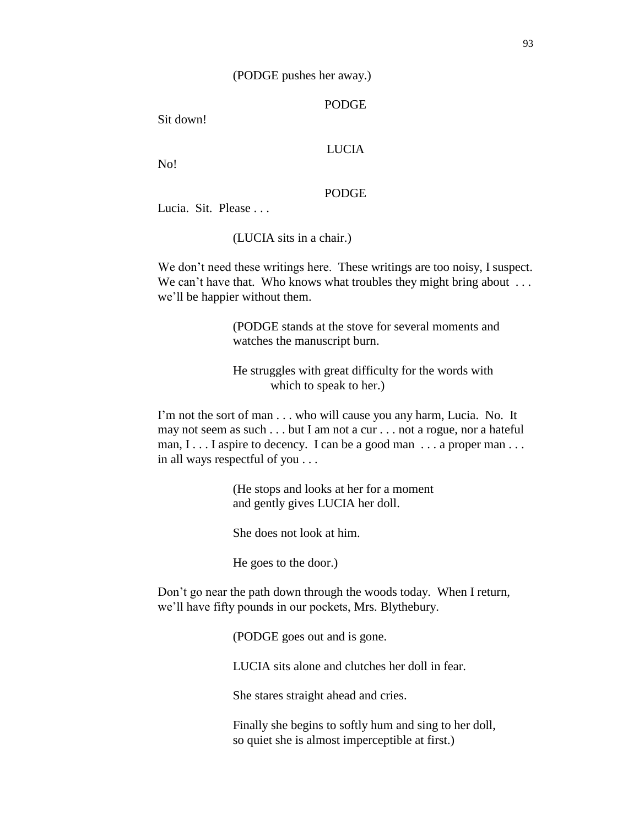## (PODGE pushes her away.)

## PODGE

Sit down!

## LUCIA

No!

## PODGE

Lucia. Sit. Please ...

(LUCIA sits in a chair.)

We don't need these writings here. These writings are too noisy, I suspect. We can't have that. Who knows what troubles they might bring about ... we'll be happier without them.

> (PODGE stands at the stove for several moments and watches the manuscript burn.

He struggles with great difficulty for the words with which to speak to her.)

I'm not the sort of man . . . who will cause you any harm, Lucia. No. It may not seem as such . . . but I am not a cur . . . not a rogue, nor a hateful man, I . . . I aspire to decency. I can be a good man . . . a proper man . . . in all ways respectful of you . . .

> (He stops and looks at her for a moment and gently gives LUCIA her doll.

She does not look at him.

He goes to the door.)

Don't go near the path down through the woods today. When I return, we'll have fifty pounds in our pockets, Mrs. Blythebury.

(PODGE goes out and is gone.

LUCIA sits alone and clutches her doll in fear.

She stares straight ahead and cries.

Finally she begins to softly hum and sing to her doll, so quiet she is almost imperceptible at first.)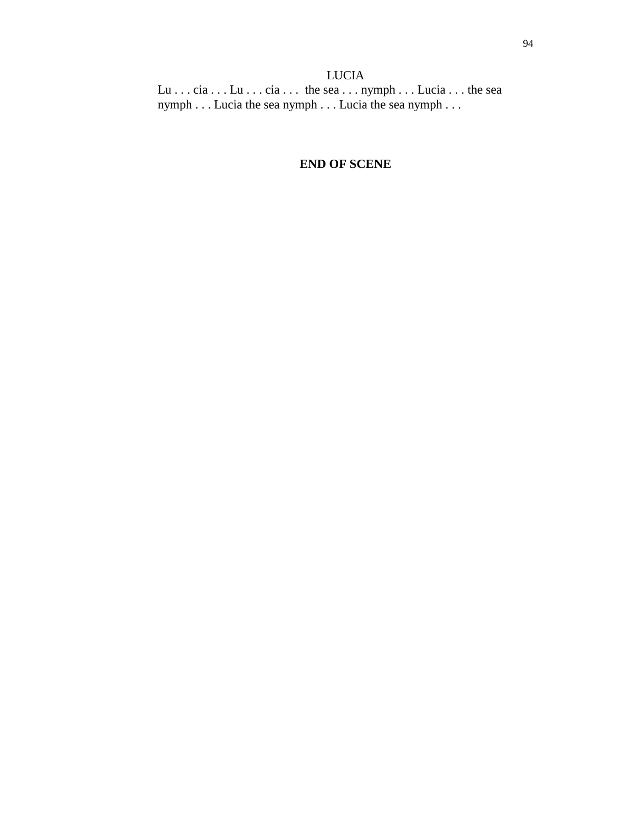Lu . . . cia . . . Lu . . . cia . . . the sea . . . nymph . . . Lucia . . . the sea nymph . . . Lucia the sea nymph . . . Lucia the sea nymph . . .

# **END OF SCENE**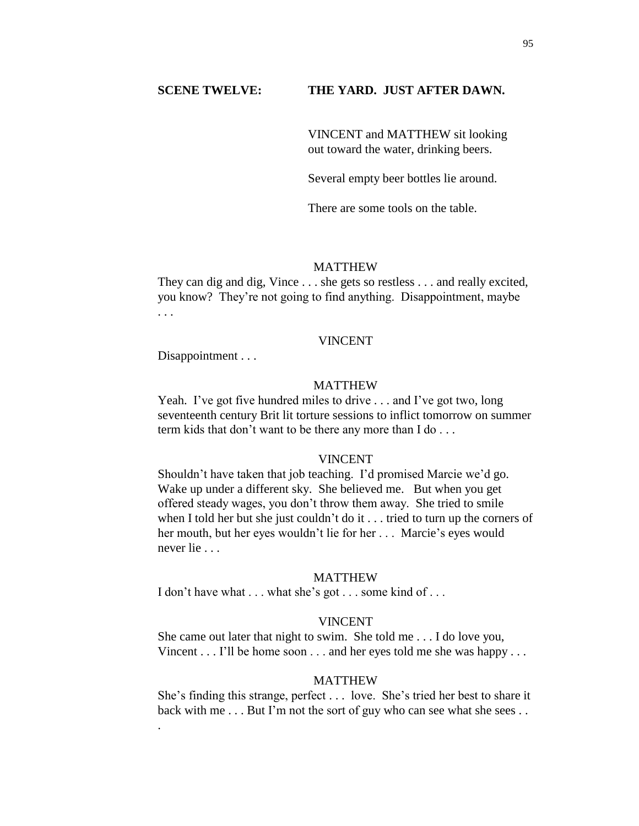#### **SCENE TWELVE: THE YARD. JUST AFTER DAWN.**

VINCENT and MATTHEW sit looking out toward the water, drinking beers.

Several empty beer bottles lie around.

There are some tools on the table.

#### MATTHEW

They can dig and dig, Vince . . . she gets so restless . . . and really excited, you know? They're not going to find anything. Disappointment, maybe . . .

#### VINCENT

Disappointment . . .

.

## MATTHEW

Yeah. I've got five hundred miles to drive . . . and I've got two, long seventeenth century Brit lit torture sessions to inflict tomorrow on summer term kids that don't want to be there any more than I do . . .

#### VINCENT

Shouldn't have taken that job teaching. I'd promised Marcie we'd go. Wake up under a different sky. She believed me. But when you get offered steady wages, you don't throw them away. She tried to smile when I told her but she just couldn't do it . . . tried to turn up the corners of her mouth, but her eyes wouldn't lie for her . . . Marcie's eyes would never lie . . .

#### MATTHEW

I don't have what . . . what she's got . . . some kind of . . .

## VINCENT

She came out later that night to swim. She told me . . . I do love you, Vincent  $\dots$  I'll be home soon  $\dots$  and her eyes told me she was happy  $\dots$ 

#### MATTHEW

She's finding this strange, perfect . . . love. She's tried her best to share it back with me . . . But I'm not the sort of guy who can see what she sees . .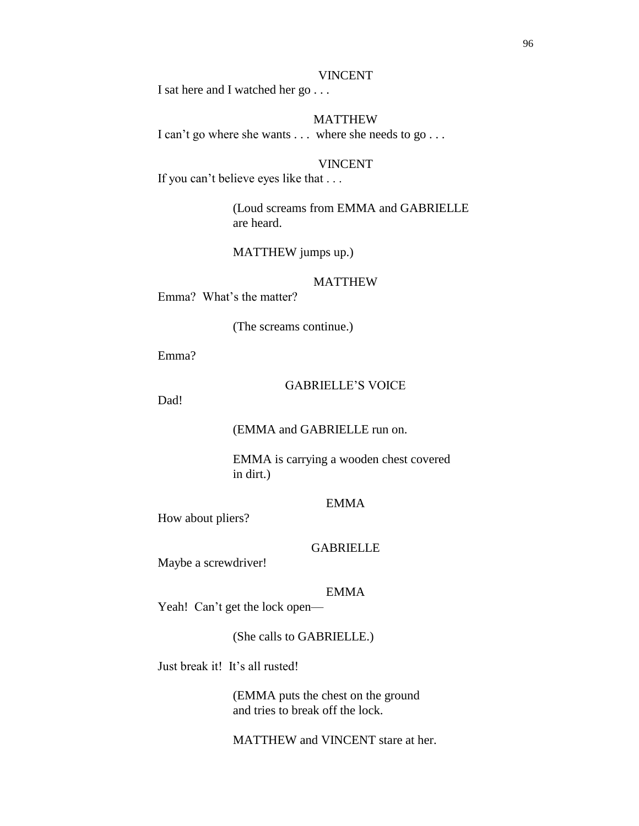#### VINCENT

I sat here and I watched her go . . .

## MATTHEW

I can't go where she wants . . . where she needs to go . . .

#### VINCENT

If you can't believe eyes like that . . .

(Loud screams from EMMA and GABRIELLE are heard.

MATTHEW jumps up.)

## MATTHEW

Emma? What's the matter?

(The screams continue.)

Emma?

## GABRIELLE'S VOICE

Dad!

(EMMA and GABRIELLE run on.

EMMA is carrying a wooden chest covered in dirt.)

#### EMMA

How about pliers?

## GABRIELLE

Maybe a screwdriver!

## EMMA

Yeah! Can't get the lock open—

(She calls to GABRIELLE.)

Just break it! It's all rusted!

(EMMA puts the chest on the ground and tries to break off the lock.

MATTHEW and VINCENT stare at her.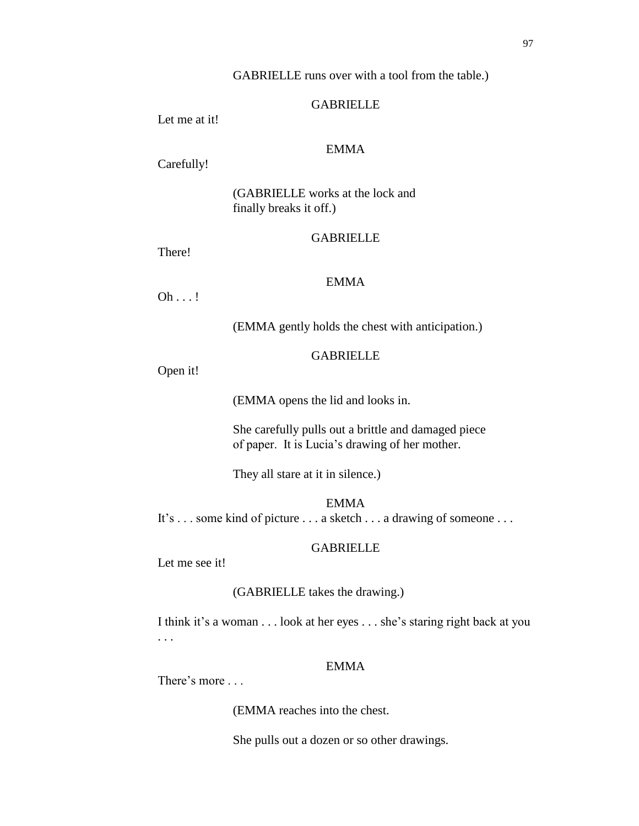## GABRIELLE runs over with a tool from the table.)

## GABRIELLE

Let me at it!

## EMMA

Carefully!

(GABRIELLE works at the lock and finally breaks it off.)

# **GABRIELLE**

There!

## EMMA

Oh . . . !

(EMMA gently holds the chest with anticipation.)

## **GABRIELLE**

Open it!

(EMMA opens the lid and looks in.

She carefully pulls out a brittle and damaged piece of paper. It is Lucia's drawing of her mother.

They all stare at it in silence.)

EMMA It's . . . some kind of picture . . . a sketch . . . a drawing of someone . . . .

## GABRIELLE

Let me see it!

## (GABRIELLE takes the drawing.)

I think it's a woman . . . look at her eyes . . . she's staring right back at you . . .

# EMMA

There's more . . .

(EMMA reaches into the chest.

She pulls out a dozen or so other drawings.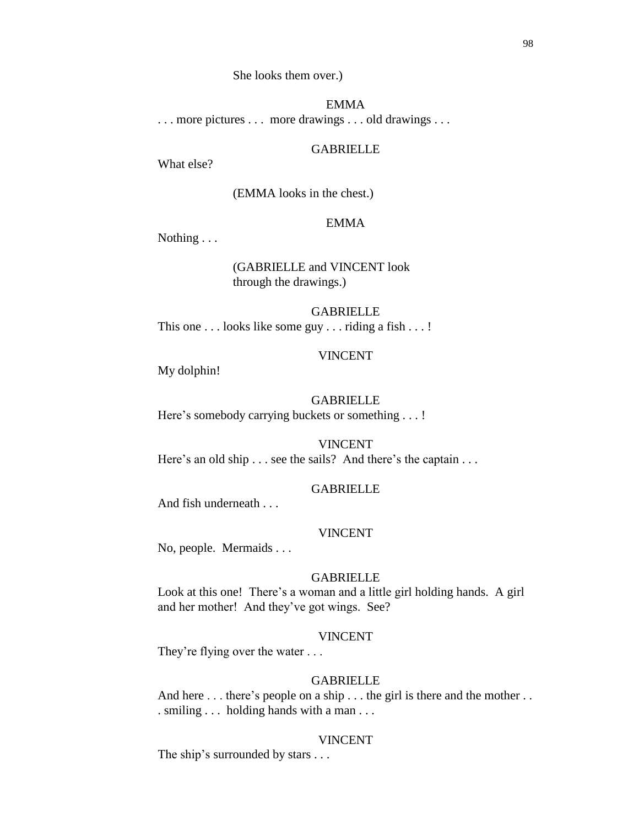She looks them over.)

#### EMMA

. . . more pictures . . . more drawings . . . old drawings . . .

## GABRIELLE

What else?

(EMMA looks in the chest.)

## EMMA

Nothing . . .

## (GABRIELLE and VINCENT look through the drawings.)

GABRIELLE This one . . . looks like some guy . . . riding a fish . . . !

## VINCENT

My dolphin!

#### GABRIELLE

Here's somebody carrying buckets or something . . . !

VINCENT Here's an old ship . . . see the sails? And there's the captain . . .

#### GABRIELLE

And fish underneath . . .

## VINCENT

No, people. Mermaids . . .

#### GABRIELLE

Look at this one! There's a woman and a little girl holding hands. A girl and her mother! And they've got wings. See?

## VINCENT

They're flying over the water . . .

#### GABRIELLE

And here . . . there's people on a ship . . . the girl is there and the mother . . . smiling . . . holding hands with a man . . .

## VINCENT

The ship's surrounded by stars . . .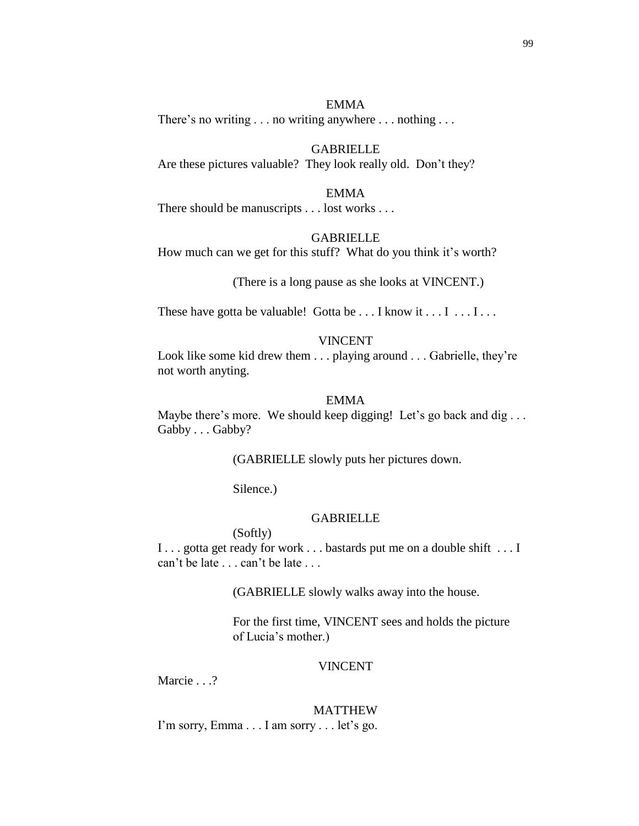99

## EMMA

There's no writing . . . no writing anywhere . . . nothing . . .

## GABRIELLE

Are these pictures valuable? They look really old. Don't they?

#### EMMA

There should be manuscripts . . . lost works . . .

#### GABRIELLE

How much can we get for this stuff? What do you think it's worth?

(There is a long pause as she looks at VINCENT.)

These have gotta be valuable! Gotta be  $\dots$  I know it  $\dots$  I  $\dots$  I ...

## VINCENT

Look like some kid drew them . . . playing around . . . Gabrielle, they're not worth anyting.

#### EMMA

Maybe there's more. We should keep digging! Let's go back and dig... Gabby . . . Gabby?

(GABRIELLE slowly puts her pictures down.

Silence.)

## **GABRIELLE**

(Softly)

I . . . gotta get ready for work . . . bastards put me on a double shift . . . I can't be late . . . can't be late . . .

(GABRIELLE slowly walks away into the house.

For the first time, VINCENT sees and holds the picture of Lucia's mother.)

## VINCENT

Marcie . . .?

# MATTHEW

I'm sorry, Emma . . . I am sorry . . . let's go.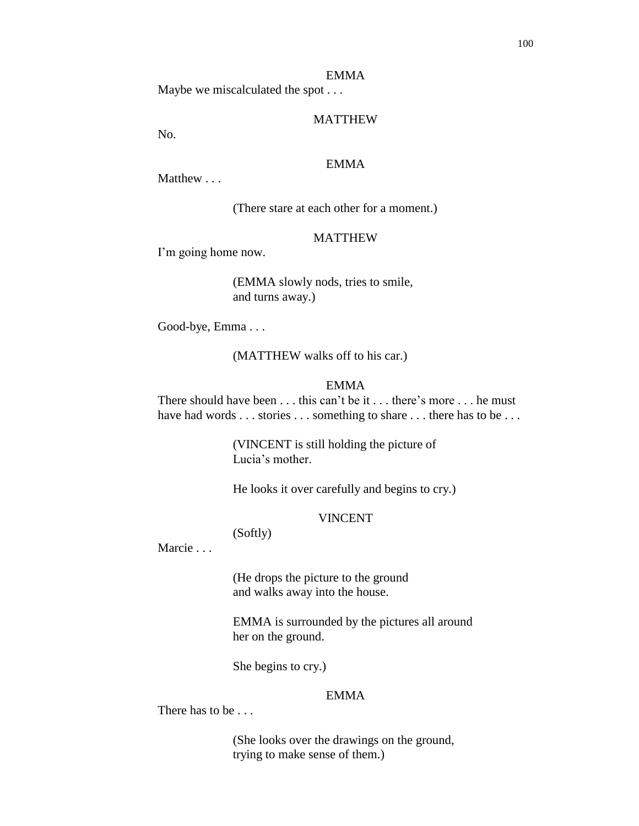#### EMMA

Maybe we miscalculated the spot . . .

## MATTHEW

No.

## EMMA

Matthew . . .

(There stare at each other for a moment.)

#### MATTHEW

I'm going home now.

(EMMA slowly nods, tries to smile, and turns away.)

Good-bye, Emma . . .

(MATTHEW walks off to his car.)

# EMMA

There should have been . . . this can't be it . . . there's more . . . he must have had words . . . stories . . . something to share . . . there has to be . . .

> (VINCENT is still holding the picture of Lucia's mother.

He looks it over carefully and begins to cry.)

## VINCENT

## (Softly)

Marcie . . .

(He drops the picture to the ground and walks away into the house.

EMMA is surrounded by the pictures all around her on the ground.

She begins to cry.)

## EMMA

There has to be . . .

(She looks over the drawings on the ground, trying to make sense of them.)